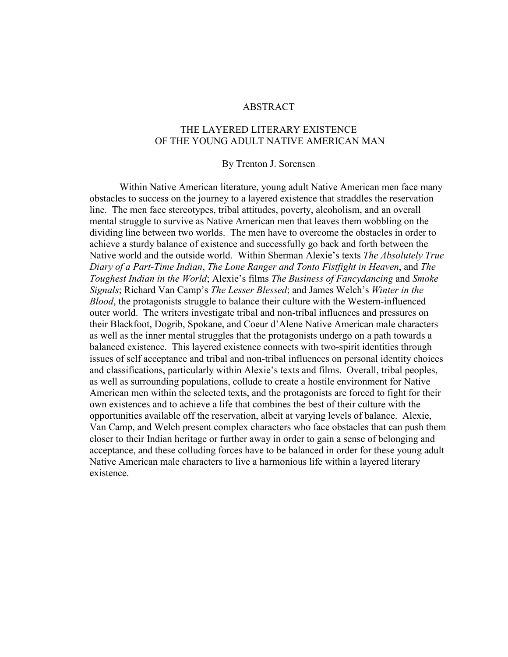## **ABSTRACT**

## THE LAYERED LITERARY EXISTENCE OF THE YOUNG ADULT NATIVE AMERICAN MAN

### By Trenton J. Sorensen

Within Native American literature, young adult Native American men face many obstacles to success on the journey to a layered existence that straddles the reservation line. The men face stereotypes, tribal attitudes, poverty, alcoholism, and an overall mental struggle to survive as Native American men that leaves them wobbling on the dividing line between two worlds. The men have to overcome the obstacles in order to achieve a sturdy balance of existence and successfully go back and forth between the Native world and the outside world. Within Sherman Alexie's texts *The Absolutely True Diary of a Part-Time Indian*, *The Lone Ranger and Tonto Fistfight in Heaven*, and *The Toughest Indian in the World*; Alexie's films *The Business of Fancydancing* and *Smoke Signals*; Richard Van Camp's *The Lesser Blessed*; and James Welch's *Winter in the Blood*, the protagonists struggle to balance their culture with the Western-influenced outer world. The writers investigate tribal and non-tribal influences and pressures on their Blackfoot, Dogrib, Spokane, and Coeur d'Alene Native American male characters as well as the inner mental struggles that the protagonists undergo on a path towards a balanced existence. This layered existence connects with two-spirit identities through issues of self acceptance and tribal and non-tribal influences on personal identity choices and classifications, particularly within Alexie's texts and films. Overall, tribal peoples, as well as surrounding populations, collude to create a hostile environment for Native American men within the selected texts, and the protagonists are forced to fight for their own existences and to achieve a life that combines the best of their culture with the opportunities available off the reservation, albeit at varying levels of balance. Alexie, Van Camp, and Welch present complex characters who face obstacles that can push them closer to their Indian heritage or further away in order to gain a sense of belonging and acceptance, and these colluding forces have to be balanced in order for these young adult Native American male characters to live a harmonious life within a layered literary existence.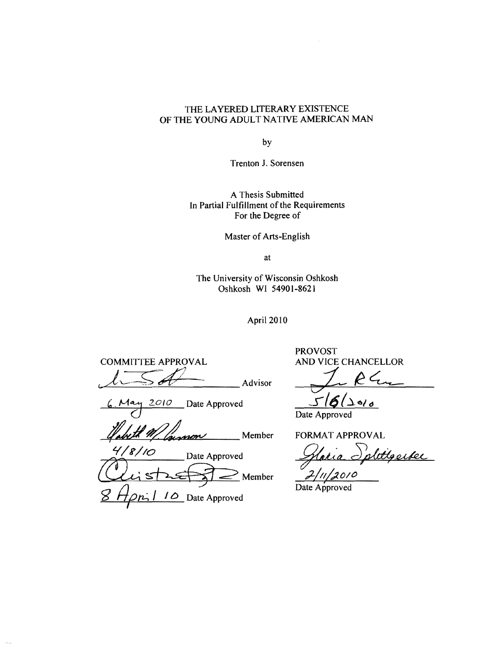# THE LAYERED LITERARY EXISTENCE OF THE YOUNG ADULT NATIVE AMERICAN MAN

by

Trenton J. Sorensen

A Thesis Submitted In Partial Fulfillment of the Requirements For the Degree of

Master of Arts-English

at

The University of Wisconsin Oshkosh Oshkosh WI 54901-8621

April 2010

COMMITTEE APPROVAL AND VICE CHANCELLOR  $154$  Advisor  $1.64$ 

2010 Date Approved

Member

4/8/10 Date Approved Slatia Splittgerder<br>Clist<del>a (2/11/2010</del> ... g *flpth* I 10 Date Approved

PROVOST

 $\sim 10^{-1}$ Date Approved

FORMAT APPROVAL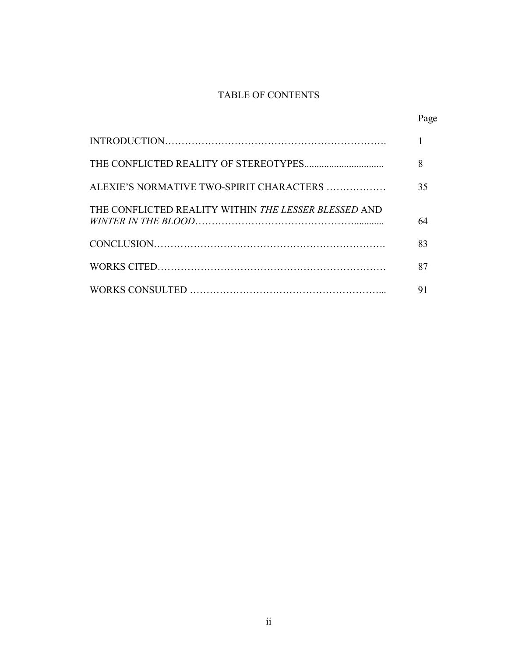# TABLE OF CONTENTS

|                                                      | Page |
|------------------------------------------------------|------|
|                                                      |      |
|                                                      | 8    |
| ALEXIE'S NORMATIVE TWO-SPIRIT CHARACTERS             | 35   |
| THE CONFLICTED REALITY WITHIN THE LESSER BLESSED AND | 64   |
|                                                      | 83   |
|                                                      | 87   |
|                                                      | 91   |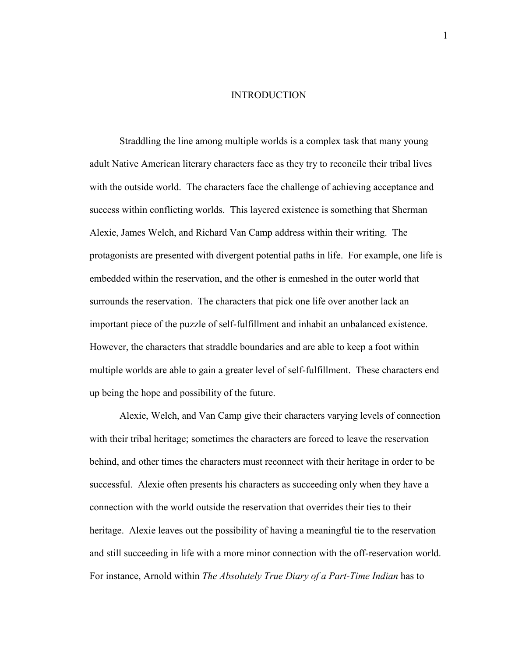#### INTRODUCTION

Straddling the line among multiple worlds is a complex task that many young adult Native American literary characters face as they try to reconcile their tribal lives with the outside world. The characters face the challenge of achieving acceptance and success within conflicting worlds. This layered existence is something that Sherman Alexie, James Welch, and Richard Van Camp address within their writing. The protagonists are presented with divergent potential paths in life. For example, one life is embedded within the reservation, and the other is enmeshed in the outer world that surrounds the reservation. The characters that pick one life over another lack an important piece of the puzzle of self-fulfillment and inhabit an unbalanced existence. However, the characters that straddle boundaries and are able to keep a foot within multiple worlds are able to gain a greater level of self-fulfillment. These characters end up being the hope and possibility of the future.

Alexie, Welch, and Van Camp give their characters varying levels of connection with their tribal heritage; sometimes the characters are forced to leave the reservation behind, and other times the characters must reconnect with their heritage in order to be successful. Alexie often presents his characters as succeeding only when they have a connection with the world outside the reservation that overrides their ties to their heritage. Alexie leaves out the possibility of having a meaningful tie to the reservation and still succeeding in life with a more minor connection with the off-reservation world. For instance, Arnold within *The Absolutely True Diary of a Part-Time Indian* has to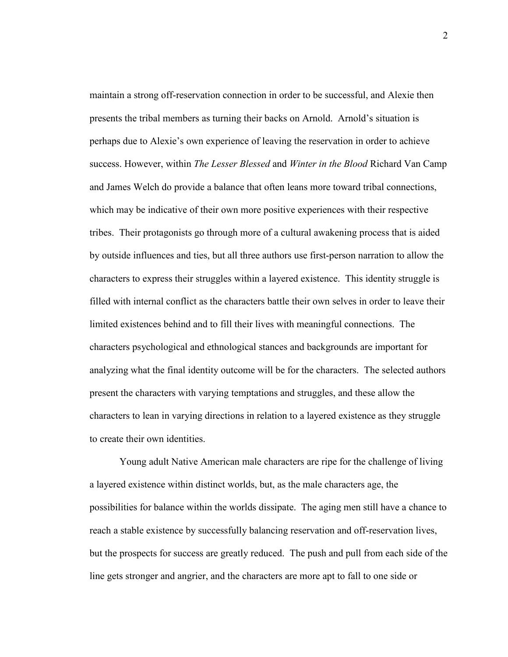maintain a strong off-reservation connection in order to be successful, and Alexie then presents the tribal members as turning their backs on Arnold. Arnold's situation is perhaps due to Alexie's own experience of leaving the reservation in order to achieve success. However, within *The Lesser Blessed* and *Winter in the Blood* Richard Van Camp and James Welch do provide a balance that often leans more toward tribal connections, which may be indicative of their own more positive experiences with their respective tribes. Their protagonists go through more of a cultural awakening process that is aided by outside influences and ties, but all three authors use first-person narration to allow the characters to express their struggles within a layered existence. This identity struggle is filled with internal conflict as the characters battle their own selves in order to leave their limited existences behind and to fill their lives with meaningful connections. The characters psychological and ethnological stances and backgrounds are important for analyzing what the final identity outcome will be for the characters. The selected authors present the characters with varying temptations and struggles, and these allow the characters to lean in varying directions in relation to a layered existence as they struggle to create their own identities.

Young adult Native American male characters are ripe for the challenge of living a layered existence within distinct worlds, but, as the male characters age, the possibilities for balance within the worlds dissipate. The aging men still have a chance to reach a stable existence by successfully balancing reservation and off-reservation lives, but the prospects for success are greatly reduced. The push and pull from each side of the line gets stronger and angrier, and the characters are more apt to fall to one side or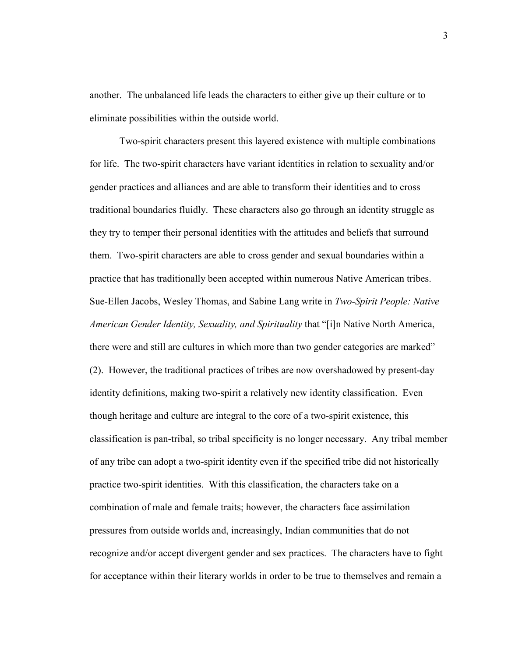another. The unbalanced life leads the characters to either give up their culture or to eliminate possibilities within the outside world.

Two-spirit characters present this layered existence with multiple combinations for life. The two-spirit characters have variant identities in relation to sexuality and/or gender practices and alliances and are able to transform their identities and to cross traditional boundaries fluidly. These characters also go through an identity struggle as they try to temper their personal identities with the attitudes and beliefs that surround them. Two-spirit characters are able to cross gender and sexual boundaries within a practice that has traditionally been accepted within numerous Native American tribes. Sue-Ellen Jacobs, Wesley Thomas, and Sabine Lang write in *Two-Spirit People: Native American Gender Identity, Sexuality, and Spirituality* that "[i]n Native North America, there were and still are cultures in which more than two gender categories are marked" (2). However, the traditional practices of tribes are now overshadowed by present-day identity definitions, making two-spirit a relatively new identity classification. Even though heritage and culture are integral to the core of a two-spirit existence, this classification is pan-tribal, so tribal specificity is no longer necessary. Any tribal member of any tribe can adopt a two-spirit identity even if the specified tribe did not historically practice two-spirit identities. With this classification, the characters take on a combination of male and female traits; however, the characters face assimilation pressures from outside worlds and, increasingly, Indian communities that do not recognize and/or accept divergent gender and sex practices. The characters have to fight for acceptance within their literary worlds in order to be true to themselves and remain a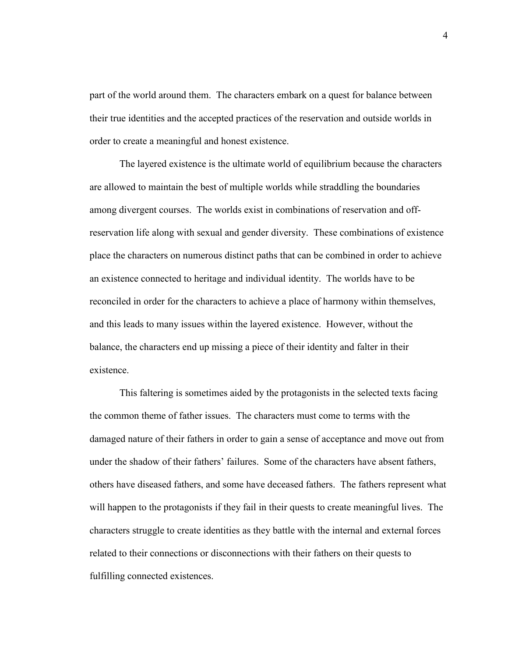part of the world around them. The characters embark on a quest for balance between their true identities and the accepted practices of the reservation and outside worlds in order to create a meaningful and honest existence.

The layered existence is the ultimate world of equilibrium because the characters are allowed to maintain the best of multiple worlds while straddling the boundaries among divergent courses. The worlds exist in combinations of reservation and offreservation life along with sexual and gender diversity. These combinations of existence place the characters on numerous distinct paths that can be combined in order to achieve an existence connected to heritage and individual identity. The worlds have to be reconciled in order for the characters to achieve a place of harmony within themselves, and this leads to many issues within the layered existence. However, without the balance, the characters end up missing a piece of their identity and falter in their existence.

This faltering is sometimes aided by the protagonists in the selected texts facing the common theme of father issues. The characters must come to terms with the damaged nature of their fathers in order to gain a sense of acceptance and move out from under the shadow of their fathers' failures. Some of the characters have absent fathers, others have diseased fathers, and some have deceased fathers. The fathers represent what will happen to the protagonists if they fail in their quests to create meaningful lives. The characters struggle to create identities as they battle with the internal and external forces related to their connections or disconnections with their fathers on their quests to fulfilling connected existences.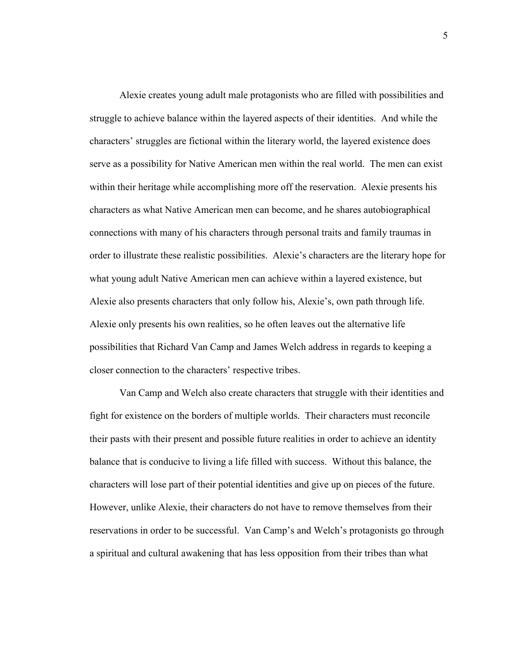Alexie creates young adult male protagonists who are filled with possibilities and struggle to achieve balance within the layered aspects of their identities. And while the characters' struggles are fictional within the literary world, the layered existence does serve as a possibility for Native American men within the real world. The men can exist within their heritage while accomplishing more off the reservation. Alexie presents his characters as what Native American men can become, and he shares autobiographical connections with many of his characters through personal traits and family traumas in order to illustrate these realistic possibilities. Alexie's characters are the literary hope for what young adult Native American men can achieve within a layered existence, but Alexie also presents characters that only follow his, Alexie's, own path through life. Alexie only presents his own realities, so he often leaves out the alternative life possibilities that Richard Van Camp and James Welch address in regards to keeping a closer connection to the characters' respective tribes.

Van Camp and Welch also create characters that struggle with their identities and fight for existence on the borders of multiple worlds. Their characters must reconcile their pasts with their present and possible future realities in order to achieve an identity balance that is conducive to living a life filled with success. Without this balance, the characters will lose part of their potential identities and give up on pieces of the future. However, unlike Alexie, their characters do not have to remove themselves from their reservations in order to be successful. Van Camp's and Welch's protagonists go through a spiritual and cultural awakening that has less opposition from their tribes than what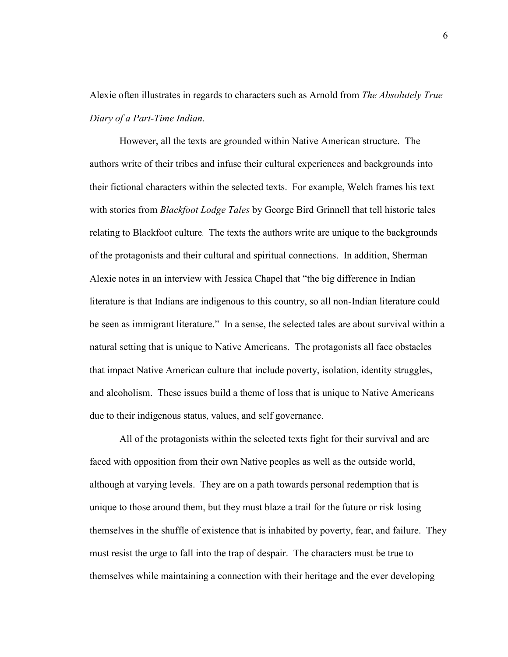Alexie often illustrates in regards to characters such as Arnold from *The Absolutely True Diary of a Part-Time Indian*.

However, all the texts are grounded within Native American structure. The authors write of their tribes and infuse their cultural experiences and backgrounds into their fictional characters within the selected texts. For example, Welch frames his text with stories from *Blackfoot Lodge Tales* by George Bird Grinnell that tell historic tales relating to Blackfoot culture. The texts the authors write are unique to the backgrounds of the protagonists and their cultural and spiritual connections. In addition, Sherman Alexie notes in an interview with Jessica Chapel that "the big difference in Indian literature is that Indians are indigenous to this country, so all non-Indian literature could be seen as immigrant literature." In a sense, the selected tales are about survival within a natural setting that is unique to Native Americans. The protagonists all face obstacles that impact Native American culture that include poverty, isolation, identity struggles, and alcoholism. These issues build a theme of loss that is unique to Native Americans due to their indigenous status, values, and self governance.

All of the protagonists within the selected texts fight for their survival and are faced with opposition from their own Native peoples as well as the outside world, although at varying levels. They are on a path towards personal redemption that is unique to those around them, but they must blaze a trail for the future or risk losing themselves in the shuffle of existence that is inhabited by poverty, fear, and failure. They must resist the urge to fall into the trap of despair. The characters must be true to themselves while maintaining a connection with their heritage and the ever developing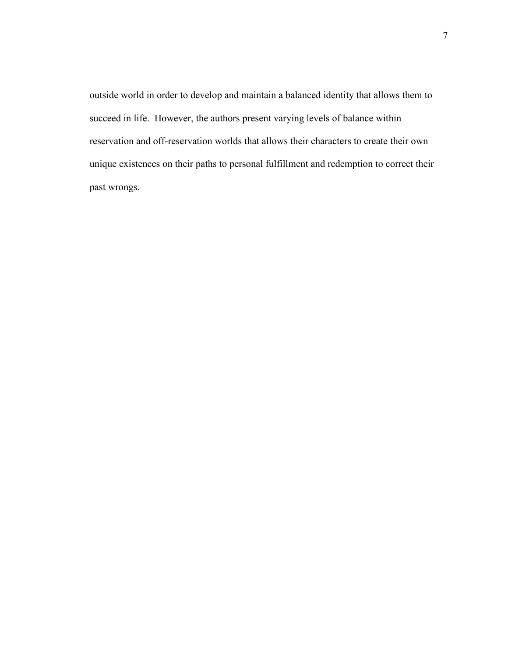outside world in order to develop and maintain a balanced identity that allows them to succeed in life. However, the authors present varying levels of balance within reservation and off-reservation worlds that allows their characters to create their own unique existences on their paths to personal fulfillment and redemption to correct their past wrongs.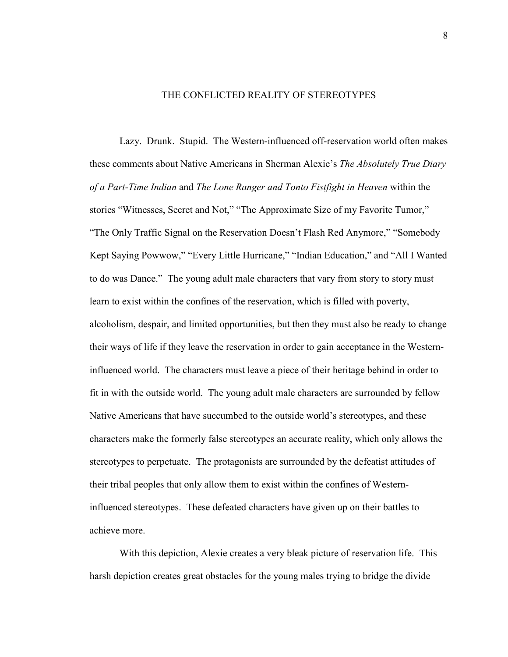### THE CONFLICTED REALITY OF STEREOTYPES

Lazy. Drunk. Stupid. The Western-influenced off-reservation world often makes these comments about Native Americans in Sherman Alexie's *The Absolutely True Diary of a Part-Time Indian* and *The Lone Ranger and Tonto Fistfight in Heaven* within the stories "Witnesses, Secret and Not," "The Approximate Size of my Favorite Tumor," "The Only Traffic Signal on the Reservation Doesn't Flash Red Anymore," "Somebody Kept Saying Powwow," "Every Little Hurricane," "Indian Education," and "All I Wanted to do was Dance." The young adult male characters that vary from story to story must learn to exist within the confines of the reservation, which is filled with poverty, alcoholism, despair, and limited opportunities, but then they must also be ready to change their ways of life if they leave the reservation in order to gain acceptance in the Westerninfluenced world. The characters must leave a piece of their heritage behind in order to fit in with the outside world. The young adult male characters are surrounded by fellow Native Americans that have succumbed to the outside world's stereotypes, and these characters make the formerly false stereotypes an accurate reality, which only allows the stereotypes to perpetuate. The protagonists are surrounded by the defeatist attitudes of their tribal peoples that only allow them to exist within the confines of Westerninfluenced stereotypes. These defeated characters have given up on their battles to achieve more.

With this depiction, Alexie creates a very bleak picture of reservation life. This harsh depiction creates great obstacles for the young males trying to bridge the divide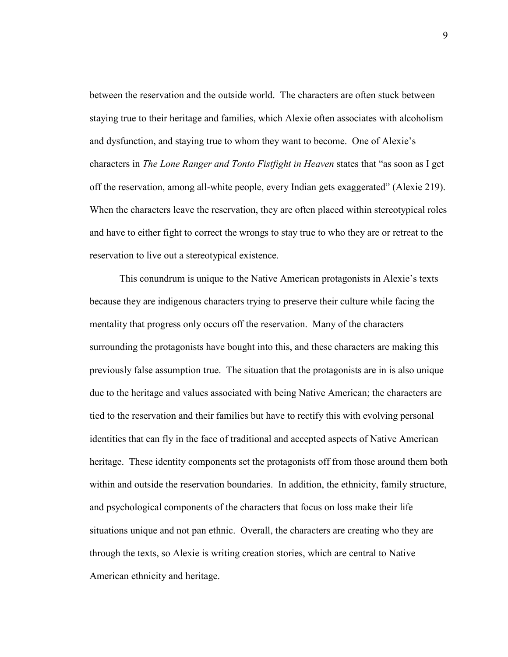between the reservation and the outside world. The characters are often stuck between staying true to their heritage and families, which Alexie often associates with alcoholism and dysfunction, and staying true to whom they want to become. One of Alexie's characters in *The Lone Ranger and Tonto Fistfight in Heaven* states that "as soon as I get off the reservation, among all-white people, every Indian gets exaggerated" (Alexie 219). When the characters leave the reservation, they are often placed within stereotypical roles and have to either fight to correct the wrongs to stay true to who they are or retreat to the reservation to live out a stereotypical existence.

This conundrum is unique to the Native American protagonists in Alexie's texts because they are indigenous characters trying to preserve their culture while facing the mentality that progress only occurs off the reservation. Many of the characters surrounding the protagonists have bought into this, and these characters are making this previously false assumption true. The situation that the protagonists are in is also unique due to the heritage and values associated with being Native American; the characters are tied to the reservation and their families but have to rectify this with evolving personal identities that can fly in the face of traditional and accepted aspects of Native American heritage. These identity components set the protagonists off from those around them both within and outside the reservation boundaries. In addition, the ethnicity, family structure, and psychological components of the characters that focus on loss make their life situations unique and not pan ethnic. Overall, the characters are creating who they are through the texts, so Alexie is writing creation stories, which are central to Native American ethnicity and heritage.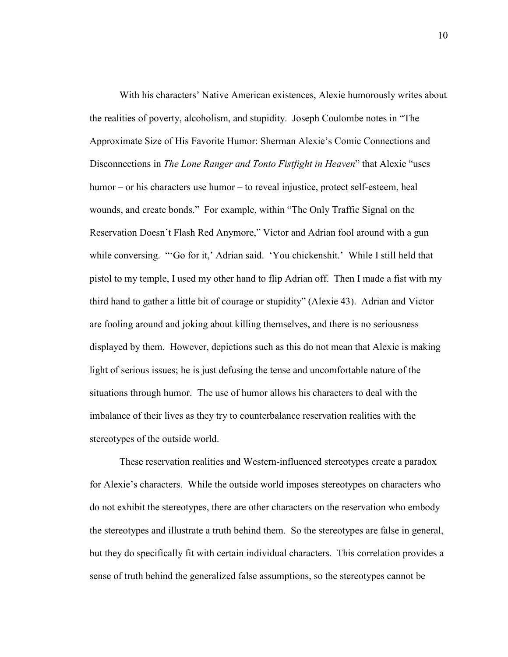With his characters' Native American existences, Alexie humorously writes about the realities of poverty, alcoholism, and stupidity. Joseph Coulombe notes in "The Approximate Size of His Favorite Humor: Sherman Alexie's Comic Connections and Disconnections in *The Lone Ranger and Tonto Fistfight in Heaven*" that Alexie "uses humor – or his characters use humor – to reveal injustice, protect self-esteem, heal wounds, and create bonds." For example, within "The Only Traffic Signal on the Reservation Doesn't Flash Red Anymore," Victor and Adrian fool around with a gun while conversing. "'Go for it,' Adrian said. 'You chickenshit.' While I still held that pistol to my temple, I used my other hand to flip Adrian off. Then I made a fist with my third hand to gather a little bit of courage or stupidity" (Alexie 43). Adrian and Victor are fooling around and joking about killing themselves, and there is no seriousness displayed by them. However, depictions such as this do not mean that Alexie is making light of serious issues; he is just defusing the tense and uncomfortable nature of the situations through humor. The use of humor allows his characters to deal with the imbalance of their lives as they try to counterbalance reservation realities with the stereotypes of the outside world.

These reservation realities and Western-influenced stereotypes create a paradox for Alexie's characters. While the outside world imposes stereotypes on characters who do not exhibit the stereotypes, there are other characters on the reservation who embody the stereotypes and illustrate a truth behind them. So the stereotypes are false in general, but they do specifically fit with certain individual characters. This correlation provides a sense of truth behind the generalized false assumptions, so the stereotypes cannot be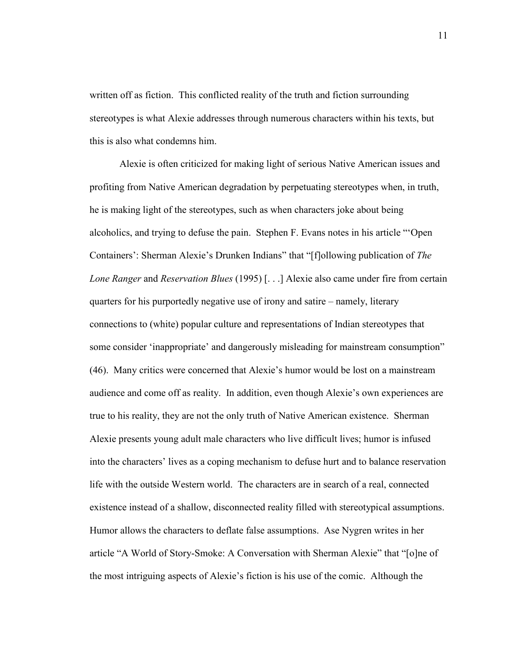written off as fiction. This conflicted reality of the truth and fiction surrounding stereotypes is what Alexie addresses through numerous characters within his texts, but this is also what condemns him.

Alexie is often criticized for making light of serious Native American issues and profiting from Native American degradation by perpetuating stereotypes when, in truth, he is making light of the stereotypes, such as when characters joke about being alcoholics, and trying to defuse the pain. Stephen F. Evans notes in his article "'Open Containers': Sherman Alexie's Drunken Indians" that "[f]ollowing publication of *The Lone Ranger* and *Reservation Blues* (1995) [. . .] Alexie also came under fire from certain quarters for his purportedly negative use of irony and satire – namely, literary connections to (white) popular culture and representations of Indian stereotypes that some consider 'inappropriate' and dangerously misleading for mainstream consumption" (46). Many critics were concerned that Alexie's humor would be lost on a mainstream audience and come off as reality. In addition, even though Alexie's own experiences are true to his reality, they are not the only truth of Native American existence. Sherman Alexie presents young adult male characters who live difficult lives; humor is infused into the characters' lives as a coping mechanism to defuse hurt and to balance reservation life with the outside Western world. The characters are in search of a real, connected existence instead of a shallow, disconnected reality filled with stereotypical assumptions. Humor allows the characters to deflate false assumptions. Ase Nygren writes in her article "A World of Story-Smoke: A Conversation with Sherman Alexie" that "[o]ne of the most intriguing aspects of Alexie's fiction is his use of the comic. Although the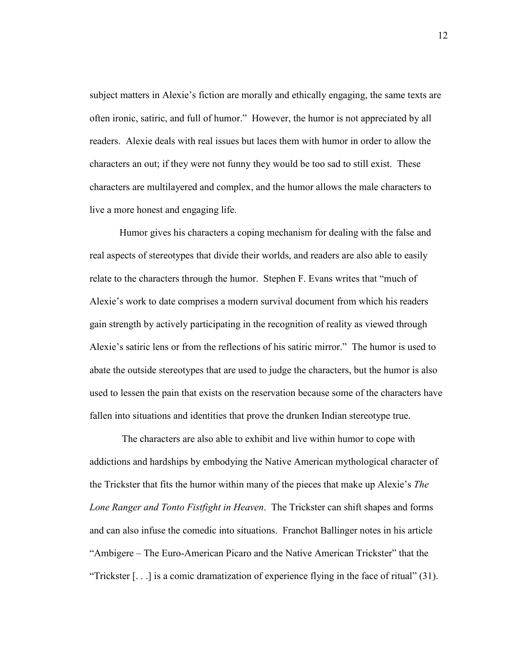subject matters in Alexie's fiction are morally and ethically engaging, the same texts are often ironic, satiric, and full of humor." However, the humor is not appreciated by all readers. Alexie deals with real issues but laces them with humor in order to allow the characters an out; if they were not funny they would be too sad to still exist. These characters are multilayered and complex, and the humor allows the male characters to live a more honest and engaging life.

Humor gives his characters a coping mechanism for dealing with the false and real aspects of stereotypes that divide their worlds, and readers are also able to easily relate to the characters through the humor. Stephen F. Evans writes that "much of Alexie's work to date comprises a modern survival document from which his readers gain strength by actively participating in the recognition of reality as viewed through Alexie's satiric lens or from the reflections of his satiric mirror." The humor is used to abate the outside stereotypes that are used to judge the characters, but the humor is also used to lessen the pain that exists on the reservation because some of the characters have fallen into situations and identities that prove the drunken Indian stereotype true.

 The characters are also able to exhibit and live within humor to cope with addictions and hardships by embodying the Native American mythological character of the Trickster that fits the humor within many of the pieces that make up Alexie's *The Lone Ranger and Tonto Fistfight in Heaven*. The Trickster can shift shapes and forms and can also infuse the comedic into situations. Franchot Ballinger notes in his article "Ambigere – The Euro-American Picaro and the Native American Trickster" that the "Trickster [. . .] is a comic dramatization of experience flying in the face of ritual" (31).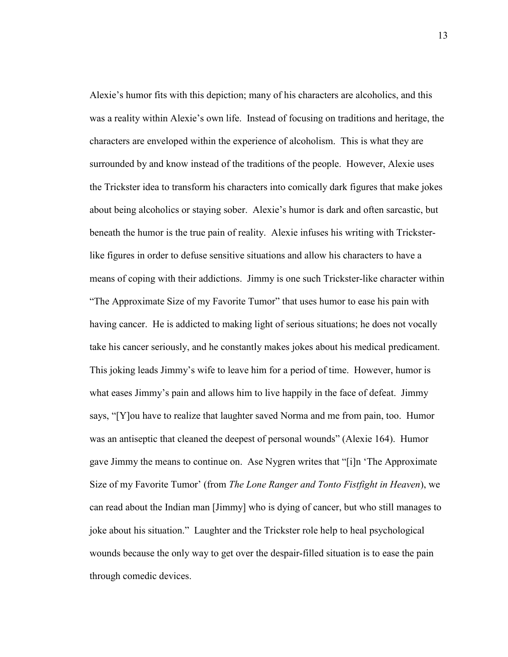Alexie's humor fits with this depiction; many of his characters are alcoholics, and this was a reality within Alexie's own life. Instead of focusing on traditions and heritage, the characters are enveloped within the experience of alcoholism. This is what they are surrounded by and know instead of the traditions of the people. However, Alexie uses the Trickster idea to transform his characters into comically dark figures that make jokes about being alcoholics or staying sober. Alexie's humor is dark and often sarcastic, but beneath the humor is the true pain of reality. Alexie infuses his writing with Tricksterlike figures in order to defuse sensitive situations and allow his characters to have a means of coping with their addictions. Jimmy is one such Trickster-like character within "The Approximate Size of my Favorite Tumor" that uses humor to ease his pain with having cancer. He is addicted to making light of serious situations; he does not vocally take his cancer seriously, and he constantly makes jokes about his medical predicament. This joking leads Jimmy's wife to leave him for a period of time. However, humor is what eases Jimmy's pain and allows him to live happily in the face of defeat. Jimmy says, "[Y]ou have to realize that laughter saved Norma and me from pain, too. Humor was an antiseptic that cleaned the deepest of personal wounds" (Alexie 164). Humor gave Jimmy the means to continue on. Ase Nygren writes that "[i]n 'The Approximate Size of my Favorite Tumor' (from *The Lone Ranger and Tonto Fistfight in Heaven*), we can read about the Indian man [Jimmy] who is dying of cancer, but who still manages to joke about his situation." Laughter and the Trickster role help to heal psychological wounds because the only way to get over the despair-filled situation is to ease the pain through comedic devices.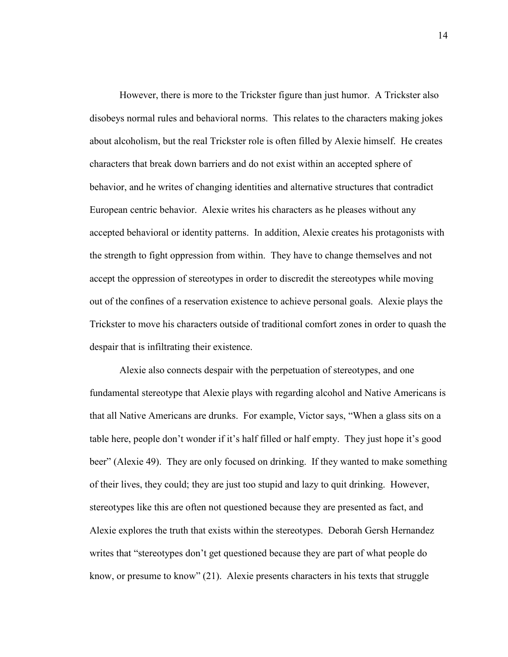However, there is more to the Trickster figure than just humor. A Trickster also disobeys normal rules and behavioral norms. This relates to the characters making jokes about alcoholism, but the real Trickster role is often filled by Alexie himself. He creates characters that break down barriers and do not exist within an accepted sphere of behavior, and he writes of changing identities and alternative structures that contradict European centric behavior. Alexie writes his characters as he pleases without any accepted behavioral or identity patterns. In addition, Alexie creates his protagonists with the strength to fight oppression from within. They have to change themselves and not accept the oppression of stereotypes in order to discredit the stereotypes while moving out of the confines of a reservation existence to achieve personal goals. Alexie plays the Trickster to move his characters outside of traditional comfort zones in order to quash the despair that is infiltrating their existence.

Alexie also connects despair with the perpetuation of stereotypes, and one fundamental stereotype that Alexie plays with regarding alcohol and Native Americans is that all Native Americans are drunks. For example, Victor says, "When a glass sits on a table here, people don't wonder if it's half filled or half empty. They just hope it's good beer" (Alexie 49). They are only focused on drinking. If they wanted to make something of their lives, they could; they are just too stupid and lazy to quit drinking. However, stereotypes like this are often not questioned because they are presented as fact, and Alexie explores the truth that exists within the stereotypes. Deborah Gersh Hernandez writes that "stereotypes don't get questioned because they are part of what people do know, or presume to know" (21). Alexie presents characters in his texts that struggle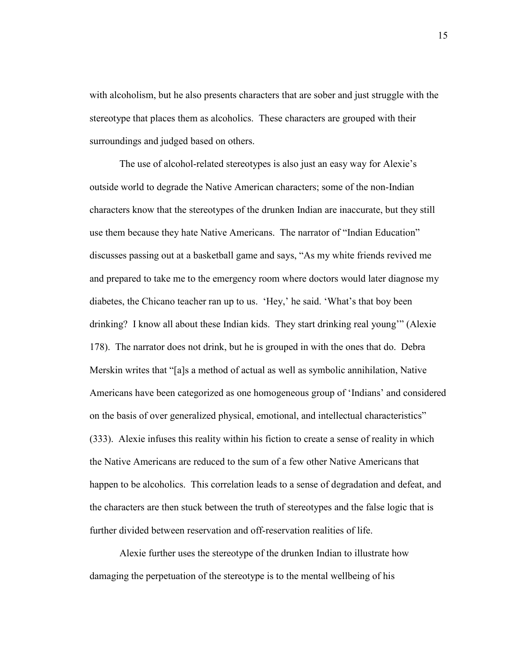with alcoholism, but he also presents characters that are sober and just struggle with the stereotype that places them as alcoholics. These characters are grouped with their surroundings and judged based on others.

The use of alcohol-related stereotypes is also just an easy way for Alexie's outside world to degrade the Native American characters; some of the non-Indian characters know that the stereotypes of the drunken Indian are inaccurate, but they still use them because they hate Native Americans. The narrator of "Indian Education" discusses passing out at a basketball game and says, "As my white friends revived me and prepared to take me to the emergency room where doctors would later diagnose my diabetes, the Chicano teacher ran up to us. 'Hey,' he said. 'What's that boy been drinking? I know all about these Indian kids. They start drinking real young'" (Alexie 178). The narrator does not drink, but he is grouped in with the ones that do. Debra Merskin writes that "[a]s a method of actual as well as symbolic annihilation, Native Americans have been categorized as one homogeneous group of 'Indians' and considered on the basis of over generalized physical, emotional, and intellectual characteristics" (333). Alexie infuses this reality within his fiction to create a sense of reality in which the Native Americans are reduced to the sum of a few other Native Americans that happen to be alcoholics. This correlation leads to a sense of degradation and defeat, and the characters are then stuck between the truth of stereotypes and the false logic that is further divided between reservation and off-reservation realities of life.

Alexie further uses the stereotype of the drunken Indian to illustrate how damaging the perpetuation of the stereotype is to the mental wellbeing of his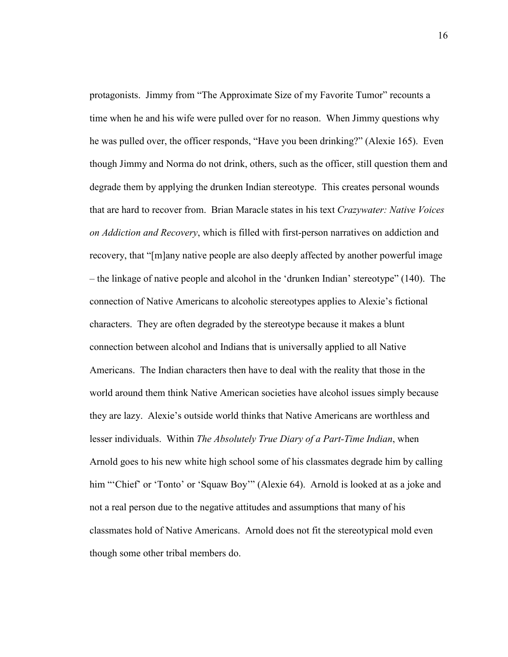protagonists. Jimmy from "The Approximate Size of my Favorite Tumor" recounts a time when he and his wife were pulled over for no reason. When Jimmy questions why he was pulled over, the officer responds, "Have you been drinking?" (Alexie 165). Even though Jimmy and Norma do not drink, others, such as the officer, still question them and degrade them by applying the drunken Indian stereotype. This creates personal wounds that are hard to recover from. Brian Maracle states in his text *Crazywater: Native Voices on Addiction and Recovery*, which is filled with first-person narratives on addiction and recovery, that "[m]any native people are also deeply affected by another powerful image – the linkage of native people and alcohol in the 'drunken Indian' stereotype" (140). The connection of Native Americans to alcoholic stereotypes applies to Alexie's fictional characters. They are often degraded by the stereotype because it makes a blunt connection between alcohol and Indians that is universally applied to all Native Americans. The Indian characters then have to deal with the reality that those in the world around them think Native American societies have alcohol issues simply because they are lazy. Alexie's outside world thinks that Native Americans are worthless and lesser individuals. Within *The Absolutely True Diary of a Part-Time Indian*, when Arnold goes to his new white high school some of his classmates degrade him by calling him "'Chief' or 'Tonto' or 'Squaw Boy'" (Alexie 64). Arnold is looked at as a joke and not a real person due to the negative attitudes and assumptions that many of his classmates hold of Native Americans. Arnold does not fit the stereotypical mold even though some other tribal members do.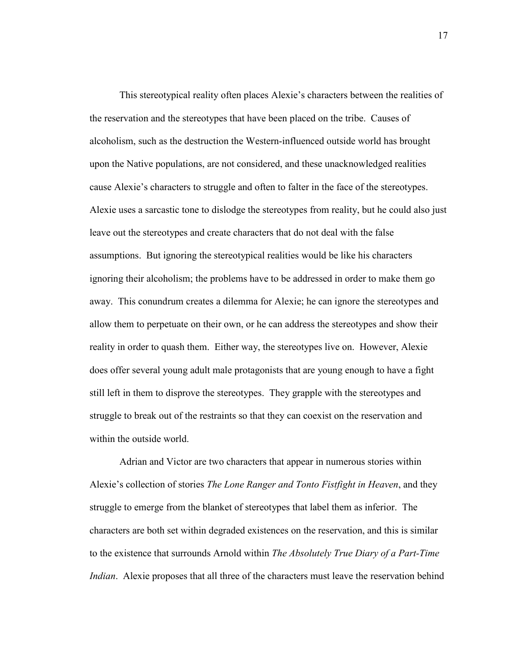This stereotypical reality often places Alexie's characters between the realities of the reservation and the stereotypes that have been placed on the tribe. Causes of alcoholism, such as the destruction the Western-influenced outside world has brought upon the Native populations, are not considered, and these unacknowledged realities cause Alexie's characters to struggle and often to falter in the face of the stereotypes. Alexie uses a sarcastic tone to dislodge the stereotypes from reality, but he could also just leave out the stereotypes and create characters that do not deal with the false assumptions. But ignoring the stereotypical realities would be like his characters ignoring their alcoholism; the problems have to be addressed in order to make them go away. This conundrum creates a dilemma for Alexie; he can ignore the stereotypes and allow them to perpetuate on their own, or he can address the stereotypes and show their reality in order to quash them. Either way, the stereotypes live on. However, Alexie does offer several young adult male protagonists that are young enough to have a fight still left in them to disprove the stereotypes. They grapple with the stereotypes and struggle to break out of the restraints so that they can coexist on the reservation and within the outside world.

Adrian and Victor are two characters that appear in numerous stories within Alexie's collection of stories *The Lone Ranger and Tonto Fistfight in Heaven*, and they struggle to emerge from the blanket of stereotypes that label them as inferior. The characters are both set within degraded existences on the reservation, and this is similar to the existence that surrounds Arnold within *The Absolutely True Diary of a Part-Time Indian*. Alexie proposes that all three of the characters must leave the reservation behind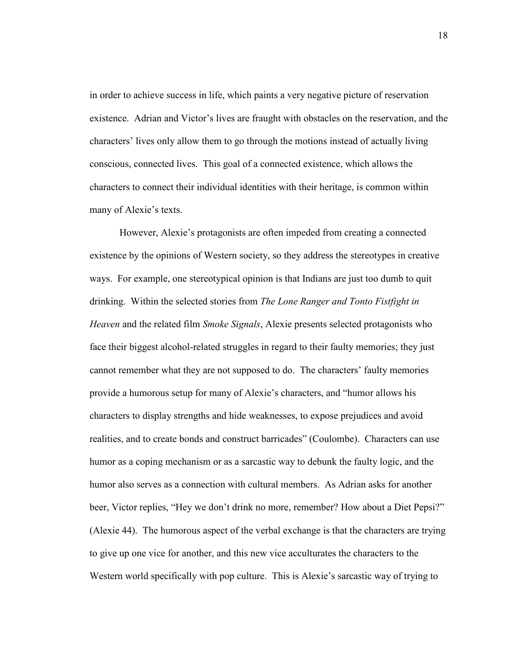in order to achieve success in life, which paints a very negative picture of reservation existence. Adrian and Victor's lives are fraught with obstacles on the reservation, and the characters' lives only allow them to go through the motions instead of actually living conscious, connected lives. This goal of a connected existence, which allows the characters to connect their individual identities with their heritage, is common within many of Alexie's texts.

However, Alexie's protagonists are often impeded from creating a connected existence by the opinions of Western society, so they address the stereotypes in creative ways. For example, one stereotypical opinion is that Indians are just too dumb to quit drinking. Within the selected stories from *The Lone Ranger and Tonto Fistfight in Heaven* and the related film *Smoke Signals*, Alexie presents selected protagonists who face their biggest alcohol-related struggles in regard to their faulty memories; they just cannot remember what they are not supposed to do. The characters' faulty memories provide a humorous setup for many of Alexie's characters, and "humor allows his characters to display strengths and hide weaknesses, to expose prejudices and avoid realities, and to create bonds and construct barricades" (Coulombe). Characters can use humor as a coping mechanism or as a sarcastic way to debunk the faulty logic, and the humor also serves as a connection with cultural members. As Adrian asks for another beer, Victor replies, "Hey we don't drink no more, remember? How about a Diet Pepsi?" (Alexie 44). The humorous aspect of the verbal exchange is that the characters are trying to give up one vice for another, and this new vice acculturates the characters to the Western world specifically with pop culture. This is Alexie's sarcastic way of trying to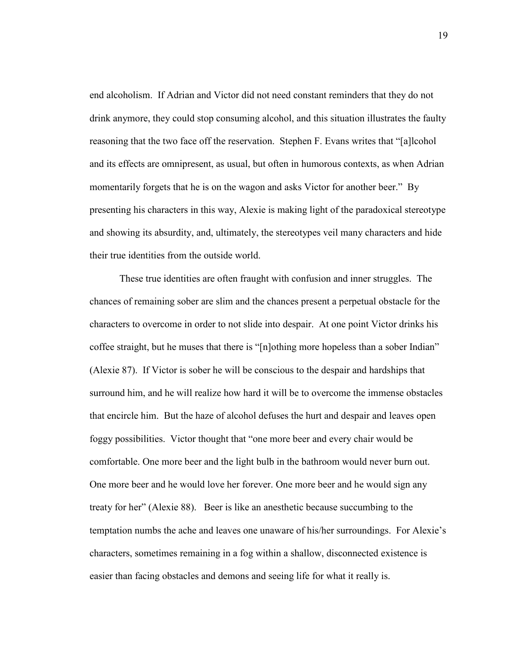end alcoholism. If Adrian and Victor did not need constant reminders that they do not drink anymore, they could stop consuming alcohol, and this situation illustrates the faulty reasoning that the two face off the reservation. Stephen F. Evans writes that "[a]lcohol and its effects are omnipresent, as usual, but often in humorous contexts, as when Adrian momentarily forgets that he is on the wagon and asks Victor for another beer." By presenting his characters in this way, Alexie is making light of the paradoxical stereotype and showing its absurdity, and, ultimately, the stereotypes veil many characters and hide their true identities from the outside world.

These true identities are often fraught with confusion and inner struggles. The chances of remaining sober are slim and the chances present a perpetual obstacle for the characters to overcome in order to not slide into despair. At one point Victor drinks his coffee straight, but he muses that there is "[n]othing more hopeless than a sober Indian" (Alexie 87). If Victor is sober he will be conscious to the despair and hardships that surround him, and he will realize how hard it will be to overcome the immense obstacles that encircle him. But the haze of alcohol defuses the hurt and despair and leaves open foggy possibilities. Victor thought that "one more beer and every chair would be comfortable. One more beer and the light bulb in the bathroom would never burn out. One more beer and he would love her forever. One more beer and he would sign any treaty for her" (Alexie 88). Beer is like an anesthetic because succumbing to the temptation numbs the ache and leaves one unaware of his/her surroundings. For Alexie's characters, sometimes remaining in a fog within a shallow, disconnected existence is easier than facing obstacles and demons and seeing life for what it really is.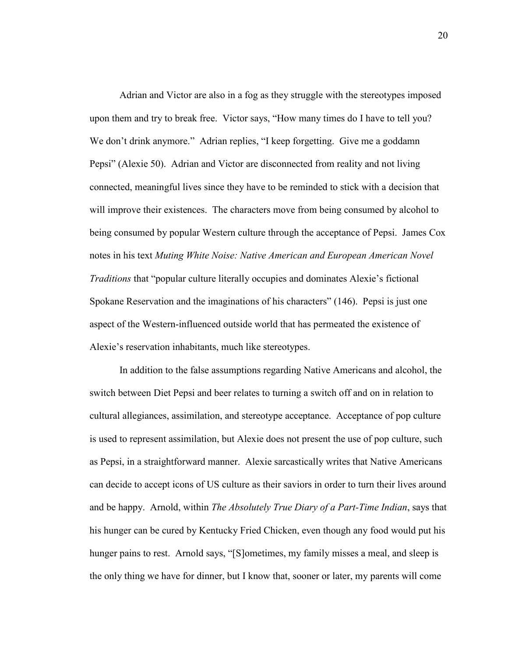Adrian and Victor are also in a fog as they struggle with the stereotypes imposed upon them and try to break free. Victor says, "How many times do I have to tell you? We don't drink anymore." Adrian replies, "I keep forgetting. Give me a goddamn Pepsi" (Alexie 50). Adrian and Victor are disconnected from reality and not living connected, meaningful lives since they have to be reminded to stick with a decision that will improve their existences. The characters move from being consumed by alcohol to being consumed by popular Western culture through the acceptance of Pepsi. James Cox notes in his text *Muting White Noise: Native American and European American Novel Traditions* that "popular culture literally occupies and dominates Alexie's fictional Spokane Reservation and the imaginations of his characters" (146). Pepsi is just one aspect of the Western-influenced outside world that has permeated the existence of Alexie's reservation inhabitants, much like stereotypes.

In addition to the false assumptions regarding Native Americans and alcohol, the switch between Diet Pepsi and beer relates to turning a switch off and on in relation to cultural allegiances, assimilation, and stereotype acceptance. Acceptance of pop culture is used to represent assimilation, but Alexie does not present the use of pop culture, such as Pepsi, in a straightforward manner. Alexie sarcastically writes that Native Americans can decide to accept icons of US culture as their saviors in order to turn their lives around and be happy. Arnold, within *The Absolutely True Diary of a Part-Time Indian*, says that his hunger can be cured by Kentucky Fried Chicken, even though any food would put his hunger pains to rest. Arnold says, "[S]ometimes, my family misses a meal, and sleep is the only thing we have for dinner, but I know that, sooner or later, my parents will come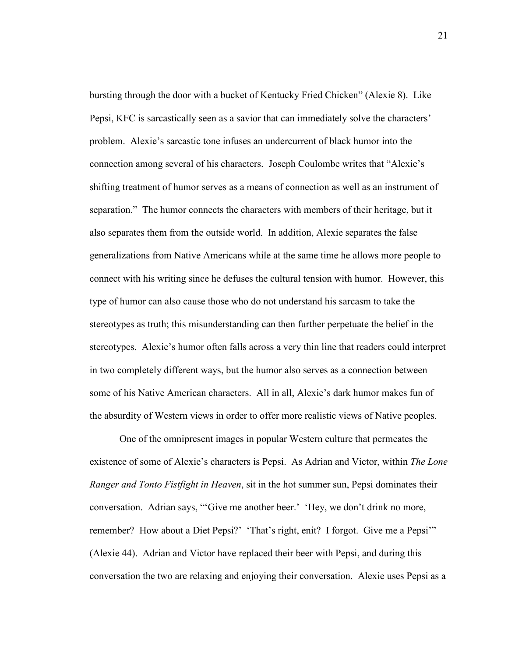bursting through the door with a bucket of Kentucky Fried Chicken" (Alexie 8). Like Pepsi, KFC is sarcastically seen as a savior that can immediately solve the characters' problem. Alexie's sarcastic tone infuses an undercurrent of black humor into the connection among several of his characters. Joseph Coulombe writes that "Alexie's shifting treatment of humor serves as a means of connection as well as an instrument of separation." The humor connects the characters with members of their heritage, but it also separates them from the outside world. In addition, Alexie separates the false generalizations from Native Americans while at the same time he allows more people to connect with his writing since he defuses the cultural tension with humor. However, this type of humor can also cause those who do not understand his sarcasm to take the stereotypes as truth; this misunderstanding can then further perpetuate the belief in the stereotypes. Alexie's humor often falls across a very thin line that readers could interpret in two completely different ways, but the humor also serves as a connection between some of his Native American characters. All in all, Alexie's dark humor makes fun of the absurdity of Western views in order to offer more realistic views of Native peoples.

One of the omnipresent images in popular Western culture that permeates the existence of some of Alexie's characters is Pepsi. As Adrian and Victor, within *The Lone Ranger and Tonto Fistfight in Heaven*, sit in the hot summer sun, Pepsi dominates their conversation. Adrian says, "'Give me another beer.' 'Hey, we don't drink no more, remember? How about a Diet Pepsi?' 'That's right, enit? I forgot. Give me a Pepsi'" (Alexie 44). Adrian and Victor have replaced their beer with Pepsi, and during this conversation the two are relaxing and enjoying their conversation. Alexie uses Pepsi as a

21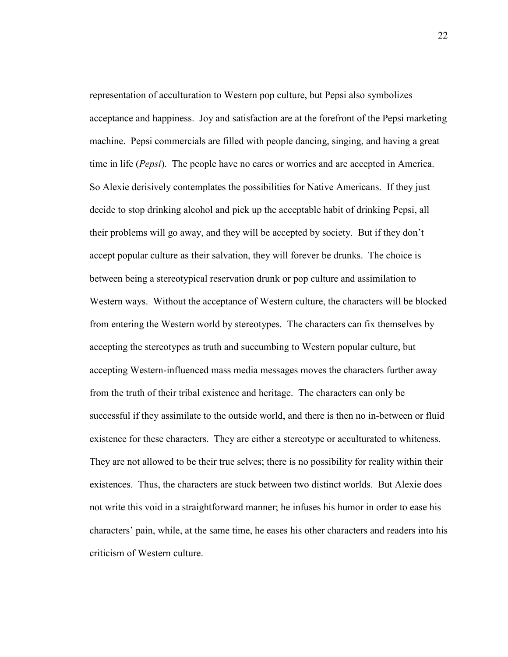representation of acculturation to Western pop culture, but Pepsi also symbolizes acceptance and happiness. Joy and satisfaction are at the forefront of the Pepsi marketing machine. Pepsi commercials are filled with people dancing, singing, and having a great time in life (*Pepsi*). The people have no cares or worries and are accepted in America. So Alexie derisively contemplates the possibilities for Native Americans. If they just decide to stop drinking alcohol and pick up the acceptable habit of drinking Pepsi, all their problems will go away, and they will be accepted by society. But if they don't accept popular culture as their salvation, they will forever be drunks. The choice is between being a stereotypical reservation drunk or pop culture and assimilation to Western ways. Without the acceptance of Western culture, the characters will be blocked from entering the Western world by stereotypes. The characters can fix themselves by accepting the stereotypes as truth and succumbing to Western popular culture, but accepting Western-influenced mass media messages moves the characters further away from the truth of their tribal existence and heritage. The characters can only be successful if they assimilate to the outside world, and there is then no in-between or fluid existence for these characters. They are either a stereotype or acculturated to whiteness. They are not allowed to be their true selves; there is no possibility for reality within their existences. Thus, the characters are stuck between two distinct worlds. But Alexie does not write this void in a straightforward manner; he infuses his humor in order to ease his characters' pain, while, at the same time, he eases his other characters and readers into his criticism of Western culture.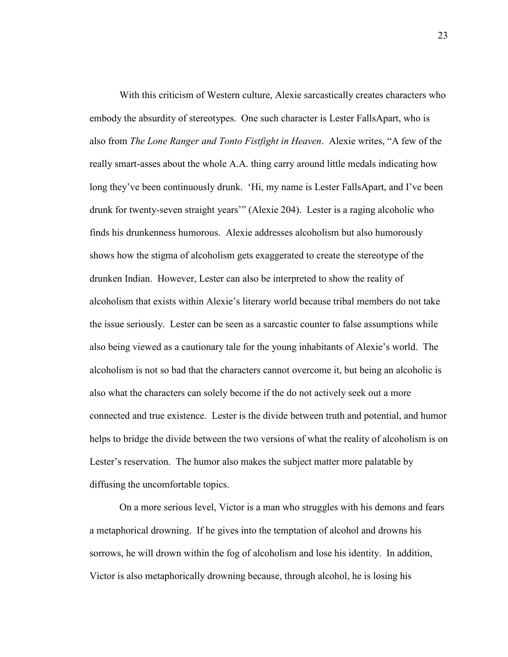With this criticism of Western culture, Alexie sarcastically creates characters who embody the absurdity of stereotypes. One such character is Lester FallsApart, who is also from *The Lone Ranger and Tonto Fistfight in Heaven*. Alexie writes, "A few of the really smart-asses about the whole A.A. thing carry around little medals indicating how long they've been continuously drunk. 'Hi, my name is Lester FallsApart, and I've been drunk for twenty-seven straight years'" (Alexie 204). Lester is a raging alcoholic who finds his drunkenness humorous. Alexie addresses alcoholism but also humorously shows how the stigma of alcoholism gets exaggerated to create the stereotype of the drunken Indian. However, Lester can also be interpreted to show the reality of alcoholism that exists within Alexie's literary world because tribal members do not take the issue seriously. Lester can be seen as a sarcastic counter to false assumptions while also being viewed as a cautionary tale for the young inhabitants of Alexie's world. The alcoholism is not so bad that the characters cannot overcome it, but being an alcoholic is also what the characters can solely become if the do not actively seek out a more connected and true existence. Lester is the divide between truth and potential, and humor helps to bridge the divide between the two versions of what the reality of alcoholism is on Lester's reservation. The humor also makes the subject matter more palatable by diffusing the uncomfortable topics.

On a more serious level, Victor is a man who struggles with his demons and fears a metaphorical drowning. If he gives into the temptation of alcohol and drowns his sorrows, he will drown within the fog of alcoholism and lose his identity. In addition, Victor is also metaphorically drowning because, through alcohol, he is losing his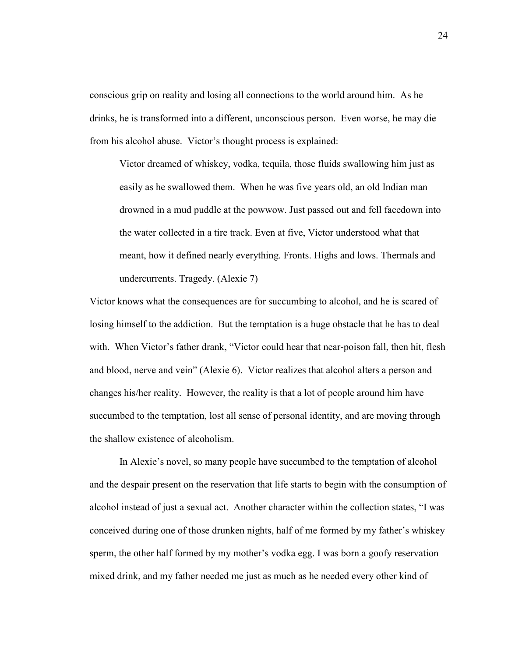conscious grip on reality and losing all connections to the world around him. As he drinks, he is transformed into a different, unconscious person. Even worse, he may die from his alcohol abuse. Victor's thought process is explained:

Victor dreamed of whiskey, vodka, tequila, those fluids swallowing him just as easily as he swallowed them. When he was five years old, an old Indian man drowned in a mud puddle at the powwow. Just passed out and fell facedown into the water collected in a tire track. Even at five, Victor understood what that meant, how it defined nearly everything. Fronts. Highs and lows. Thermals and undercurrents. Tragedy. (Alexie 7)

Victor knows what the consequences are for succumbing to alcohol, and he is scared of losing himself to the addiction. But the temptation is a huge obstacle that he has to deal with. When Victor's father drank, "Victor could hear that near-poison fall, then hit, flesh and blood, nerve and vein" (Alexie 6). Victor realizes that alcohol alters a person and changes his/her reality. However, the reality is that a lot of people around him have succumbed to the temptation, lost all sense of personal identity, and are moving through the shallow existence of alcoholism.

 In Alexie's novel, so many people have succumbed to the temptation of alcohol and the despair present on the reservation that life starts to begin with the consumption of alcohol instead of just a sexual act. Another character within the collection states, "I was conceived during one of those drunken nights, half of me formed by my father's whiskey sperm, the other half formed by my mother's vodka egg. I was born a goofy reservation mixed drink, and my father needed me just as much as he needed every other kind of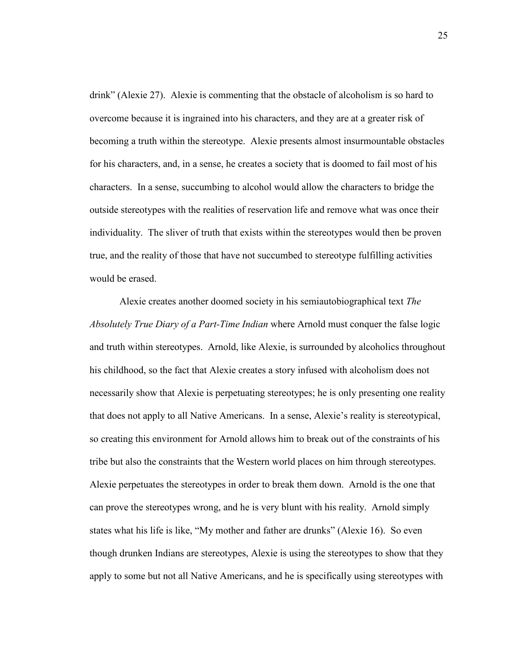drink" (Alexie 27). Alexie is commenting that the obstacle of alcoholism is so hard to overcome because it is ingrained into his characters, and they are at a greater risk of becoming a truth within the stereotype. Alexie presents almost insurmountable obstacles for his characters, and, in a sense, he creates a society that is doomed to fail most of his characters. In a sense, succumbing to alcohol would allow the characters to bridge the outside stereotypes with the realities of reservation life and remove what was once their individuality. The sliver of truth that exists within the stereotypes would then be proven true, and the reality of those that have not succumbed to stereotype fulfilling activities would be erased.

Alexie creates another doomed society in his semiautobiographical text *The Absolutely True Diary of a Part-Time Indian* where Arnold must conquer the false logic and truth within stereotypes. Arnold, like Alexie, is surrounded by alcoholics throughout his childhood, so the fact that Alexie creates a story infused with alcoholism does not necessarily show that Alexie is perpetuating stereotypes; he is only presenting one reality that does not apply to all Native Americans. In a sense, Alexie's reality is stereotypical, so creating this environment for Arnold allows him to break out of the constraints of his tribe but also the constraints that the Western world places on him through stereotypes. Alexie perpetuates the stereotypes in order to break them down. Arnold is the one that can prove the stereotypes wrong, and he is very blunt with his reality. Arnold simply states what his life is like, "My mother and father are drunks" (Alexie 16). So even though drunken Indians are stereotypes, Alexie is using the stereotypes to show that they apply to some but not all Native Americans, and he is specifically using stereotypes with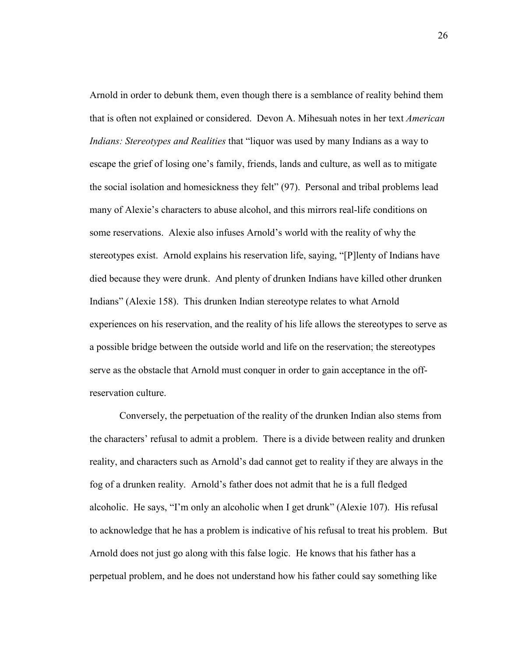Arnold in order to debunk them, even though there is a semblance of reality behind them that is often not explained or considered. Devon A. Mihesuah notes in her text *American Indians: Stereotypes and Realities* that "liquor was used by many Indians as a way to escape the grief of losing one's family, friends, lands and culture, as well as to mitigate the social isolation and homesickness they felt" (97). Personal and tribal problems lead many of Alexie's characters to abuse alcohol, and this mirrors real-life conditions on some reservations. Alexie also infuses Arnold's world with the reality of why the stereotypes exist. Arnold explains his reservation life, saying, "[P]lenty of Indians have died because they were drunk. And plenty of drunken Indians have killed other drunken Indians" (Alexie 158). This drunken Indian stereotype relates to what Arnold experiences on his reservation, and the reality of his life allows the stereotypes to serve as a possible bridge between the outside world and life on the reservation; the stereotypes serve as the obstacle that Arnold must conquer in order to gain acceptance in the offreservation culture.

Conversely, the perpetuation of the reality of the drunken Indian also stems from the characters' refusal to admit a problem. There is a divide between reality and drunken reality, and characters such as Arnold's dad cannot get to reality if they are always in the fog of a drunken reality. Arnold's father does not admit that he is a full fledged alcoholic. He says, "I'm only an alcoholic when I get drunk" (Alexie 107). His refusal to acknowledge that he has a problem is indicative of his refusal to treat his problem. But Arnold does not just go along with this false logic. He knows that his father has a perpetual problem, and he does not understand how his father could say something like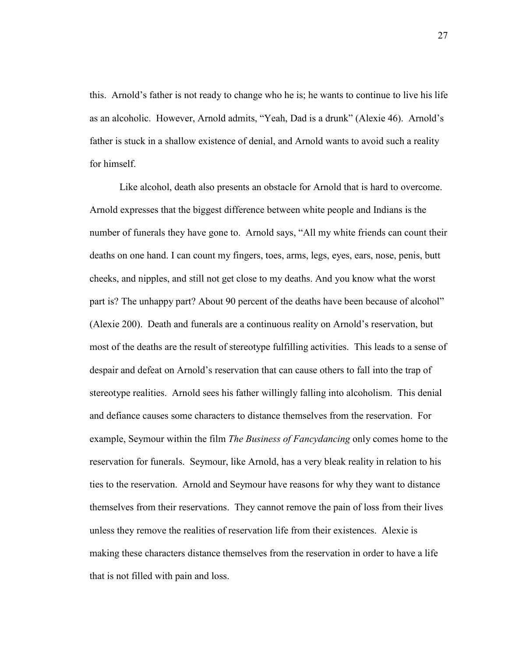this. Arnold's father is not ready to change who he is; he wants to continue to live his life as an alcoholic. However, Arnold admits, "Yeah, Dad is a drunk" (Alexie 46). Arnold's father is stuck in a shallow existence of denial, and Arnold wants to avoid such a reality for himself.

Like alcohol, death also presents an obstacle for Arnold that is hard to overcome. Arnold expresses that the biggest difference between white people and Indians is the number of funerals they have gone to. Arnold says, "All my white friends can count their deaths on one hand. I can count my fingers, toes, arms, legs, eyes, ears, nose, penis, butt cheeks, and nipples, and still not get close to my deaths. And you know what the worst part is? The unhappy part? About 90 percent of the deaths have been because of alcohol" (Alexie 200). Death and funerals are a continuous reality on Arnold's reservation, but most of the deaths are the result of stereotype fulfilling activities. This leads to a sense of despair and defeat on Arnold's reservation that can cause others to fall into the trap of stereotype realities. Arnold sees his father willingly falling into alcoholism. This denial and defiance causes some characters to distance themselves from the reservation. For example, Seymour within the film *The Business of Fancydancing* only comes home to the reservation for funerals. Seymour, like Arnold, has a very bleak reality in relation to his ties to the reservation. Arnold and Seymour have reasons for why they want to distance themselves from their reservations. They cannot remove the pain of loss from their lives unless they remove the realities of reservation life from their existences. Alexie is making these characters distance themselves from the reservation in order to have a life that is not filled with pain and loss.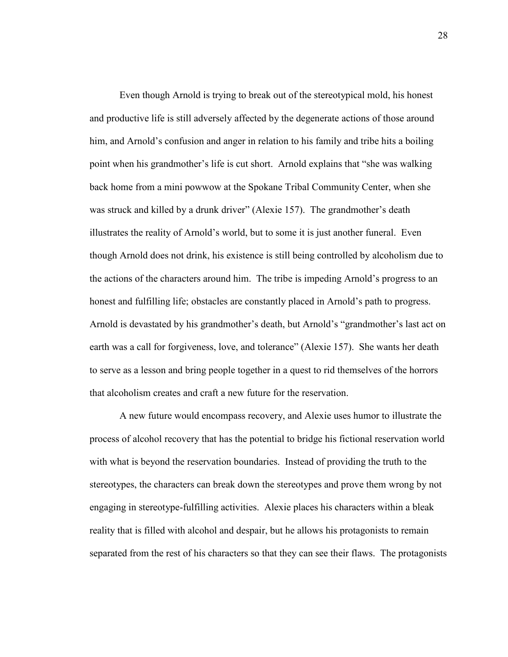Even though Arnold is trying to break out of the stereotypical mold, his honest and productive life is still adversely affected by the degenerate actions of those around him, and Arnold's confusion and anger in relation to his family and tribe hits a boiling point when his grandmother's life is cut short. Arnold explains that "she was walking back home from a mini powwow at the Spokane Tribal Community Center, when she was struck and killed by a drunk driver" (Alexie 157). The grandmother's death illustrates the reality of Arnold's world, but to some it is just another funeral. Even though Arnold does not drink, his existence is still being controlled by alcoholism due to the actions of the characters around him. The tribe is impeding Arnold's progress to an honest and fulfilling life; obstacles are constantly placed in Arnold's path to progress. Arnold is devastated by his grandmother's death, but Arnold's "grandmother's last act on earth was a call for forgiveness, love, and tolerance" (Alexie 157). She wants her death to serve as a lesson and bring people together in a quest to rid themselves of the horrors that alcoholism creates and craft a new future for the reservation.

A new future would encompass recovery, and Alexie uses humor to illustrate the process of alcohol recovery that has the potential to bridge his fictional reservation world with what is beyond the reservation boundaries. Instead of providing the truth to the stereotypes, the characters can break down the stereotypes and prove them wrong by not engaging in stereotype-fulfilling activities. Alexie places his characters within a bleak reality that is filled with alcohol and despair, but he allows his protagonists to remain separated from the rest of his characters so that they can see their flaws. The protagonists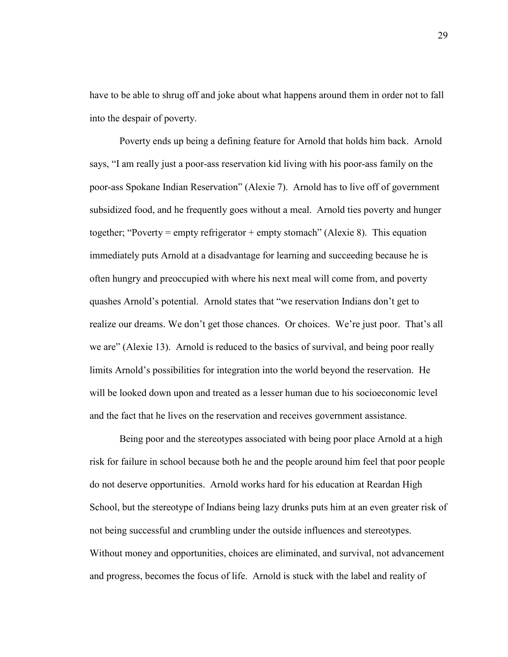have to be able to shrug off and joke about what happens around them in order not to fall into the despair of poverty.

Poverty ends up being a defining feature for Arnold that holds him back. Arnold says, "I am really just a poor-ass reservation kid living with his poor-ass family on the poor-ass Spokane Indian Reservation" (Alexie 7). Arnold has to live off of government subsidized food, and he frequently goes without a meal. Arnold ties poverty and hunger together; "Poverty = empty refrigerator + empty stomach" (Alexie 8). This equation immediately puts Arnold at a disadvantage for learning and succeeding because he is often hungry and preoccupied with where his next meal will come from, and poverty quashes Arnold's potential. Arnold states that "we reservation Indians don't get to realize our dreams. We don't get those chances. Or choices. We're just poor. That's all we are" (Alexie 13). Arnold is reduced to the basics of survival, and being poor really limits Arnold's possibilities for integration into the world beyond the reservation. He will be looked down upon and treated as a lesser human due to his socioeconomic level and the fact that he lives on the reservation and receives government assistance.

Being poor and the stereotypes associated with being poor place Arnold at a high risk for failure in school because both he and the people around him feel that poor people do not deserve opportunities. Arnold works hard for his education at Reardan High School, but the stereotype of Indians being lazy drunks puts him at an even greater risk of not being successful and crumbling under the outside influences and stereotypes. Without money and opportunities, choices are eliminated, and survival, not advancement and progress, becomes the focus of life. Arnold is stuck with the label and reality of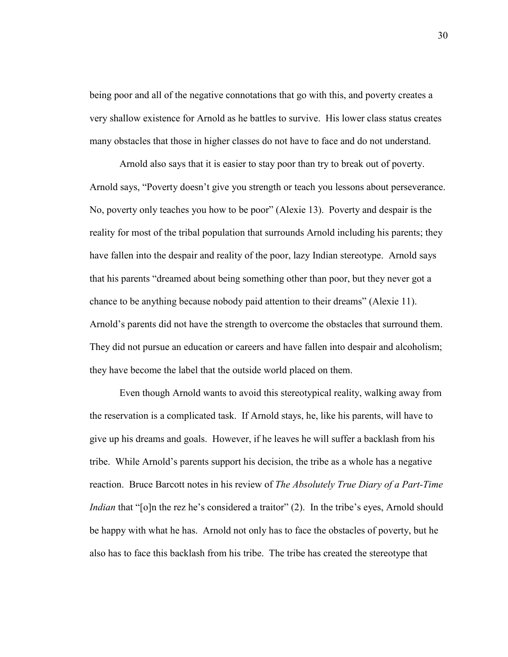being poor and all of the negative connotations that go with this, and poverty creates a very shallow existence for Arnold as he battles to survive. His lower class status creates many obstacles that those in higher classes do not have to face and do not understand.

Arnold also says that it is easier to stay poor than try to break out of poverty. Arnold says, "Poverty doesn't give you strength or teach you lessons about perseverance. No, poverty only teaches you how to be poor" (Alexie 13). Poverty and despair is the reality for most of the tribal population that surrounds Arnold including his parents; they have fallen into the despair and reality of the poor, lazy Indian stereotype. Arnold says that his parents "dreamed about being something other than poor, but they never got a chance to be anything because nobody paid attention to their dreams" (Alexie 11). Arnold's parents did not have the strength to overcome the obstacles that surround them. They did not pursue an education or careers and have fallen into despair and alcoholism; they have become the label that the outside world placed on them.

Even though Arnold wants to avoid this stereotypical reality, walking away from the reservation is a complicated task. If Arnold stays, he, like his parents, will have to give up his dreams and goals. However, if he leaves he will suffer a backlash from his tribe. While Arnold's parents support his decision, the tribe as a whole has a negative reaction. Bruce Barcott notes in his review of *The Absolutely True Diary of a Part-Time Indian* that "[o]n the rez he's considered a traitor" (2). In the tribe's eyes, Arnold should be happy with what he has. Arnold not only has to face the obstacles of poverty, but he also has to face this backlash from his tribe. The tribe has created the stereotype that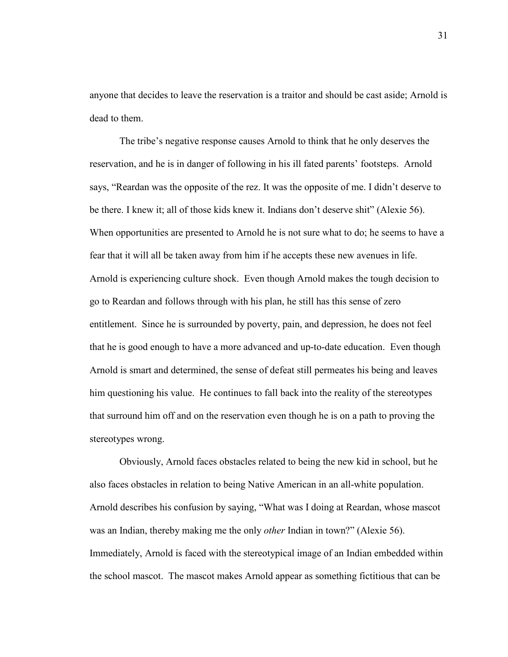anyone that decides to leave the reservation is a traitor and should be cast aside; Arnold is dead to them.

The tribe's negative response causes Arnold to think that he only deserves the reservation, and he is in danger of following in his ill fated parents' footsteps. Arnold says, "Reardan was the opposite of the rez. It was the opposite of me. I didn't deserve to be there. I knew it; all of those kids knew it. Indians don't deserve shit" (Alexie 56). When opportunities are presented to Arnold he is not sure what to do; he seems to have a fear that it will all be taken away from him if he accepts these new avenues in life. Arnold is experiencing culture shock. Even though Arnold makes the tough decision to go to Reardan and follows through with his plan, he still has this sense of zero entitlement. Since he is surrounded by poverty, pain, and depression, he does not feel that he is good enough to have a more advanced and up-to-date education. Even though Arnold is smart and determined, the sense of defeat still permeates his being and leaves him questioning his value. He continues to fall back into the reality of the stereotypes that surround him off and on the reservation even though he is on a path to proving the stereotypes wrong.

Obviously, Arnold faces obstacles related to being the new kid in school, but he also faces obstacles in relation to being Native American in an all-white population. Arnold describes his confusion by saying, "What was I doing at Reardan, whose mascot was an Indian, thereby making me the only *other* Indian in town?" (Alexie 56). Immediately, Arnold is faced with the stereotypical image of an Indian embedded within the school mascot. The mascot makes Arnold appear as something fictitious that can be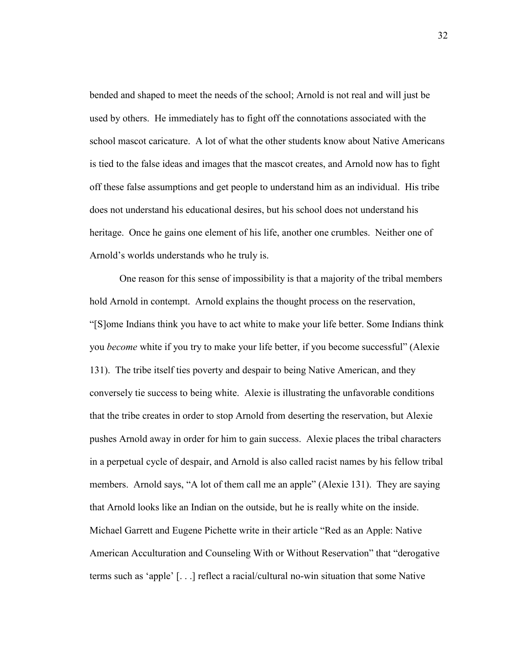bended and shaped to meet the needs of the school; Arnold is not real and will just be used by others. He immediately has to fight off the connotations associated with the school mascot caricature. A lot of what the other students know about Native Americans is tied to the false ideas and images that the mascot creates, and Arnold now has to fight off these false assumptions and get people to understand him as an individual. His tribe does not understand his educational desires, but his school does not understand his heritage. Once he gains one element of his life, another one crumbles. Neither one of Arnold's worlds understands who he truly is.

One reason for this sense of impossibility is that a majority of the tribal members hold Arnold in contempt. Arnold explains the thought process on the reservation, "[S]ome Indians think you have to act white to make your life better. Some Indians think you *become* white if you try to make your life better, if you become successful" (Alexie 131). The tribe itself ties poverty and despair to being Native American, and they conversely tie success to being white. Alexie is illustrating the unfavorable conditions that the tribe creates in order to stop Arnold from deserting the reservation, but Alexie pushes Arnold away in order for him to gain success. Alexie places the tribal characters in a perpetual cycle of despair, and Arnold is also called racist names by his fellow tribal members. Arnold says, "A lot of them call me an apple" (Alexie 131). They are saying that Arnold looks like an Indian on the outside, but he is really white on the inside. Michael Garrett and Eugene Pichette write in their article "Red as an Apple: Native American Acculturation and Counseling With or Without Reservation" that "derogative terms such as 'apple' [. . .] reflect a racial/cultural no-win situation that some Native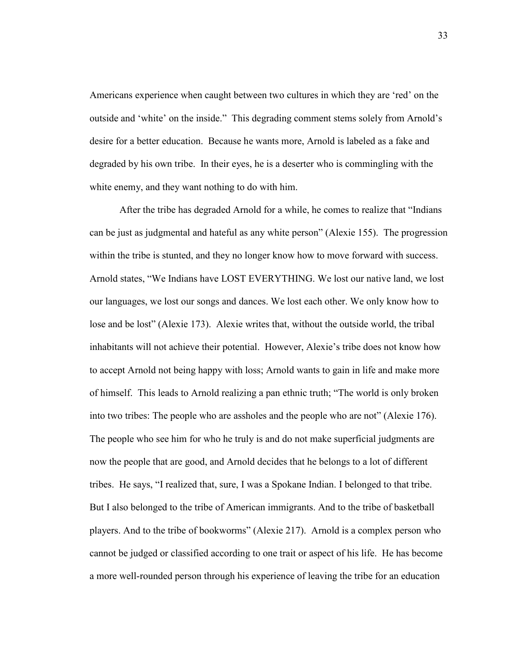Americans experience when caught between two cultures in which they are 'red' on the outside and 'white' on the inside." This degrading comment stems solely from Arnold's desire for a better education. Because he wants more, Arnold is labeled as a fake and degraded by his own tribe. In their eyes, he is a deserter who is commingling with the white enemy, and they want nothing to do with him.

After the tribe has degraded Arnold for a while, he comes to realize that "Indians can be just as judgmental and hateful as any white person" (Alexie 155). The progression within the tribe is stunted, and they no longer know how to move forward with success. Arnold states, "We Indians have LOST EVERYTHING. We lost our native land, we lost our languages, we lost our songs and dances. We lost each other. We only know how to lose and be lost" (Alexie 173). Alexie writes that, without the outside world, the tribal inhabitants will not achieve their potential. However, Alexie's tribe does not know how to accept Arnold not being happy with loss; Arnold wants to gain in life and make more of himself. This leads to Arnold realizing a pan ethnic truth; "The world is only broken into two tribes: The people who are assholes and the people who are not" (Alexie 176). The people who see him for who he truly is and do not make superficial judgments are now the people that are good, and Arnold decides that he belongs to a lot of different tribes. He says, "I realized that, sure, I was a Spokane Indian. I belonged to that tribe. But I also belonged to the tribe of American immigrants. And to the tribe of basketball players. And to the tribe of bookworms" (Alexie 217). Arnold is a complex person who cannot be judged or classified according to one trait or aspect of his life. He has become a more well-rounded person through his experience of leaving the tribe for an education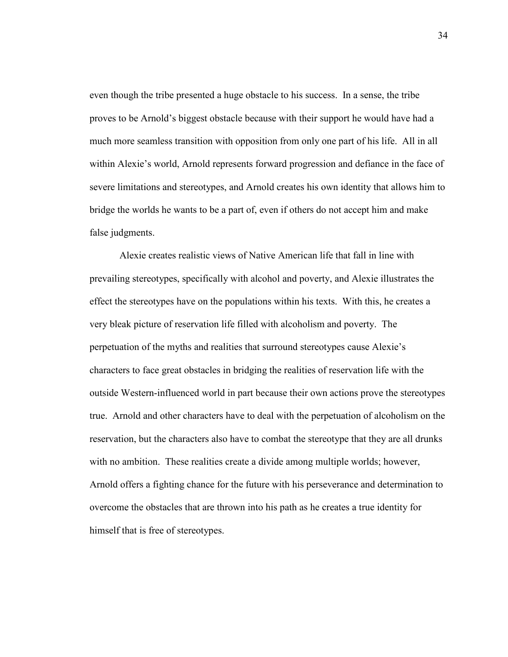even though the tribe presented a huge obstacle to his success. In a sense, the tribe proves to be Arnold's biggest obstacle because with their support he would have had a much more seamless transition with opposition from only one part of his life. All in all within Alexie's world, Arnold represents forward progression and defiance in the face of severe limitations and stereotypes, and Arnold creates his own identity that allows him to bridge the worlds he wants to be a part of, even if others do not accept him and make false judgments.

Alexie creates realistic views of Native American life that fall in line with prevailing stereotypes, specifically with alcohol and poverty, and Alexie illustrates the effect the stereotypes have on the populations within his texts. With this, he creates a very bleak picture of reservation life filled with alcoholism and poverty. The perpetuation of the myths and realities that surround stereotypes cause Alexie's characters to face great obstacles in bridging the realities of reservation life with the outside Western-influenced world in part because their own actions prove the stereotypes true. Arnold and other characters have to deal with the perpetuation of alcoholism on the reservation, but the characters also have to combat the stereotype that they are all drunks with no ambition. These realities create a divide among multiple worlds; however, Arnold offers a fighting chance for the future with his perseverance and determination to overcome the obstacles that are thrown into his path as he creates a true identity for himself that is free of stereotypes.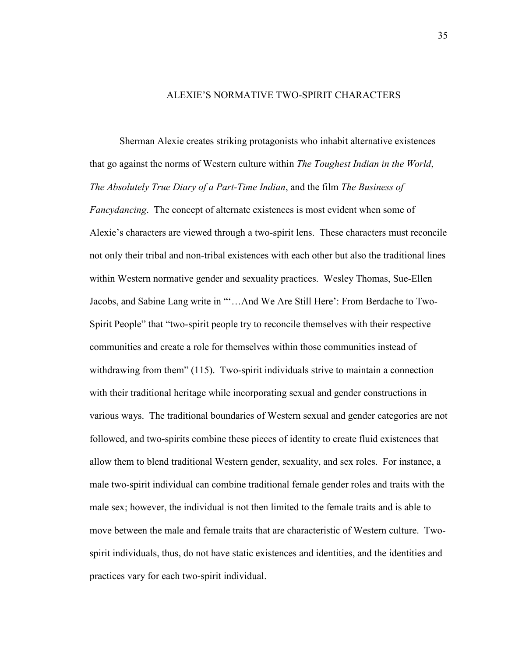## ALEXIE'S NORMATIVE TWO-SPIRIT CHARACTERS

 Sherman Alexie creates striking protagonists who inhabit alternative existences that go against the norms of Western culture within *The Toughest Indian in the World*, *The Absolutely True Diary of a Part-Time Indian*, and the film *The Business of Fancydancing*. The concept of alternate existences is most evident when some of Alexie's characters are viewed through a two-spirit lens. These characters must reconcile not only their tribal and non-tribal existences with each other but also the traditional lines within Western normative gender and sexuality practices. Wesley Thomas, Sue-Ellen Jacobs, and Sabine Lang write in "'…And We Are Still Here': From Berdache to Two-Spirit People" that "two-spirit people try to reconcile themselves with their respective communities and create a role for themselves within those communities instead of withdrawing from them" (115). Two-spirit individuals strive to maintain a connection with their traditional heritage while incorporating sexual and gender constructions in various ways. The traditional boundaries of Western sexual and gender categories are not followed, and two-spirits combine these pieces of identity to create fluid existences that allow them to blend traditional Western gender, sexuality, and sex roles. For instance, a male two-spirit individual can combine traditional female gender roles and traits with the male sex; however, the individual is not then limited to the female traits and is able to move between the male and female traits that are characteristic of Western culture. Twospirit individuals, thus, do not have static existences and identities, and the identities and practices vary for each two-spirit individual.

35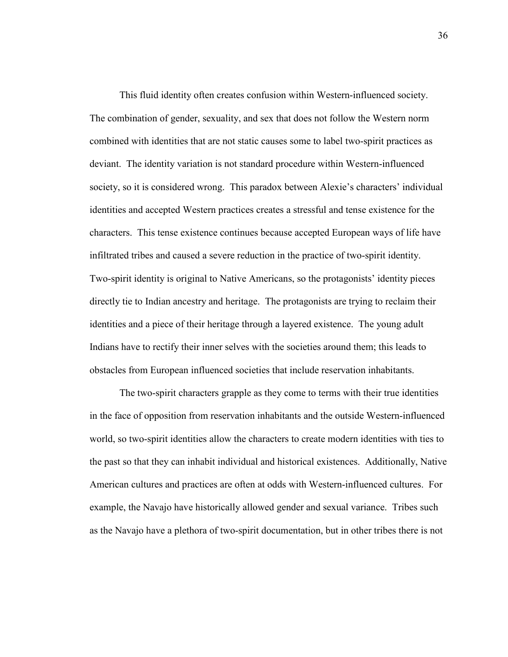This fluid identity often creates confusion within Western-influenced society. The combination of gender, sexuality, and sex that does not follow the Western norm combined with identities that are not static causes some to label two-spirit practices as deviant. The identity variation is not standard procedure within Western-influenced society, so it is considered wrong. This paradox between Alexie's characters' individual identities and accepted Western practices creates a stressful and tense existence for the characters. This tense existence continues because accepted European ways of life have infiltrated tribes and caused a severe reduction in the practice of two-spirit identity. Two-spirit identity is original to Native Americans, so the protagonists' identity pieces directly tie to Indian ancestry and heritage. The protagonists are trying to reclaim their identities and a piece of their heritage through a layered existence. The young adult Indians have to rectify their inner selves with the societies around them; this leads to obstacles from European influenced societies that include reservation inhabitants.

The two-spirit characters grapple as they come to terms with their true identities in the face of opposition from reservation inhabitants and the outside Western-influenced world, so two-spirit identities allow the characters to create modern identities with ties to the past so that they can inhabit individual and historical existences. Additionally, Native American cultures and practices are often at odds with Western-influenced cultures. For example, the Navajo have historically allowed gender and sexual variance. Tribes such as the Navajo have a plethora of two-spirit documentation, but in other tribes there is not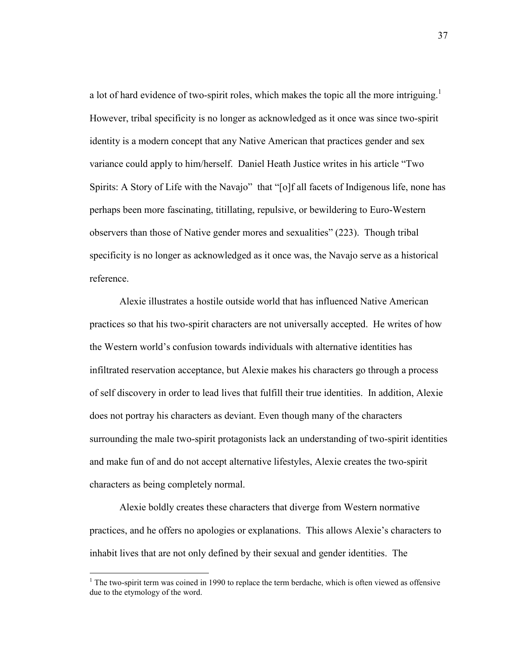a lot of hard evidence of two-spirit roles, which makes the topic all the more intriguing.<sup>1</sup> However, tribal specificity is no longer as acknowledged as it once was since two-spirit identity is a modern concept that any Native American that practices gender and sex variance could apply to him/herself. Daniel Heath Justice writes in his article "Two Spirits: A Story of Life with the Navajo" that "[o]f all facets of Indigenous life, none has perhaps been more fascinating, titillating, repulsive, or bewildering to Euro-Western observers than those of Native gender mores and sexualities" (223). Though tribal specificity is no longer as acknowledged as it once was, the Navajo serve as a historical reference.

Alexie illustrates a hostile outside world that has influenced Native American practices so that his two-spirit characters are not universally accepted. He writes of how the Western world's confusion towards individuals with alternative identities has infiltrated reservation acceptance, but Alexie makes his characters go through a process of self discovery in order to lead lives that fulfill their true identities. In addition, Alexie does not portray his characters as deviant. Even though many of the characters surrounding the male two-spirit protagonists lack an understanding of two-spirit identities and make fun of and do not accept alternative lifestyles, Alexie creates the two-spirit characters as being completely normal.

Alexie boldly creates these characters that diverge from Western normative practices, and he offers no apologies or explanations. This allows Alexie's characters to inhabit lives that are not only defined by their sexual and gender identities. The

<sup>&</sup>lt;sup>1</sup> The two-spirit term was coined in 1990 to replace the term berdache, which is often viewed as offensive due to the etymology of the word.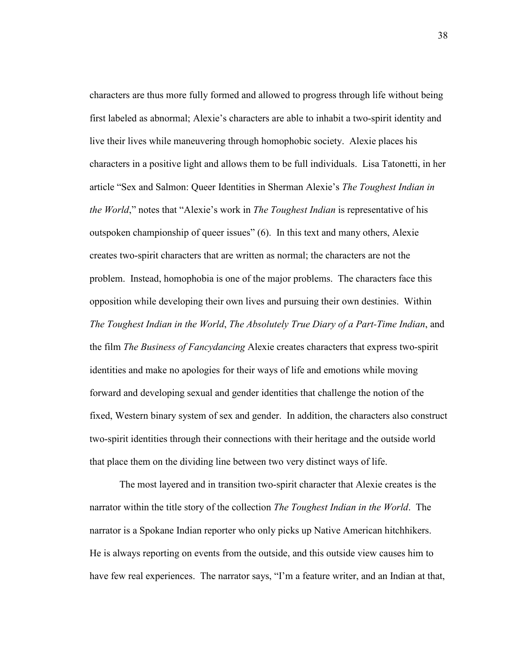characters are thus more fully formed and allowed to progress through life without being first labeled as abnormal; Alexie's characters are able to inhabit a two-spirit identity and live their lives while maneuvering through homophobic society. Alexie places his characters in a positive light and allows them to be full individuals. Lisa Tatonetti, in her article "Sex and Salmon: Queer Identities in Sherman Alexie's *The Toughest Indian in the World*," notes that "Alexie's work in *The Toughest Indian* is representative of his outspoken championship of queer issues" (6). In this text and many others, Alexie creates two-spirit characters that are written as normal; the characters are not the problem. Instead, homophobia is one of the major problems. The characters face this opposition while developing their own lives and pursuing their own destinies. Within *The Toughest Indian in the World*, *The Absolutely True Diary of a Part-Time Indian*, and the film *The Business of Fancydancing* Alexie creates characters that express two-spirit identities and make no apologies for their ways of life and emotions while moving forward and developing sexual and gender identities that challenge the notion of the fixed, Western binary system of sex and gender. In addition, the characters also construct two-spirit identities through their connections with their heritage and the outside world that place them on the dividing line between two very distinct ways of life.

 The most layered and in transition two-spirit character that Alexie creates is the narrator within the title story of the collection *The Toughest Indian in the World*. The narrator is a Spokane Indian reporter who only picks up Native American hitchhikers. He is always reporting on events from the outside, and this outside view causes him to have few real experiences. The narrator says, "I'm a feature writer, and an Indian at that,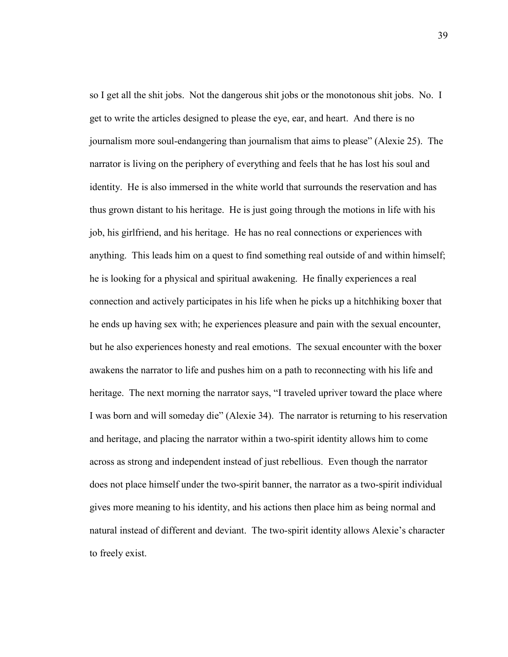so I get all the shit jobs. Not the dangerous shit jobs or the monotonous shit jobs. No. I get to write the articles designed to please the eye, ear, and heart. And there is no journalism more soul-endangering than journalism that aims to please" (Alexie 25). The narrator is living on the periphery of everything and feels that he has lost his soul and identity. He is also immersed in the white world that surrounds the reservation and has thus grown distant to his heritage. He is just going through the motions in life with his job, his girlfriend, and his heritage. He has no real connections or experiences with anything. This leads him on a quest to find something real outside of and within himself; he is looking for a physical and spiritual awakening. He finally experiences a real connection and actively participates in his life when he picks up a hitchhiking boxer that he ends up having sex with; he experiences pleasure and pain with the sexual encounter, but he also experiences honesty and real emotions. The sexual encounter with the boxer awakens the narrator to life and pushes him on a path to reconnecting with his life and heritage. The next morning the narrator says, "I traveled upriver toward the place where I was born and will someday die" (Alexie 34). The narrator is returning to his reservation and heritage, and placing the narrator within a two-spirit identity allows him to come across as strong and independent instead of just rebellious. Even though the narrator does not place himself under the two-spirit banner, the narrator as a two-spirit individual gives more meaning to his identity, and his actions then place him as being normal and natural instead of different and deviant. The two-spirit identity allows Alexie's character to freely exist.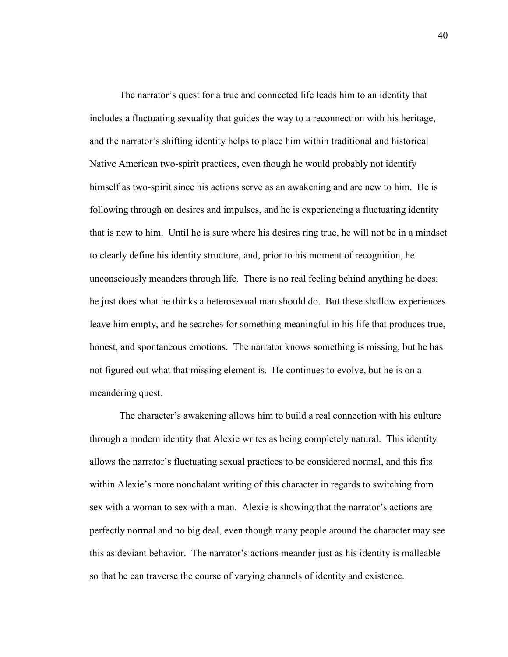The narrator's quest for a true and connected life leads him to an identity that includes a fluctuating sexuality that guides the way to a reconnection with his heritage, and the narrator's shifting identity helps to place him within traditional and historical Native American two-spirit practices, even though he would probably not identify himself as two-spirit since his actions serve as an awakening and are new to him. He is following through on desires and impulses, and he is experiencing a fluctuating identity that is new to him. Until he is sure where his desires ring true, he will not be in a mindset to clearly define his identity structure, and, prior to his moment of recognition, he unconsciously meanders through life. There is no real feeling behind anything he does; he just does what he thinks a heterosexual man should do. But these shallow experiences leave him empty, and he searches for something meaningful in his life that produces true, honest, and spontaneous emotions. The narrator knows something is missing, but he has not figured out what that missing element is. He continues to evolve, but he is on a meandering quest.

The character's awakening allows him to build a real connection with his culture through a modern identity that Alexie writes as being completely natural. This identity allows the narrator's fluctuating sexual practices to be considered normal, and this fits within Alexie's more nonchalant writing of this character in regards to switching from sex with a woman to sex with a man. Alexie is showing that the narrator's actions are perfectly normal and no big deal, even though many people around the character may see this as deviant behavior. The narrator's actions meander just as his identity is malleable so that he can traverse the course of varying channels of identity and existence.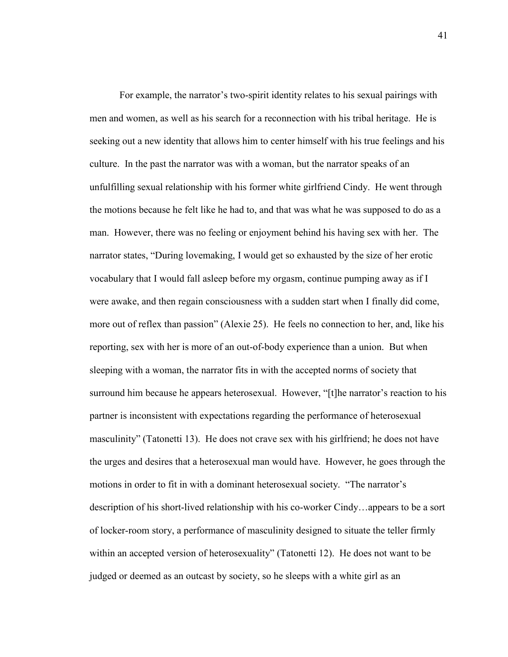For example, the narrator's two-spirit identity relates to his sexual pairings with men and women, as well as his search for a reconnection with his tribal heritage. He is seeking out a new identity that allows him to center himself with his true feelings and his culture. In the past the narrator was with a woman, but the narrator speaks of an unfulfilling sexual relationship with his former white girlfriend Cindy. He went through the motions because he felt like he had to, and that was what he was supposed to do as a man. However, there was no feeling or enjoyment behind his having sex with her. The narrator states, "During lovemaking, I would get so exhausted by the size of her erotic vocabulary that I would fall asleep before my orgasm, continue pumping away as if I were awake, and then regain consciousness with a sudden start when I finally did come, more out of reflex than passion" (Alexie 25). He feels no connection to her, and, like his reporting, sex with her is more of an out-of-body experience than a union. But when sleeping with a woman, the narrator fits in with the accepted norms of society that surround him because he appears heterosexual. However, "[t]he narrator's reaction to his partner is inconsistent with expectations regarding the performance of heterosexual masculinity" (Tatonetti 13). He does not crave sex with his girlfriend; he does not have the urges and desires that a heterosexual man would have. However, he goes through the motions in order to fit in with a dominant heterosexual society. "The narrator's description of his short-lived relationship with his co-worker Cindy…appears to be a sort of locker-room story, a performance of masculinity designed to situate the teller firmly within an accepted version of heterosexuality" (Tatonetti 12). He does not want to be judged or deemed as an outcast by society, so he sleeps with a white girl as an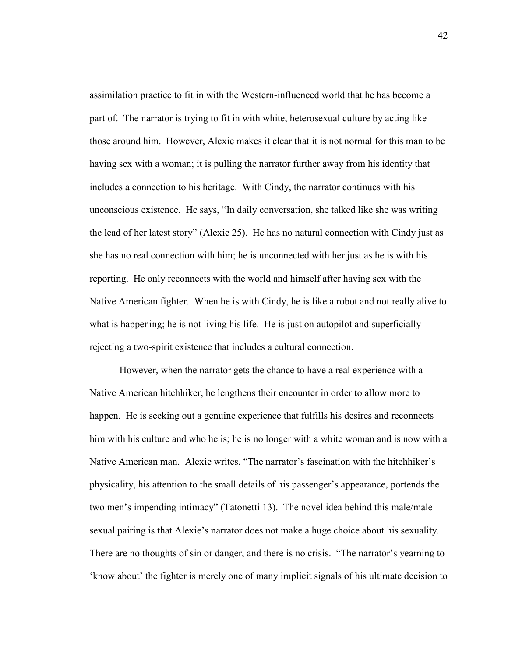assimilation practice to fit in with the Western-influenced world that he has become a part of. The narrator is trying to fit in with white, heterosexual culture by acting like those around him. However, Alexie makes it clear that it is not normal for this man to be having sex with a woman; it is pulling the narrator further away from his identity that includes a connection to his heritage. With Cindy, the narrator continues with his unconscious existence. He says, "In daily conversation, she talked like she was writing the lead of her latest story" (Alexie 25). He has no natural connection with Cindy just as she has no real connection with him; he is unconnected with her just as he is with his reporting. He only reconnects with the world and himself after having sex with the Native American fighter. When he is with Cindy, he is like a robot and not really alive to what is happening; he is not living his life. He is just on autopilot and superficially rejecting a two-spirit existence that includes a cultural connection.

 However, when the narrator gets the chance to have a real experience with a Native American hitchhiker, he lengthens their encounter in order to allow more to happen. He is seeking out a genuine experience that fulfills his desires and reconnects him with his culture and who he is; he is no longer with a white woman and is now with a Native American man. Alexie writes, "The narrator's fascination with the hitchhiker's physicality, his attention to the small details of his passenger's appearance, portends the two men's impending intimacy" (Tatonetti 13). The novel idea behind this male/male sexual pairing is that Alexie's narrator does not make a huge choice about his sexuality. There are no thoughts of sin or danger, and there is no crisis. "The narrator's yearning to 'know about' the fighter is merely one of many implicit signals of his ultimate decision to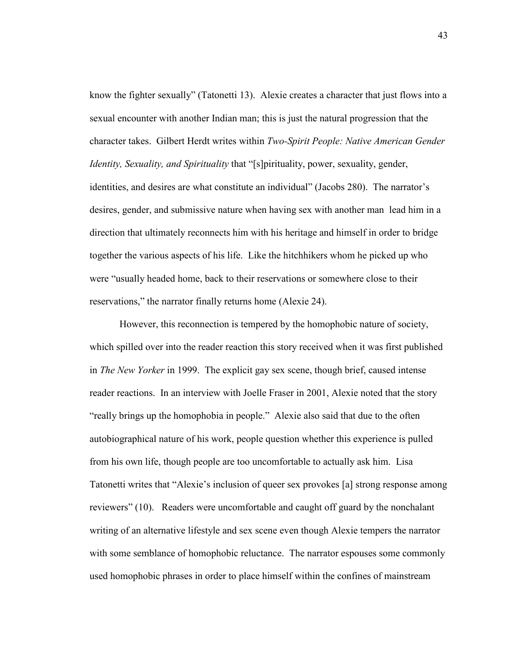know the fighter sexually" (Tatonetti 13). Alexie creates a character that just flows into a sexual encounter with another Indian man; this is just the natural progression that the character takes. Gilbert Herdt writes within *Two-Spirit People: Native American Gender Identity, Sexuality, and Spirituality* that "[s]pirituality, power, sexuality, gender, identities, and desires are what constitute an individual" (Jacobs 280). The narrator's desires, gender, and submissive nature when having sex with another man lead him in a direction that ultimately reconnects him with his heritage and himself in order to bridge together the various aspects of his life. Like the hitchhikers whom he picked up who were "usually headed home, back to their reservations or somewhere close to their reservations," the narrator finally returns home (Alexie 24).

However, this reconnection is tempered by the homophobic nature of society, which spilled over into the reader reaction this story received when it was first published in *The New Yorker* in 1999. The explicit gay sex scene, though brief, caused intense reader reactions. In an interview with Joelle Fraser in 2001, Alexie noted that the story "really brings up the homophobia in people." Alexie also said that due to the often autobiographical nature of his work, people question whether this experience is pulled from his own life, though people are too uncomfortable to actually ask him. Lisa Tatonetti writes that "Alexie's inclusion of queer sex provokes [a] strong response among reviewers" (10). Readers were uncomfortable and caught off guard by the nonchalant writing of an alternative lifestyle and sex scene even though Alexie tempers the narrator with some semblance of homophobic reluctance. The narrator espouses some commonly used homophobic phrases in order to place himself within the confines of mainstream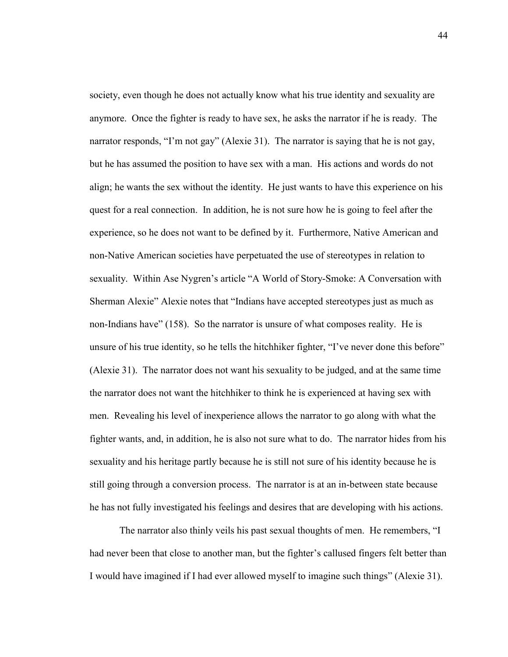society, even though he does not actually know what his true identity and sexuality are anymore. Once the fighter is ready to have sex, he asks the narrator if he is ready. The narrator responds, "I'm not gay" (Alexie 31). The narrator is saying that he is not gay, but he has assumed the position to have sex with a man. His actions and words do not align; he wants the sex without the identity. He just wants to have this experience on his quest for a real connection. In addition, he is not sure how he is going to feel after the experience, so he does not want to be defined by it. Furthermore, Native American and non-Native American societies have perpetuated the use of stereotypes in relation to sexuality. Within Ase Nygren's article "A World of Story-Smoke: A Conversation with Sherman Alexie" Alexie notes that "Indians have accepted stereotypes just as much as non-Indians have" (158). So the narrator is unsure of what composes reality. He is unsure of his true identity, so he tells the hitchhiker fighter, "I've never done this before" (Alexie 31). The narrator does not want his sexuality to be judged, and at the same time the narrator does not want the hitchhiker to think he is experienced at having sex with men. Revealing his level of inexperience allows the narrator to go along with what the fighter wants, and, in addition, he is also not sure what to do. The narrator hides from his sexuality and his heritage partly because he is still not sure of his identity because he is still going through a conversion process. The narrator is at an in-between state because he has not fully investigated his feelings and desires that are developing with his actions.

The narrator also thinly veils his past sexual thoughts of men. He remembers, "I had never been that close to another man, but the fighter's callused fingers felt better than I would have imagined if I had ever allowed myself to imagine such things" (Alexie 31).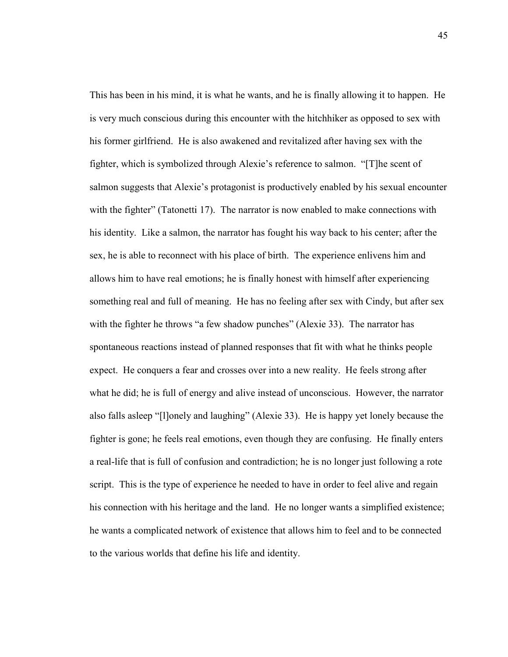This has been in his mind, it is what he wants, and he is finally allowing it to happen. He is very much conscious during this encounter with the hitchhiker as opposed to sex with his former girlfriend. He is also awakened and revitalized after having sex with the fighter, which is symbolized through Alexie's reference to salmon. "[T]he scent of salmon suggests that Alexie's protagonist is productively enabled by his sexual encounter with the fighter" (Tatonetti 17). The narrator is now enabled to make connections with his identity. Like a salmon, the narrator has fought his way back to his center; after the sex, he is able to reconnect with his place of birth. The experience enlivens him and allows him to have real emotions; he is finally honest with himself after experiencing something real and full of meaning. He has no feeling after sex with Cindy, but after sex with the fighter he throws "a few shadow punches" (Alexie 33). The narrator has spontaneous reactions instead of planned responses that fit with what he thinks people expect. He conquers a fear and crosses over into a new reality. He feels strong after what he did; he is full of energy and alive instead of unconscious. However, the narrator also falls asleep "[l]onely and laughing" (Alexie 33). He is happy yet lonely because the fighter is gone; he feels real emotions, even though they are confusing. He finally enters a real-life that is full of confusion and contradiction; he is no longer just following a rote script. This is the type of experience he needed to have in order to feel alive and regain his connection with his heritage and the land. He no longer wants a simplified existence; he wants a complicated network of existence that allows him to feel and to be connected to the various worlds that define his life and identity.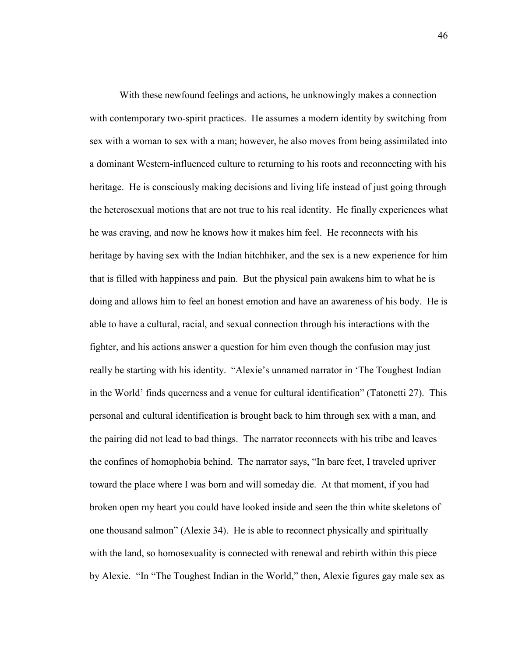With these newfound feelings and actions, he unknowingly makes a connection with contemporary two-spirit practices. He assumes a modern identity by switching from sex with a woman to sex with a man; however, he also moves from being assimilated into a dominant Western-influenced culture to returning to his roots and reconnecting with his heritage. He is consciously making decisions and living life instead of just going through the heterosexual motions that are not true to his real identity. He finally experiences what he was craving, and now he knows how it makes him feel. He reconnects with his heritage by having sex with the Indian hitchhiker, and the sex is a new experience for him that is filled with happiness and pain. But the physical pain awakens him to what he is doing and allows him to feel an honest emotion and have an awareness of his body. He is able to have a cultural, racial, and sexual connection through his interactions with the fighter, and his actions answer a question for him even though the confusion may just really be starting with his identity. "Alexie's unnamed narrator in 'The Toughest Indian in the World' finds queerness and a venue for cultural identification" (Tatonetti 27). This personal and cultural identification is brought back to him through sex with a man, and the pairing did not lead to bad things. The narrator reconnects with his tribe and leaves the confines of homophobia behind. The narrator says, "In bare feet, I traveled upriver toward the place where I was born and will someday die. At that moment, if you had broken open my heart you could have looked inside and seen the thin white skeletons of one thousand salmon" (Alexie 34). He is able to reconnect physically and spiritually with the land, so homosexuality is connected with renewal and rebirth within this piece by Alexie. "In "The Toughest Indian in the World," then, Alexie figures gay male sex as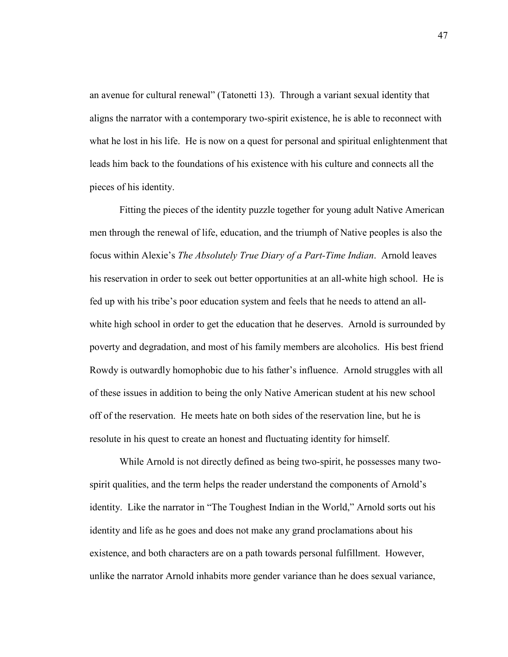an avenue for cultural renewal" (Tatonetti 13). Through a variant sexual identity that aligns the narrator with a contemporary two-spirit existence, he is able to reconnect with what he lost in his life. He is now on a quest for personal and spiritual enlightenment that leads him back to the foundations of his existence with his culture and connects all the pieces of his identity.

Fitting the pieces of the identity puzzle together for young adult Native American men through the renewal of life, education, and the triumph of Native peoples is also the focus within Alexie's *The Absolutely True Diary of a Part-Time Indian*. Arnold leaves his reservation in order to seek out better opportunities at an all-white high school. He is fed up with his tribe's poor education system and feels that he needs to attend an allwhite high school in order to get the education that he deserves. Arnold is surrounded by poverty and degradation, and most of his family members are alcoholics. His best friend Rowdy is outwardly homophobic due to his father's influence. Arnold struggles with all of these issues in addition to being the only Native American student at his new school off of the reservation. He meets hate on both sides of the reservation line, but he is resolute in his quest to create an honest and fluctuating identity for himself.

While Arnold is not directly defined as being two-spirit, he possesses many twospirit qualities, and the term helps the reader understand the components of Arnold's identity. Like the narrator in "The Toughest Indian in the World," Arnold sorts out his identity and life as he goes and does not make any grand proclamations about his existence, and both characters are on a path towards personal fulfillment. However, unlike the narrator Arnold inhabits more gender variance than he does sexual variance,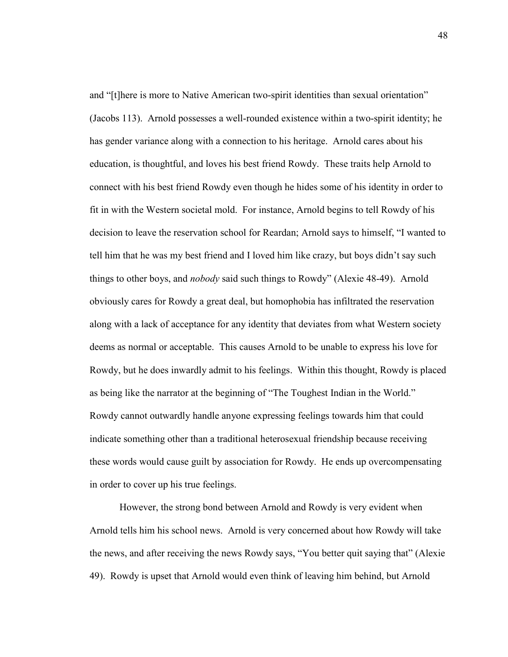and "[t]here is more to Native American two-spirit identities than sexual orientation" (Jacobs 113). Arnold possesses a well-rounded existence within a two-spirit identity; he has gender variance along with a connection to his heritage. Arnold cares about his education, is thoughtful, and loves his best friend Rowdy. These traits help Arnold to connect with his best friend Rowdy even though he hides some of his identity in order to fit in with the Western societal mold. For instance, Arnold begins to tell Rowdy of his decision to leave the reservation school for Reardan; Arnold says to himself, "I wanted to tell him that he was my best friend and I loved him like crazy, but boys didn't say such things to other boys, and *nobody* said such things to Rowdy" (Alexie 48-49). Arnold obviously cares for Rowdy a great deal, but homophobia has infiltrated the reservation along with a lack of acceptance for any identity that deviates from what Western society deems as normal or acceptable. This causes Arnold to be unable to express his love for Rowdy, but he does inwardly admit to his feelings. Within this thought, Rowdy is placed as being like the narrator at the beginning of "The Toughest Indian in the World." Rowdy cannot outwardly handle anyone expressing feelings towards him that could indicate something other than a traditional heterosexual friendship because receiving these words would cause guilt by association for Rowdy. He ends up overcompensating in order to cover up his true feelings.

 However, the strong bond between Arnold and Rowdy is very evident when Arnold tells him his school news. Arnold is very concerned about how Rowdy will take the news, and after receiving the news Rowdy says, "You better quit saying that" (Alexie 49). Rowdy is upset that Arnold would even think of leaving him behind, but Arnold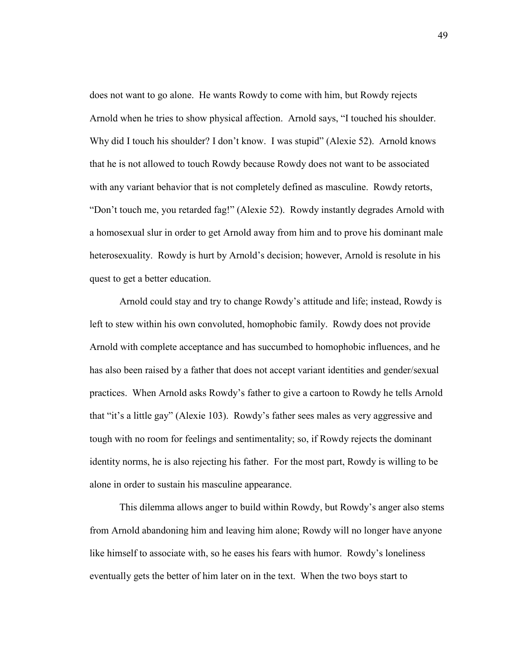does not want to go alone. He wants Rowdy to come with him, but Rowdy rejects Arnold when he tries to show physical affection. Arnold says, "I touched his shoulder. Why did I touch his shoulder? I don't know. I was stupid" (Alexie 52). Arnold knows that he is not allowed to touch Rowdy because Rowdy does not want to be associated with any variant behavior that is not completely defined as masculine. Rowdy retorts, "Don't touch me, you retarded fag!" (Alexie 52). Rowdy instantly degrades Arnold with a homosexual slur in order to get Arnold away from him and to prove his dominant male heterosexuality. Rowdy is hurt by Arnold's decision; however, Arnold is resolute in his quest to get a better education.

Arnold could stay and try to change Rowdy's attitude and life; instead, Rowdy is left to stew within his own convoluted, homophobic family. Rowdy does not provide Arnold with complete acceptance and has succumbed to homophobic influences, and he has also been raised by a father that does not accept variant identities and gender/sexual practices. When Arnold asks Rowdy's father to give a cartoon to Rowdy he tells Arnold that "it's a little gay" (Alexie 103). Rowdy's father sees males as very aggressive and tough with no room for feelings and sentimentality; so, if Rowdy rejects the dominant identity norms, he is also rejecting his father. For the most part, Rowdy is willing to be alone in order to sustain his masculine appearance.

This dilemma allows anger to build within Rowdy, but Rowdy's anger also stems from Arnold abandoning him and leaving him alone; Rowdy will no longer have anyone like himself to associate with, so he eases his fears with humor. Rowdy's loneliness eventually gets the better of him later on in the text. When the two boys start to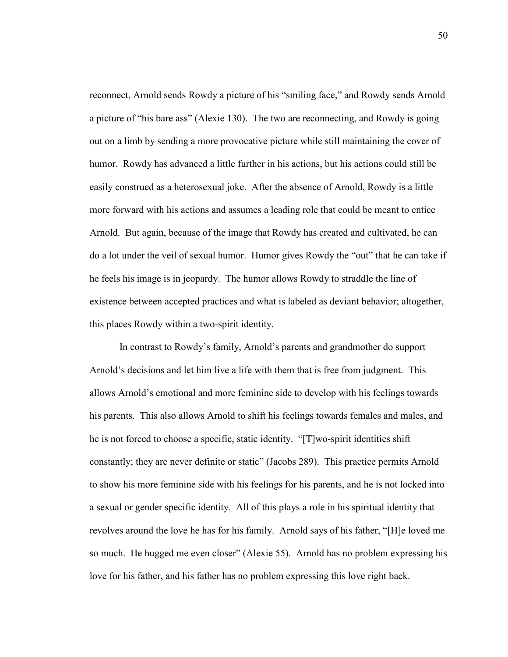reconnect, Arnold sends Rowdy a picture of his "smiling face," and Rowdy sends Arnold a picture of "his bare ass" (Alexie 130). The two are reconnecting, and Rowdy is going out on a limb by sending a more provocative picture while still maintaining the cover of humor. Rowdy has advanced a little further in his actions, but his actions could still be easily construed as a heterosexual joke. After the absence of Arnold, Rowdy is a little more forward with his actions and assumes a leading role that could be meant to entice Arnold. But again, because of the image that Rowdy has created and cultivated, he can do a lot under the veil of sexual humor. Humor gives Rowdy the "out" that he can take if he feels his image is in jeopardy. The humor allows Rowdy to straddle the line of existence between accepted practices and what is labeled as deviant behavior; altogether, this places Rowdy within a two-spirit identity.

 In contrast to Rowdy's family, Arnold's parents and grandmother do support Arnold's decisions and let him live a life with them that is free from judgment. This allows Arnold's emotional and more feminine side to develop with his feelings towards his parents. This also allows Arnold to shift his feelings towards females and males, and he is not forced to choose a specific, static identity. "[T]wo-spirit identities shift constantly; they are never definite or static" (Jacobs 289). This practice permits Arnold to show his more feminine side with his feelings for his parents, and he is not locked into a sexual or gender specific identity. All of this plays a role in his spiritual identity that revolves around the love he has for his family. Arnold says of his father, "[H]e loved me so much. He hugged me even closer" (Alexie 55). Arnold has no problem expressing his love for his father, and his father has no problem expressing this love right back.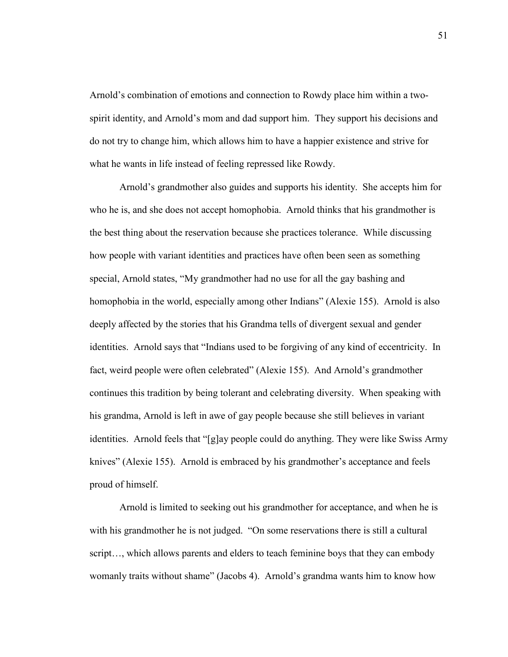Arnold's combination of emotions and connection to Rowdy place him within a twospirit identity, and Arnold's mom and dad support him. They support his decisions and do not try to change him, which allows him to have a happier existence and strive for what he wants in life instead of feeling repressed like Rowdy.

 Arnold's grandmother also guides and supports his identity. She accepts him for who he is, and she does not accept homophobia. Arnold thinks that his grandmother is the best thing about the reservation because she practices tolerance. While discussing how people with variant identities and practices have often been seen as something special, Arnold states, "My grandmother had no use for all the gay bashing and homophobia in the world, especially among other Indians" (Alexie 155). Arnold is also deeply affected by the stories that his Grandma tells of divergent sexual and gender identities. Arnold says that "Indians used to be forgiving of any kind of eccentricity. In fact, weird people were often celebrated" (Alexie 155). And Arnold's grandmother continues this tradition by being tolerant and celebrating diversity. When speaking with his grandma, Arnold is left in awe of gay people because she still believes in variant identities. Arnold feels that "[g]ay people could do anything. They were like Swiss Army knives" (Alexie 155). Arnold is embraced by his grandmother's acceptance and feels proud of himself.

Arnold is limited to seeking out his grandmother for acceptance, and when he is with his grandmother he is not judged. "On some reservations there is still a cultural script…, which allows parents and elders to teach feminine boys that they can embody womanly traits without shame" (Jacobs 4). Arnold's grandma wants him to know how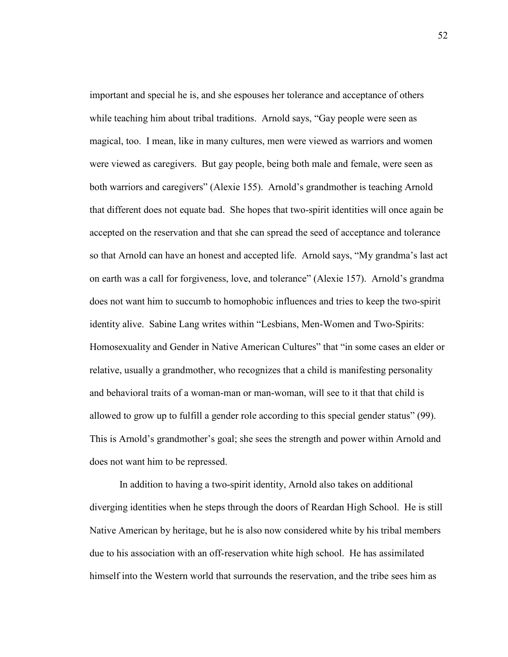important and special he is, and she espouses her tolerance and acceptance of others while teaching him about tribal traditions. Arnold says, "Gay people were seen as magical, too. I mean, like in many cultures, men were viewed as warriors and women were viewed as caregivers. But gay people, being both male and female, were seen as both warriors and caregivers" (Alexie 155). Arnold's grandmother is teaching Arnold that different does not equate bad. She hopes that two-spirit identities will once again be accepted on the reservation and that she can spread the seed of acceptance and tolerance so that Arnold can have an honest and accepted life. Arnold says, "My grandma's last act on earth was a call for forgiveness, love, and tolerance" (Alexie 157). Arnold's grandma does not want him to succumb to homophobic influences and tries to keep the two-spirit identity alive. Sabine Lang writes within "Lesbians, Men-Women and Two-Spirits: Homosexuality and Gender in Native American Cultures" that "in some cases an elder or relative, usually a grandmother, who recognizes that a child is manifesting personality and behavioral traits of a woman-man or man-woman, will see to it that that child is allowed to grow up to fulfill a gender role according to this special gender status" (99). This is Arnold's grandmother's goal; she sees the strength and power within Arnold and does not want him to be repressed.

 In addition to having a two-spirit identity, Arnold also takes on additional diverging identities when he steps through the doors of Reardan High School. He is still Native American by heritage, but he is also now considered white by his tribal members due to his association with an off-reservation white high school. He has assimilated himself into the Western world that surrounds the reservation, and the tribe sees him as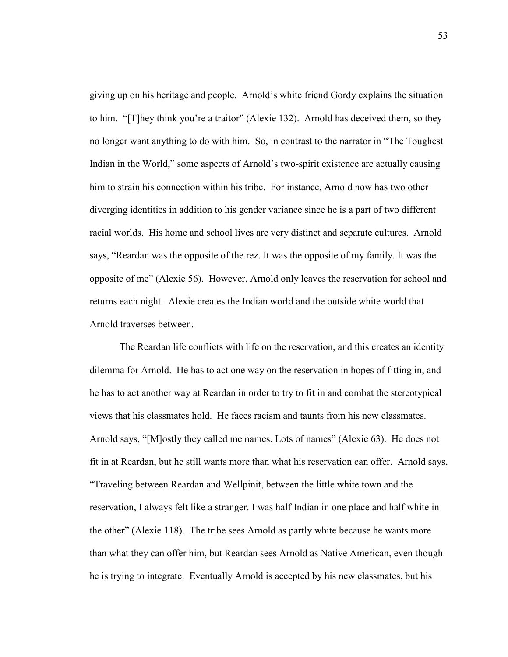giving up on his heritage and people. Arnold's white friend Gordy explains the situation to him. "[T]hey think you're a traitor" (Alexie 132). Arnold has deceived them, so they no longer want anything to do with him. So, in contrast to the narrator in "The Toughest Indian in the World," some aspects of Arnold's two-spirit existence are actually causing him to strain his connection within his tribe. For instance, Arnold now has two other diverging identities in addition to his gender variance since he is a part of two different racial worlds. His home and school lives are very distinct and separate cultures. Arnold says, "Reardan was the opposite of the rez. It was the opposite of my family. It was the opposite of me" (Alexie 56). However, Arnold only leaves the reservation for school and returns each night. Alexie creates the Indian world and the outside white world that Arnold traverses between.

The Reardan life conflicts with life on the reservation, and this creates an identity dilemma for Arnold. He has to act one way on the reservation in hopes of fitting in, and he has to act another way at Reardan in order to try to fit in and combat the stereotypical views that his classmates hold. He faces racism and taunts from his new classmates. Arnold says, "[M]ostly they called me names. Lots of names" (Alexie 63). He does not fit in at Reardan, but he still wants more than what his reservation can offer. Arnold says, "Traveling between Reardan and Wellpinit, between the little white town and the reservation, I always felt like a stranger. I was half Indian in one place and half white in the other" (Alexie 118). The tribe sees Arnold as partly white because he wants more than what they can offer him, but Reardan sees Arnold as Native American, even though he is trying to integrate. Eventually Arnold is accepted by his new classmates, but his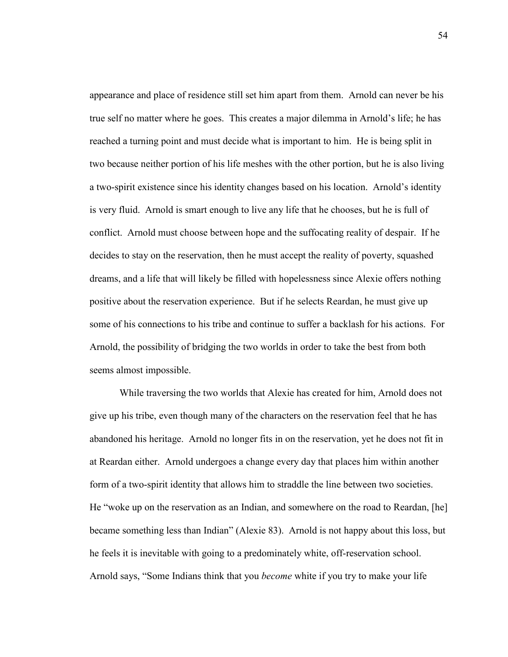appearance and place of residence still set him apart from them. Arnold can never be his true self no matter where he goes. This creates a major dilemma in Arnold's life; he has reached a turning point and must decide what is important to him. He is being split in two because neither portion of his life meshes with the other portion, but he is also living a two-spirit existence since his identity changes based on his location. Arnold's identity is very fluid. Arnold is smart enough to live any life that he chooses, but he is full of conflict. Arnold must choose between hope and the suffocating reality of despair. If he decides to stay on the reservation, then he must accept the reality of poverty, squashed dreams, and a life that will likely be filled with hopelessness since Alexie offers nothing positive about the reservation experience. But if he selects Reardan, he must give up some of his connections to his tribe and continue to suffer a backlash for his actions. For Arnold, the possibility of bridging the two worlds in order to take the best from both seems almost impossible.

While traversing the two worlds that Alexie has created for him, Arnold does not give up his tribe, even though many of the characters on the reservation feel that he has abandoned his heritage. Arnold no longer fits in on the reservation, yet he does not fit in at Reardan either. Arnold undergoes a change every day that places him within another form of a two-spirit identity that allows him to straddle the line between two societies. He "woke up on the reservation as an Indian, and somewhere on the road to Reardan, [he] became something less than Indian" (Alexie 83). Arnold is not happy about this loss, but he feels it is inevitable with going to a predominately white, off-reservation school. Arnold says, "Some Indians think that you *become* white if you try to make your life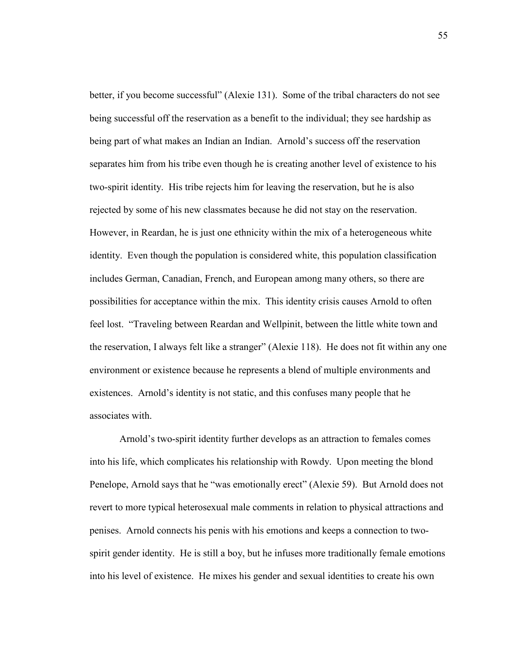better, if you become successful" (Alexie 131). Some of the tribal characters do not see being successful off the reservation as a benefit to the individual; they see hardship as being part of what makes an Indian an Indian. Arnold's success off the reservation separates him from his tribe even though he is creating another level of existence to his two-spirit identity. His tribe rejects him for leaving the reservation, but he is also rejected by some of his new classmates because he did not stay on the reservation. However, in Reardan, he is just one ethnicity within the mix of a heterogeneous white identity. Even though the population is considered white, this population classification includes German, Canadian, French, and European among many others, so there are possibilities for acceptance within the mix. This identity crisis causes Arnold to often feel lost. "Traveling between Reardan and Wellpinit, between the little white town and the reservation, I always felt like a stranger" (Alexie 118). He does not fit within any one environment or existence because he represents a blend of multiple environments and existences. Arnold's identity is not static, and this confuses many people that he associates with.

Arnold's two-spirit identity further develops as an attraction to females comes into his life, which complicates his relationship with Rowdy. Upon meeting the blond Penelope, Arnold says that he "was emotionally erect" (Alexie 59). But Arnold does not revert to more typical heterosexual male comments in relation to physical attractions and penises. Arnold connects his penis with his emotions and keeps a connection to twospirit gender identity. He is still a boy, but he infuses more traditionally female emotions into his level of existence. He mixes his gender and sexual identities to create his own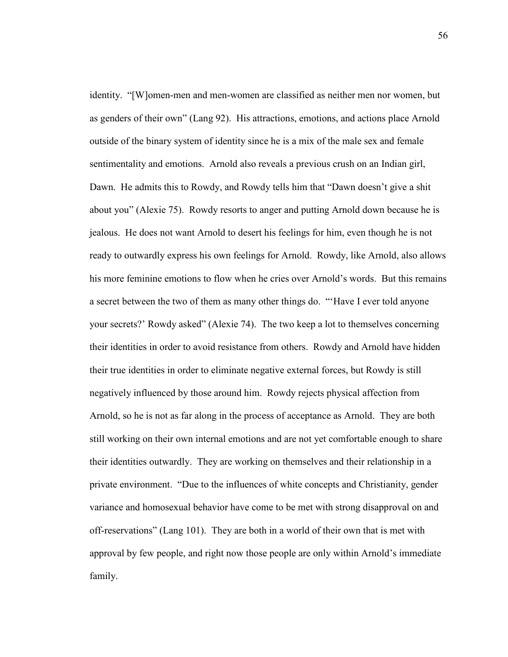identity. "[W]omen-men and men-women are classified as neither men nor women, but as genders of their own" (Lang 92). His attractions, emotions, and actions place Arnold outside of the binary system of identity since he is a mix of the male sex and female sentimentality and emotions. Arnold also reveals a previous crush on an Indian girl, Dawn. He admits this to Rowdy, and Rowdy tells him that "Dawn doesn't give a shit about you" (Alexie 75). Rowdy resorts to anger and putting Arnold down because he is jealous. He does not want Arnold to desert his feelings for him, even though he is not ready to outwardly express his own feelings for Arnold. Rowdy, like Arnold, also allows his more feminine emotions to flow when he cries over Arnold's words. But this remains a secret between the two of them as many other things do. "'Have I ever told anyone your secrets?' Rowdy asked" (Alexie 74). The two keep a lot to themselves concerning their identities in order to avoid resistance from others. Rowdy and Arnold have hidden their true identities in order to eliminate negative external forces, but Rowdy is still negatively influenced by those around him. Rowdy rejects physical affection from Arnold, so he is not as far along in the process of acceptance as Arnold. They are both still working on their own internal emotions and are not yet comfortable enough to share their identities outwardly. They are working on themselves and their relationship in a private environment. "Due to the influences of white concepts and Christianity, gender variance and homosexual behavior have come to be met with strong disapproval on and off-reservations" (Lang 101). They are both in a world of their own that is met with approval by few people, and right now those people are only within Arnold's immediate family.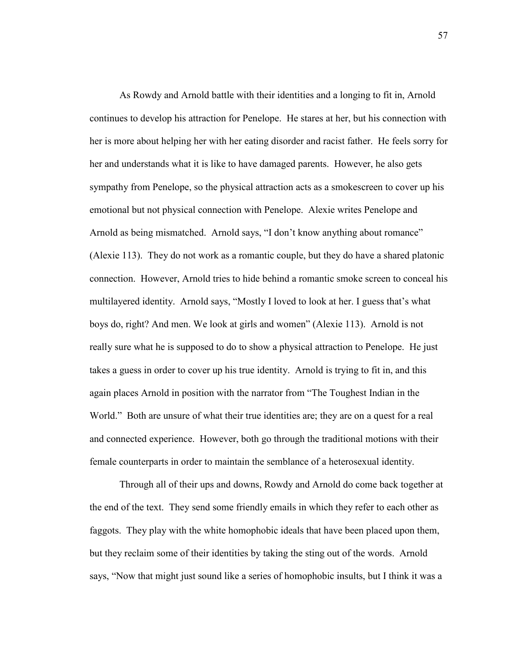As Rowdy and Arnold battle with their identities and a longing to fit in, Arnold continues to develop his attraction for Penelope. He stares at her, but his connection with her is more about helping her with her eating disorder and racist father. He feels sorry for her and understands what it is like to have damaged parents. However, he also gets sympathy from Penelope, so the physical attraction acts as a smokescreen to cover up his emotional but not physical connection with Penelope. Alexie writes Penelope and Arnold as being mismatched. Arnold says, "I don't know anything about romance" (Alexie 113). They do not work as a romantic couple, but they do have a shared platonic connection. However, Arnold tries to hide behind a romantic smoke screen to conceal his multilayered identity. Arnold says, "Mostly I loved to look at her. I guess that's what boys do, right? And men. We look at girls and women" (Alexie 113). Arnold is not really sure what he is supposed to do to show a physical attraction to Penelope. He just takes a guess in order to cover up his true identity. Arnold is trying to fit in, and this again places Arnold in position with the narrator from "The Toughest Indian in the World." Both are unsure of what their true identities are; they are on a quest for a real and connected experience. However, both go through the traditional motions with their female counterparts in order to maintain the semblance of a heterosexual identity.

Through all of their ups and downs, Rowdy and Arnold do come back together at the end of the text. They send some friendly emails in which they refer to each other as faggots. They play with the white homophobic ideals that have been placed upon them, but they reclaim some of their identities by taking the sting out of the words. Arnold says, "Now that might just sound like a series of homophobic insults, but I think it was a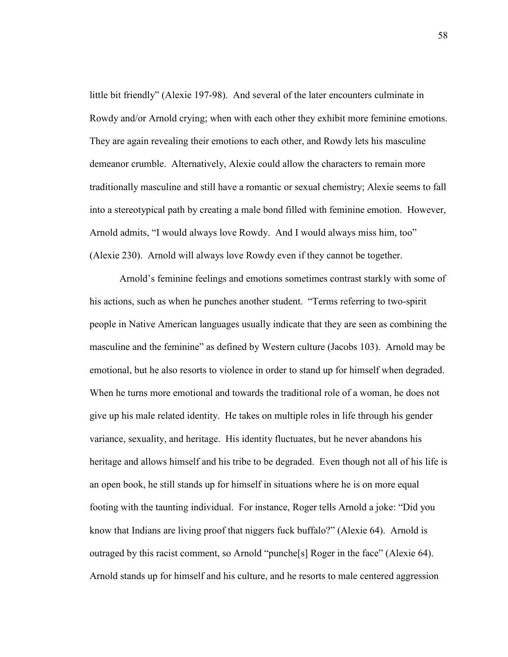little bit friendly" (Alexie 197-98). And several of the later encounters culminate in Rowdy and/or Arnold crying; when with each other they exhibit more feminine emotions. They are again revealing their emotions to each other, and Rowdy lets his masculine demeanor crumble. Alternatively, Alexie could allow the characters to remain more traditionally masculine and still have a romantic or sexual chemistry; Alexie seems to fall into a stereotypical path by creating a male bond filled with feminine emotion. However, Arnold admits, "I would always love Rowdy. And I would always miss him, too" (Alexie 230). Arnold will always love Rowdy even if they cannot be together.

Arnold's feminine feelings and emotions sometimes contrast starkly with some of his actions, such as when he punches another student. "Terms referring to two-spirit people in Native American languages usually indicate that they are seen as combining the masculine and the feminine" as defined by Western culture (Jacobs 103). Arnold may be emotional, but he also resorts to violence in order to stand up for himself when degraded. When he turns more emotional and towards the traditional role of a woman, he does not give up his male related identity. He takes on multiple roles in life through his gender variance, sexuality, and heritage. His identity fluctuates, but he never abandons his heritage and allows himself and his tribe to be degraded. Even though not all of his life is an open book, he still stands up for himself in situations where he is on more equal footing with the taunting individual. For instance, Roger tells Arnold a joke: "Did you know that Indians are living proof that niggers fuck buffalo?" (Alexie 64). Arnold is outraged by this racist comment, so Arnold "punche[s] Roger in the face" (Alexie 64). Arnold stands up for himself and his culture, and he resorts to male centered aggression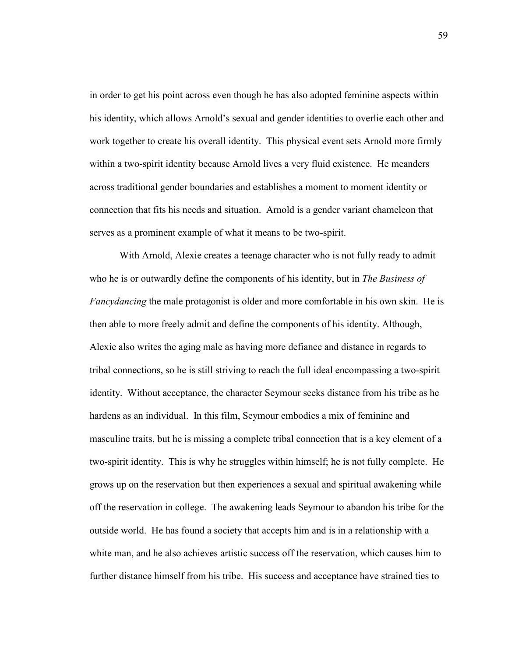in order to get his point across even though he has also adopted feminine aspects within his identity, which allows Arnold's sexual and gender identities to overlie each other and work together to create his overall identity. This physical event sets Arnold more firmly within a two-spirit identity because Arnold lives a very fluid existence. He meanders across traditional gender boundaries and establishes a moment to moment identity or connection that fits his needs and situation. Arnold is a gender variant chameleon that serves as a prominent example of what it means to be two-spirit.

With Arnold, Alexie creates a teenage character who is not fully ready to admit who he is or outwardly define the components of his identity, but in *The Business of Fancydancing* the male protagonist is older and more comfortable in his own skin. He is then able to more freely admit and define the components of his identity. Although, Alexie also writes the aging male as having more defiance and distance in regards to tribal connections, so he is still striving to reach the full ideal encompassing a two-spirit identity. Without acceptance, the character Seymour seeks distance from his tribe as he hardens as an individual. In this film, Seymour embodies a mix of feminine and masculine traits, but he is missing a complete tribal connection that is a key element of a two-spirit identity. This is why he struggles within himself; he is not fully complete. He grows up on the reservation but then experiences a sexual and spiritual awakening while off the reservation in college. The awakening leads Seymour to abandon his tribe for the outside world. He has found a society that accepts him and is in a relationship with a white man, and he also achieves artistic success off the reservation, which causes him to further distance himself from his tribe. His success and acceptance have strained ties to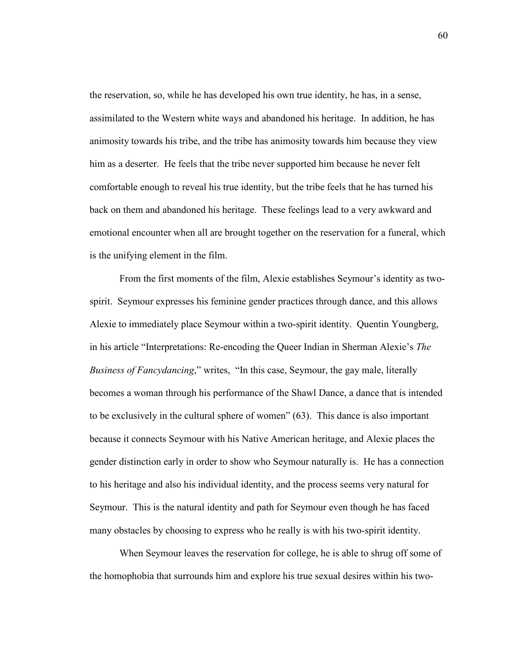the reservation, so, while he has developed his own true identity, he has, in a sense, assimilated to the Western white ways and abandoned his heritage. In addition, he has animosity towards his tribe, and the tribe has animosity towards him because they view him as a deserter. He feels that the tribe never supported him because he never felt comfortable enough to reveal his true identity, but the tribe feels that he has turned his back on them and abandoned his heritage. These feelings lead to a very awkward and emotional encounter when all are brought together on the reservation for a funeral, which is the unifying element in the film.

From the first moments of the film, Alexie establishes Seymour's identity as twospirit. Seymour expresses his feminine gender practices through dance, and this allows Alexie to immediately place Seymour within a two-spirit identity. Quentin Youngberg, in his article "Interpretations: Re-encoding the Queer Indian in Sherman Alexie's *The Business of Fancydancing*," writes, "In this case, Seymour, the gay male, literally becomes a woman through his performance of the Shawl Dance, a dance that is intended to be exclusively in the cultural sphere of women" (63). This dance is also important because it connects Seymour with his Native American heritage, and Alexie places the gender distinction early in order to show who Seymour naturally is. He has a connection to his heritage and also his individual identity, and the process seems very natural for Seymour. This is the natural identity and path for Seymour even though he has faced many obstacles by choosing to express who he really is with his two-spirit identity.

When Seymour leaves the reservation for college, he is able to shrug off some of the homophobia that surrounds him and explore his true sexual desires within his two-

60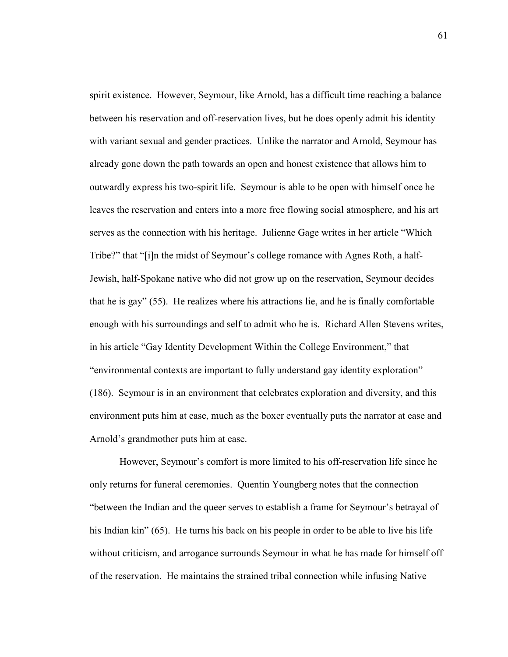spirit existence. However, Seymour, like Arnold, has a difficult time reaching a balance between his reservation and off-reservation lives, but he does openly admit his identity with variant sexual and gender practices. Unlike the narrator and Arnold, Seymour has already gone down the path towards an open and honest existence that allows him to outwardly express his two-spirit life. Seymour is able to be open with himself once he leaves the reservation and enters into a more free flowing social atmosphere, and his art serves as the connection with his heritage. Julienne Gage writes in her article "Which Tribe?" that "[i]n the midst of Seymour's college romance with Agnes Roth, a half-Jewish, half-Spokane native who did not grow up on the reservation, Seymour decides that he is gay" (55). He realizes where his attractions lie, and he is finally comfortable enough with his surroundings and self to admit who he is. Richard Allen Stevens writes, in his article "Gay Identity Development Within the College Environment," that "environmental contexts are important to fully understand gay identity exploration" (186). Seymour is in an environment that celebrates exploration and diversity, and this environment puts him at ease, much as the boxer eventually puts the narrator at ease and Arnold's grandmother puts him at ease.

However, Seymour's comfort is more limited to his off-reservation life since he only returns for funeral ceremonies. Quentin Youngberg notes that the connection "between the Indian and the queer serves to establish a frame for Seymour's betrayal of his Indian kin" (65). He turns his back on his people in order to be able to live his life without criticism, and arrogance surrounds Seymour in what he has made for himself off of the reservation. He maintains the strained tribal connection while infusing Native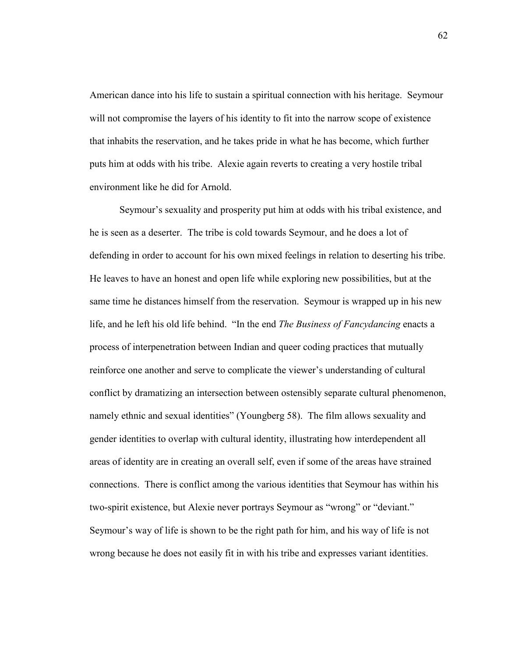American dance into his life to sustain a spiritual connection with his heritage. Seymour will not compromise the layers of his identity to fit into the narrow scope of existence that inhabits the reservation, and he takes pride in what he has become, which further puts him at odds with his tribe. Alexie again reverts to creating a very hostile tribal environment like he did for Arnold.

Seymour's sexuality and prosperity put him at odds with his tribal existence, and he is seen as a deserter. The tribe is cold towards Seymour, and he does a lot of defending in order to account for his own mixed feelings in relation to deserting his tribe. He leaves to have an honest and open life while exploring new possibilities, but at the same time he distances himself from the reservation. Seymour is wrapped up in his new life, and he left his old life behind. "In the end *The Business of Fancydancing* enacts a process of interpenetration between Indian and queer coding practices that mutually reinforce one another and serve to complicate the viewer's understanding of cultural conflict by dramatizing an intersection between ostensibly separate cultural phenomenon, namely ethnic and sexual identities" (Youngberg 58). The film allows sexuality and gender identities to overlap with cultural identity, illustrating how interdependent all areas of identity are in creating an overall self, even if some of the areas have strained connections. There is conflict among the various identities that Seymour has within his two-spirit existence, but Alexie never portrays Seymour as "wrong" or "deviant." Seymour's way of life is shown to be the right path for him, and his way of life is not wrong because he does not easily fit in with his tribe and expresses variant identities.

62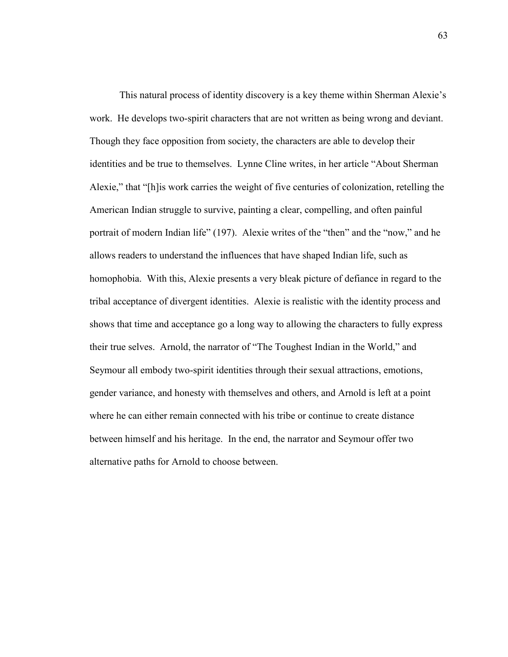This natural process of identity discovery is a key theme within Sherman Alexie's work. He develops two-spirit characters that are not written as being wrong and deviant. Though they face opposition from society, the characters are able to develop their identities and be true to themselves. Lynne Cline writes, in her article "About Sherman Alexie," that "[h]is work carries the weight of five centuries of colonization, retelling the American Indian struggle to survive, painting a clear, compelling, and often painful portrait of modern Indian life" (197). Alexie writes of the "then" and the "now," and he allows readers to understand the influences that have shaped Indian life, such as homophobia. With this, Alexie presents a very bleak picture of defiance in regard to the tribal acceptance of divergent identities. Alexie is realistic with the identity process and shows that time and acceptance go a long way to allowing the characters to fully express their true selves. Arnold, the narrator of "The Toughest Indian in the World," and Seymour all embody two-spirit identities through their sexual attractions, emotions, gender variance, and honesty with themselves and others, and Arnold is left at a point where he can either remain connected with his tribe or continue to create distance between himself and his heritage. In the end, the narrator and Seymour offer two alternative paths for Arnold to choose between.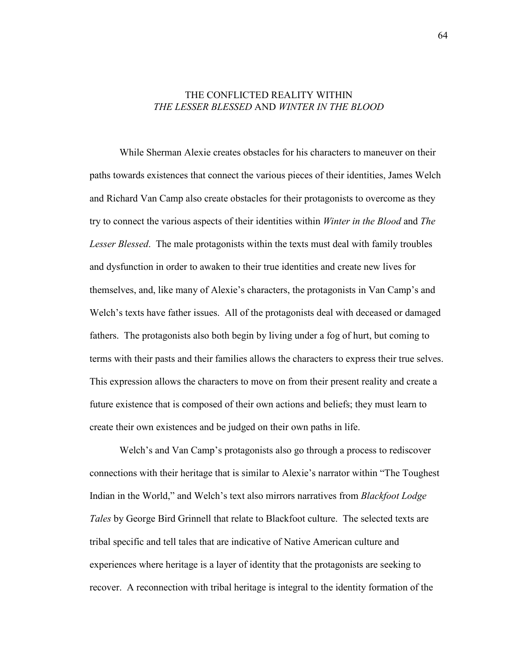## THE CONFLICTED REALITY WITHIN *THE LESSER BLESSED* AND *WINTER IN THE BLOOD*

While Sherman Alexie creates obstacles for his characters to maneuver on their paths towards existences that connect the various pieces of their identities, James Welch and Richard Van Camp also create obstacles for their protagonists to overcome as they try to connect the various aspects of their identities within *Winter in the Blood* and *The Lesser Blessed*. The male protagonists within the texts must deal with family troubles and dysfunction in order to awaken to their true identities and create new lives for themselves, and, like many of Alexie's characters, the protagonists in Van Camp's and Welch's texts have father issues. All of the protagonists deal with deceased or damaged fathers. The protagonists also both begin by living under a fog of hurt, but coming to terms with their pasts and their families allows the characters to express their true selves. This expression allows the characters to move on from their present reality and create a future existence that is composed of their own actions and beliefs; they must learn to create their own existences and be judged on their own paths in life.

Welch's and Van Camp's protagonists also go through a process to rediscover connections with their heritage that is similar to Alexie's narrator within "The Toughest Indian in the World," and Welch's text also mirrors narratives from *Blackfoot Lodge Tales* by George Bird Grinnell that relate to Blackfoot culture. The selected texts are tribal specific and tell tales that are indicative of Native American culture and experiences where heritage is a layer of identity that the protagonists are seeking to recover. A reconnection with tribal heritage is integral to the identity formation of the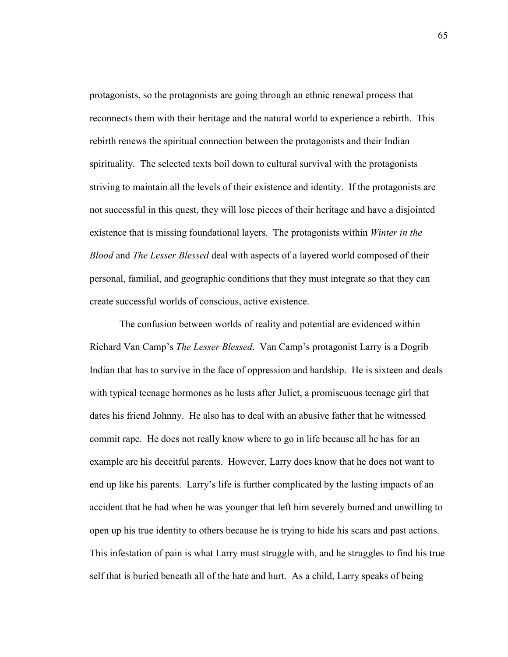protagonists, so the protagonists are going through an ethnic renewal process that reconnects them with their heritage and the natural world to experience a rebirth. This rebirth renews the spiritual connection between the protagonists and their Indian spirituality. The selected texts boil down to cultural survival with the protagonists striving to maintain all the levels of their existence and identity. If the protagonists are not successful in this quest, they will lose pieces of their heritage and have a disjointed existence that is missing foundational layers. The protagonists within *Winter in the Blood* and *The Lesser Blessed* deal with aspects of a layered world composed of their personal, familial, and geographic conditions that they must integrate so that they can create successful worlds of conscious, active existence.

The confusion between worlds of reality and potential are evidenced within Richard Van Camp's *The Lesser Blessed*. Van Camp's protagonist Larry is a Dogrib Indian that has to survive in the face of oppression and hardship. He is sixteen and deals with typical teenage hormones as he lusts after Juliet, a promiscuous teenage girl that dates his friend Johnny. He also has to deal with an abusive father that he witnessed commit rape. He does not really know where to go in life because all he has for an example are his deceitful parents. However, Larry does know that he does not want to end up like his parents. Larry's life is further complicated by the lasting impacts of an accident that he had when he was younger that left him severely burned and unwilling to open up his true identity to others because he is trying to hide his scars and past actions. This infestation of pain is what Larry must struggle with, and he struggles to find his true self that is buried beneath all of the hate and hurt. As a child, Larry speaks of being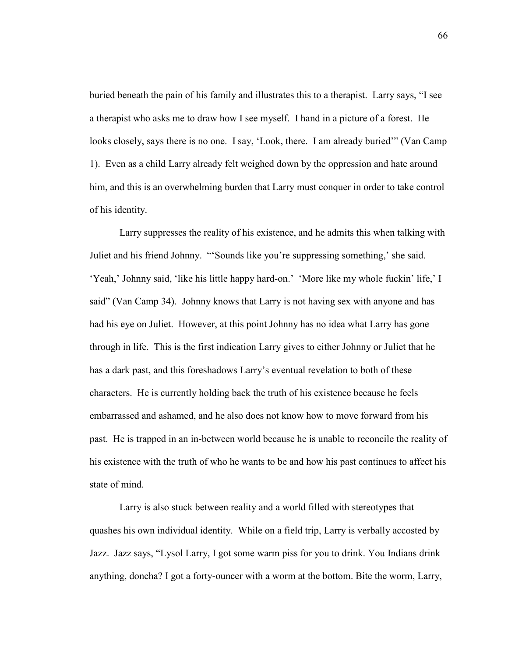buried beneath the pain of his family and illustrates this to a therapist. Larry says, "I see a therapist who asks me to draw how I see myself. I hand in a picture of a forest. He looks closely, says there is no one. I say, 'Look, there. I am already buried'" (Van Camp 1). Even as a child Larry already felt weighed down by the oppression and hate around him, and this is an overwhelming burden that Larry must conquer in order to take control of his identity.

Larry suppresses the reality of his existence, and he admits this when talking with Juliet and his friend Johnny. "'Sounds like you're suppressing something,' she said. 'Yeah,' Johnny said, 'like his little happy hard-on.' 'More like my whole fuckin' life,' I said" (Van Camp 34). Johnny knows that Larry is not having sex with anyone and has had his eye on Juliet. However, at this point Johnny has no idea what Larry has gone through in life. This is the first indication Larry gives to either Johnny or Juliet that he has a dark past, and this foreshadows Larry's eventual revelation to both of these characters. He is currently holding back the truth of his existence because he feels embarrassed and ashamed, and he also does not know how to move forward from his past. He is trapped in an in-between world because he is unable to reconcile the reality of his existence with the truth of who he wants to be and how his past continues to affect his state of mind.

Larry is also stuck between reality and a world filled with stereotypes that quashes his own individual identity. While on a field trip, Larry is verbally accosted by Jazz. Jazz says, "Lysol Larry, I got some warm piss for you to drink. You Indians drink anything, doncha? I got a forty-ouncer with a worm at the bottom. Bite the worm, Larry,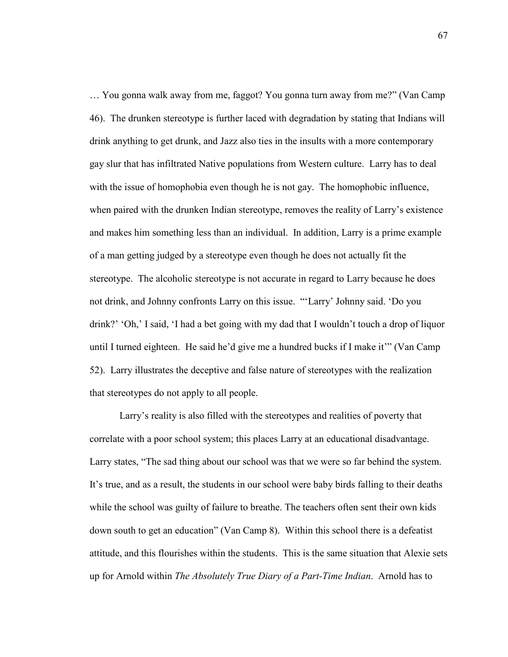… You gonna walk away from me, faggot? You gonna turn away from me?" (Van Camp 46). The drunken stereotype is further laced with degradation by stating that Indians will drink anything to get drunk, and Jazz also ties in the insults with a more contemporary gay slur that has infiltrated Native populations from Western culture. Larry has to deal with the issue of homophobia even though he is not gay. The homophobic influence, when paired with the drunken Indian stereotype, removes the reality of Larry's existence and makes him something less than an individual. In addition, Larry is a prime example of a man getting judged by a stereotype even though he does not actually fit the stereotype. The alcoholic stereotype is not accurate in regard to Larry because he does not drink, and Johnny confronts Larry on this issue. "'Larry' Johnny said. 'Do you drink?' 'Oh,' I said, 'I had a bet going with my dad that I wouldn't touch a drop of liquor until I turned eighteen. He said he'd give me a hundred bucks if I make it'" (Van Camp 52). Larry illustrates the deceptive and false nature of stereotypes with the realization that stereotypes do not apply to all people.

Larry's reality is also filled with the stereotypes and realities of poverty that correlate with a poor school system; this places Larry at an educational disadvantage. Larry states, "The sad thing about our school was that we were so far behind the system. It's true, and as a result, the students in our school were baby birds falling to their deaths while the school was guilty of failure to breathe. The teachers often sent their own kids down south to get an education" (Van Camp 8). Within this school there is a defeatist attitude, and this flourishes within the students. This is the same situation that Alexie sets up for Arnold within *The Absolutely True Diary of a Part-Time Indian*. Arnold has to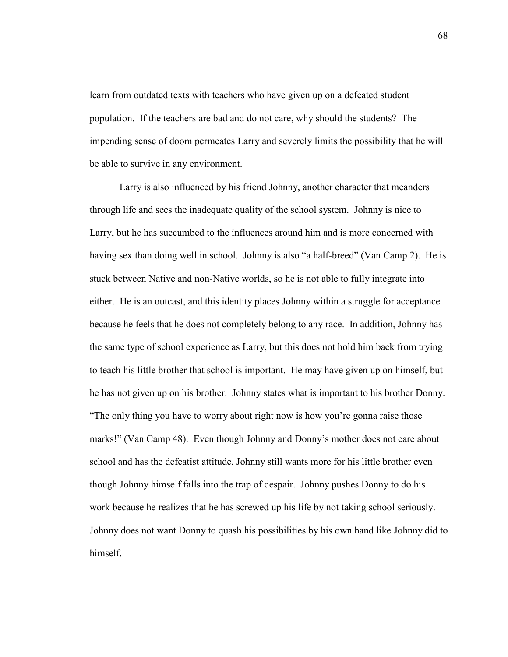learn from outdated texts with teachers who have given up on a defeated student population. If the teachers are bad and do not care, why should the students? The impending sense of doom permeates Larry and severely limits the possibility that he will be able to survive in any environment.

 Larry is also influenced by his friend Johnny, another character that meanders through life and sees the inadequate quality of the school system. Johnny is nice to Larry, but he has succumbed to the influences around him and is more concerned with having sex than doing well in school. Johnny is also "a half-breed" (Van Camp 2). He is stuck between Native and non-Native worlds, so he is not able to fully integrate into either. He is an outcast, and this identity places Johnny within a struggle for acceptance because he feels that he does not completely belong to any race. In addition, Johnny has the same type of school experience as Larry, but this does not hold him back from trying to teach his little brother that school is important. He may have given up on himself, but he has not given up on his brother. Johnny states what is important to his brother Donny. "The only thing you have to worry about right now is how you're gonna raise those marks!" (Van Camp 48). Even though Johnny and Donny's mother does not care about school and has the defeatist attitude, Johnny still wants more for his little brother even though Johnny himself falls into the trap of despair. Johnny pushes Donny to do his work because he realizes that he has screwed up his life by not taking school seriously. Johnny does not want Donny to quash his possibilities by his own hand like Johnny did to himself.

68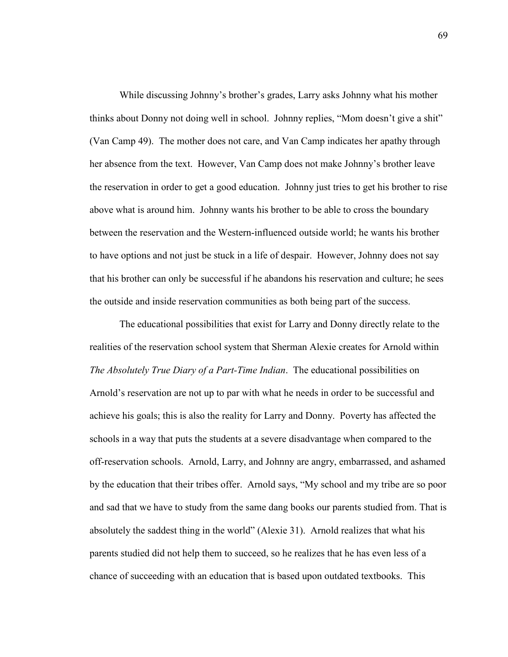While discussing Johnny's brother's grades, Larry asks Johnny what his mother thinks about Donny not doing well in school. Johnny replies, "Mom doesn't give a shit" (Van Camp 49). The mother does not care, and Van Camp indicates her apathy through her absence from the text. However, Van Camp does not make Johnny's brother leave the reservation in order to get a good education. Johnny just tries to get his brother to rise above what is around him. Johnny wants his brother to be able to cross the boundary between the reservation and the Western-influenced outside world; he wants his brother to have options and not just be stuck in a life of despair. However, Johnny does not say that his brother can only be successful if he abandons his reservation and culture; he sees the outside and inside reservation communities as both being part of the success.

The educational possibilities that exist for Larry and Donny directly relate to the realities of the reservation school system that Sherman Alexie creates for Arnold within *The Absolutely True Diary of a Part-Time Indian*. The educational possibilities on Arnold's reservation are not up to par with what he needs in order to be successful and achieve his goals; this is also the reality for Larry and Donny. Poverty has affected the schools in a way that puts the students at a severe disadvantage when compared to the off-reservation schools. Arnold, Larry, and Johnny are angry, embarrassed, and ashamed by the education that their tribes offer. Arnold says, "My school and my tribe are so poor and sad that we have to study from the same dang books our parents studied from. That is absolutely the saddest thing in the world" (Alexie 31). Arnold realizes that what his parents studied did not help them to succeed, so he realizes that he has even less of a chance of succeeding with an education that is based upon outdated textbooks. This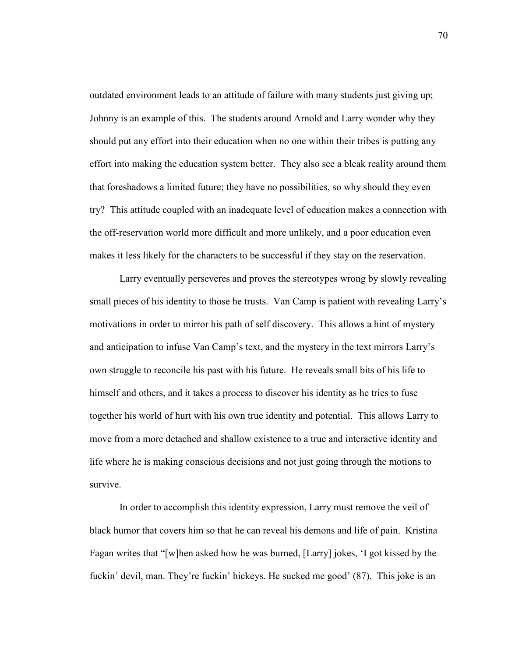outdated environment leads to an attitude of failure with many students just giving up; Johnny is an example of this. The students around Arnold and Larry wonder why they should put any effort into their education when no one within their tribes is putting any effort into making the education system better. They also see a bleak reality around them that foreshadows a limited future; they have no possibilities, so why should they even try? This attitude coupled with an inadequate level of education makes a connection with the off-reservation world more difficult and more unlikely, and a poor education even makes it less likely for the characters to be successful if they stay on the reservation.

Larry eventually perseveres and proves the stereotypes wrong by slowly revealing small pieces of his identity to those he trusts. Van Camp is patient with revealing Larry's motivations in order to mirror his path of self discovery. This allows a hint of mystery and anticipation to infuse Van Camp's text, and the mystery in the text mirrors Larry's own struggle to reconcile his past with his future. He reveals small bits of his life to himself and others, and it takes a process to discover his identity as he tries to fuse together his world of hurt with his own true identity and potential. This allows Larry to move from a more detached and shallow existence to a true and interactive identity and life where he is making conscious decisions and not just going through the motions to survive.

In order to accomplish this identity expression, Larry must remove the veil of black humor that covers him so that he can reveal his demons and life of pain. Kristina Fagan writes that "[w]hen asked how he was burned, [Larry] jokes, 'I got kissed by the fuckin' devil, man. They're fuckin' hickeys. He sucked me good' (87). This joke is an

70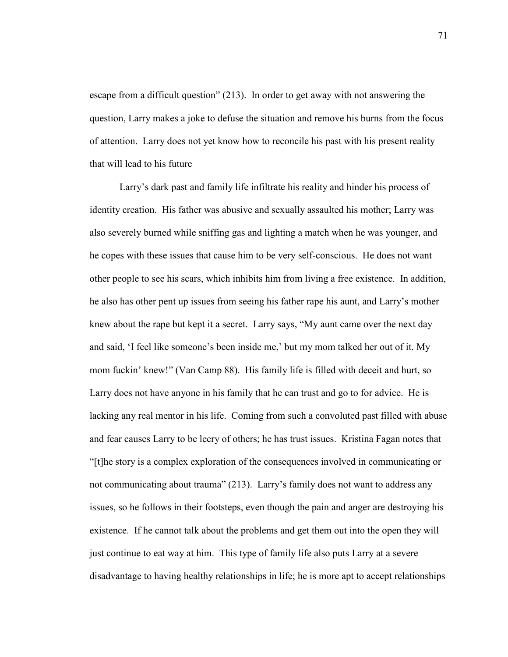escape from a difficult question" (213). In order to get away with not answering the question, Larry makes a joke to defuse the situation and remove his burns from the focus of attention. Larry does not yet know how to reconcile his past with his present reality that will lead to his future

Larry's dark past and family life infiltrate his reality and hinder his process of identity creation. His father was abusive and sexually assaulted his mother; Larry was also severely burned while sniffing gas and lighting a match when he was younger, and he copes with these issues that cause him to be very self-conscious. He does not want other people to see his scars, which inhibits him from living a free existence. In addition, he also has other pent up issues from seeing his father rape his aunt, and Larry's mother knew about the rape but kept it a secret. Larry says, "My aunt came over the next day and said, 'I feel like someone's been inside me,' but my mom talked her out of it. My mom fuckin' knew!" (Van Camp 88). His family life is filled with deceit and hurt, so Larry does not have anyone in his family that he can trust and go to for advice. He is lacking any real mentor in his life. Coming from such a convoluted past filled with abuse and fear causes Larry to be leery of others; he has trust issues. Kristina Fagan notes that "[t]he story is a complex exploration of the consequences involved in communicating or not communicating about trauma" (213). Larry's family does not want to address any issues, so he follows in their footsteps, even though the pain and anger are destroying his existence. If he cannot talk about the problems and get them out into the open they will just continue to eat way at him. This type of family life also puts Larry at a severe disadvantage to having healthy relationships in life; he is more apt to accept relationships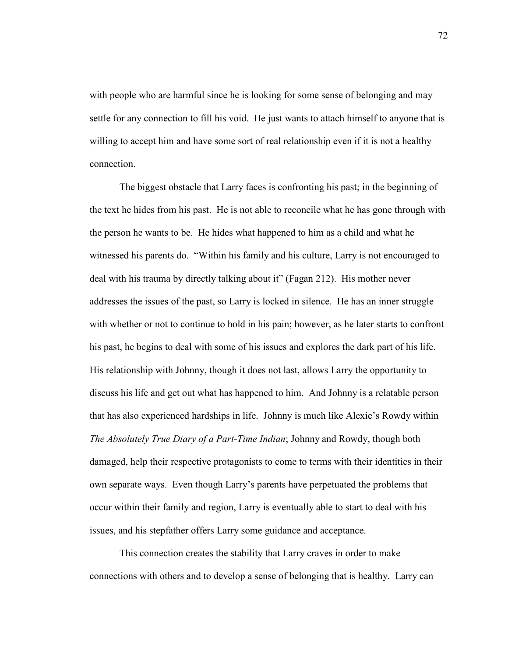with people who are harmful since he is looking for some sense of belonging and may settle for any connection to fill his void. He just wants to attach himself to anyone that is willing to accept him and have some sort of real relationship even if it is not a healthy connection.

 The biggest obstacle that Larry faces is confronting his past; in the beginning of the text he hides from his past. He is not able to reconcile what he has gone through with the person he wants to be. He hides what happened to him as a child and what he witnessed his parents do. "Within his family and his culture, Larry is not encouraged to deal with his trauma by directly talking about it" (Fagan 212). His mother never addresses the issues of the past, so Larry is locked in silence. He has an inner struggle with whether or not to continue to hold in his pain; however, as he later starts to confront his past, he begins to deal with some of his issues and explores the dark part of his life. His relationship with Johnny, though it does not last, allows Larry the opportunity to discuss his life and get out what has happened to him. And Johnny is a relatable person that has also experienced hardships in life. Johnny is much like Alexie's Rowdy within *The Absolutely True Diary of a Part-Time Indian*; Johnny and Rowdy, though both damaged, help their respective protagonists to come to terms with their identities in their own separate ways. Even though Larry's parents have perpetuated the problems that occur within their family and region, Larry is eventually able to start to deal with his issues, and his stepfather offers Larry some guidance and acceptance.

This connection creates the stability that Larry craves in order to make connections with others and to develop a sense of belonging that is healthy. Larry can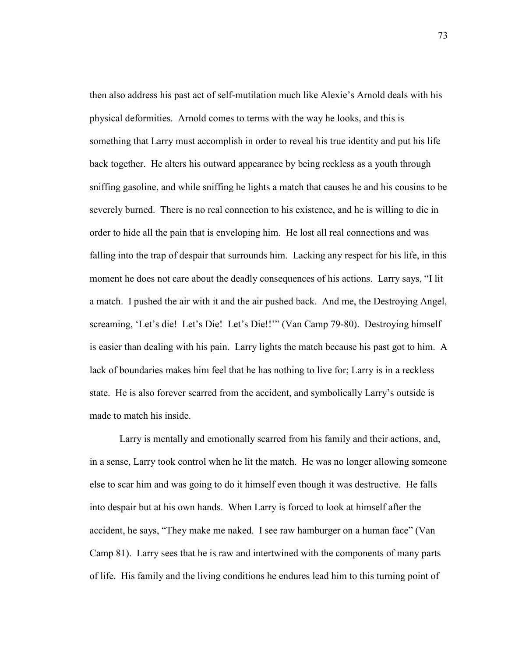then also address his past act of self-mutilation much like Alexie's Arnold deals with his physical deformities. Arnold comes to terms with the way he looks, and this is something that Larry must accomplish in order to reveal his true identity and put his life back together. He alters his outward appearance by being reckless as a youth through sniffing gasoline, and while sniffing he lights a match that causes he and his cousins to be severely burned. There is no real connection to his existence, and he is willing to die in order to hide all the pain that is enveloping him. He lost all real connections and was falling into the trap of despair that surrounds him. Lacking any respect for his life, in this moment he does not care about the deadly consequences of his actions. Larry says, "I lit a match. I pushed the air with it and the air pushed back. And me, the Destroying Angel, screaming, 'Let's die! Let's Die! Let's Die!!'" (Van Camp 79-80). Destroying himself is easier than dealing with his pain. Larry lights the match because his past got to him. A lack of boundaries makes him feel that he has nothing to live for; Larry is in a reckless state. He is also forever scarred from the accident, and symbolically Larry's outside is made to match his inside.

Larry is mentally and emotionally scarred from his family and their actions, and, in a sense, Larry took control when he lit the match. He was no longer allowing someone else to scar him and was going to do it himself even though it was destructive. He falls into despair but at his own hands. When Larry is forced to look at himself after the accident, he says, "They make me naked. I see raw hamburger on a human face" (Van Camp 81). Larry sees that he is raw and intertwined with the components of many parts of life. His family and the living conditions he endures lead him to this turning point of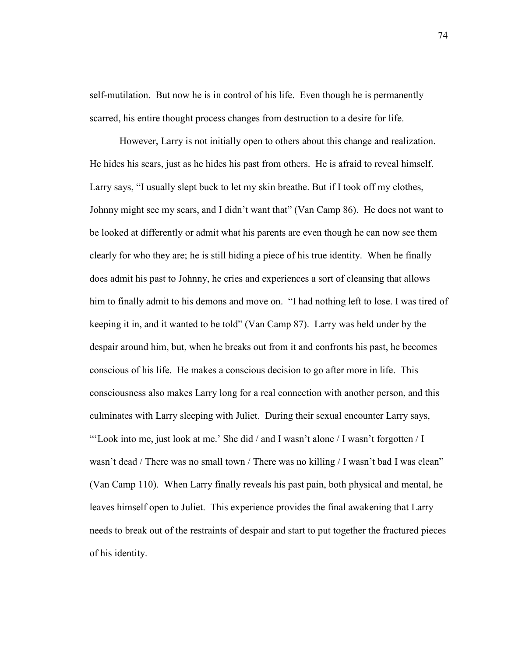self-mutilation. But now he is in control of his life. Even though he is permanently scarred, his entire thought process changes from destruction to a desire for life.

However, Larry is not initially open to others about this change and realization. He hides his scars, just as he hides his past from others. He is afraid to reveal himself. Larry says, "I usually slept buck to let my skin breathe. But if I took off my clothes, Johnny might see my scars, and I didn't want that" (Van Camp 86). He does not want to be looked at differently or admit what his parents are even though he can now see them clearly for who they are; he is still hiding a piece of his true identity. When he finally does admit his past to Johnny, he cries and experiences a sort of cleansing that allows him to finally admit to his demons and move on. "I had nothing left to lose. I was tired of keeping it in, and it wanted to be told" (Van Camp 87). Larry was held under by the despair around him, but, when he breaks out from it and confronts his past, he becomes conscious of his life. He makes a conscious decision to go after more in life. This consciousness also makes Larry long for a real connection with another person, and this culminates with Larry sleeping with Juliet. During their sexual encounter Larry says, "'Look into me, just look at me.' She did / and I wasn't alone / I wasn't forgotten / I wasn't dead / There was no small town / There was no killing / I wasn't bad I was clean" (Van Camp 110). When Larry finally reveals his past pain, both physical and mental, he leaves himself open to Juliet. This experience provides the final awakening that Larry needs to break out of the restraints of despair and start to put together the fractured pieces of his identity.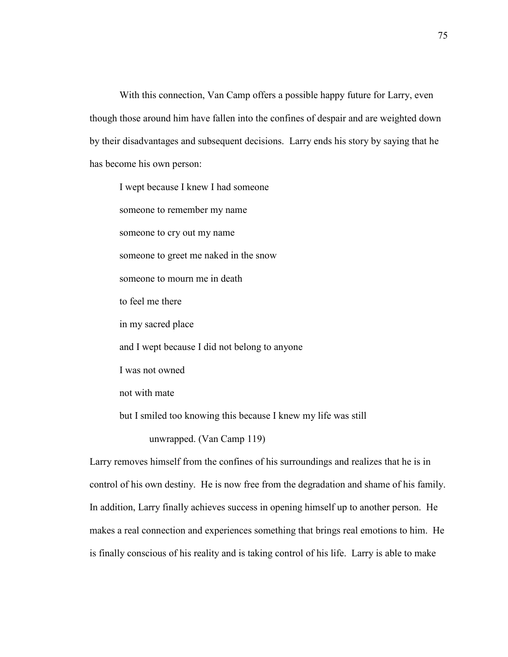With this connection, Van Camp offers a possible happy future for Larry, even though those around him have fallen into the confines of despair and are weighted down by their disadvantages and subsequent decisions. Larry ends his story by saying that he has become his own person:

I wept because I knew I had someone someone to remember my name someone to cry out my name someone to greet me naked in the snow someone to mourn me in death to feel me there in my sacred place and I wept because I did not belong to anyone I was not owned not with mate but I smiled too knowing this because I knew my life was still unwrapped. (Van Camp 119)

Larry removes himself from the confines of his surroundings and realizes that he is in control of his own destiny. He is now free from the degradation and shame of his family. In addition, Larry finally achieves success in opening himself up to another person. He makes a real connection and experiences something that brings real emotions to him. He is finally conscious of his reality and is taking control of his life. Larry is able to make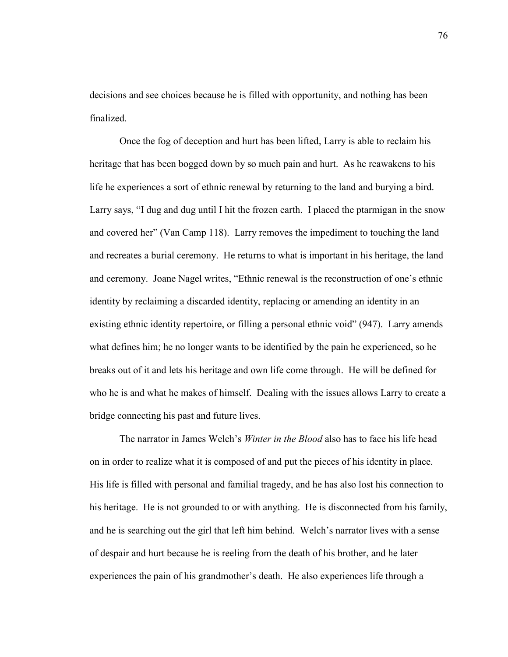decisions and see choices because he is filled with opportunity, and nothing has been finalized.

Once the fog of deception and hurt has been lifted, Larry is able to reclaim his heritage that has been bogged down by so much pain and hurt. As he reawakens to his life he experiences a sort of ethnic renewal by returning to the land and burying a bird. Larry says, "I dug and dug until I hit the frozen earth. I placed the ptarmigan in the snow and covered her" (Van Camp 118). Larry removes the impediment to touching the land and recreates a burial ceremony. He returns to what is important in his heritage, the land and ceremony. Joane Nagel writes, "Ethnic renewal is the reconstruction of one's ethnic identity by reclaiming a discarded identity, replacing or amending an identity in an existing ethnic identity repertoire, or filling a personal ethnic void" (947). Larry amends what defines him; he no longer wants to be identified by the pain he experienced, so he breaks out of it and lets his heritage and own life come through. He will be defined for who he is and what he makes of himself. Dealing with the issues allows Larry to create a bridge connecting his past and future lives.

The narrator in James Welch's *Winter in the Blood* also has to face his life head on in order to realize what it is composed of and put the pieces of his identity in place. His life is filled with personal and familial tragedy, and he has also lost his connection to his heritage. He is not grounded to or with anything. He is disconnected from his family, and he is searching out the girl that left him behind. Welch's narrator lives with a sense of despair and hurt because he is reeling from the death of his brother, and he later experiences the pain of his grandmother's death. He also experiences life through a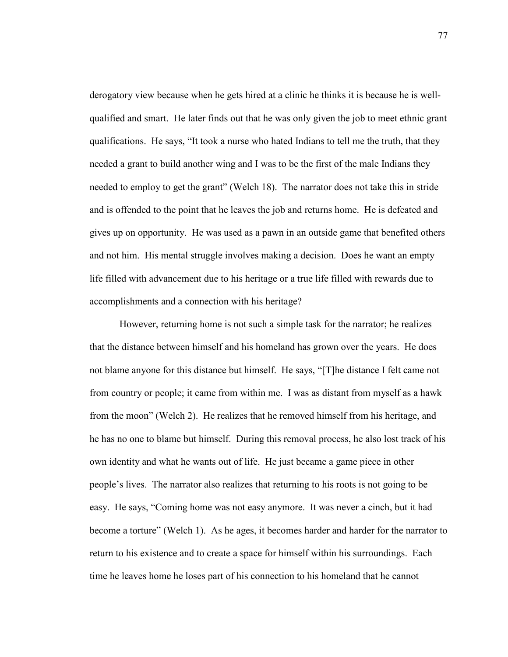derogatory view because when he gets hired at a clinic he thinks it is because he is wellqualified and smart. He later finds out that he was only given the job to meet ethnic grant qualifications. He says, "It took a nurse who hated Indians to tell me the truth, that they needed a grant to build another wing and I was to be the first of the male Indians they needed to employ to get the grant" (Welch 18). The narrator does not take this in stride and is offended to the point that he leaves the job and returns home. He is defeated and gives up on opportunity. He was used as a pawn in an outside game that benefited others and not him. His mental struggle involves making a decision. Does he want an empty life filled with advancement due to his heritage or a true life filled with rewards due to accomplishments and a connection with his heritage?

However, returning home is not such a simple task for the narrator; he realizes that the distance between himself and his homeland has grown over the years. He does not blame anyone for this distance but himself. He says, "[T]he distance I felt came not from country or people; it came from within me. I was as distant from myself as a hawk from the moon" (Welch 2). He realizes that he removed himself from his heritage, and he has no one to blame but himself. During this removal process, he also lost track of his own identity and what he wants out of life. He just became a game piece in other people's lives. The narrator also realizes that returning to his roots is not going to be easy. He says, "Coming home was not easy anymore. It was never a cinch, but it had become a torture" (Welch 1). As he ages, it becomes harder and harder for the narrator to return to his existence and to create a space for himself within his surroundings. Each time he leaves home he loses part of his connection to his homeland that he cannot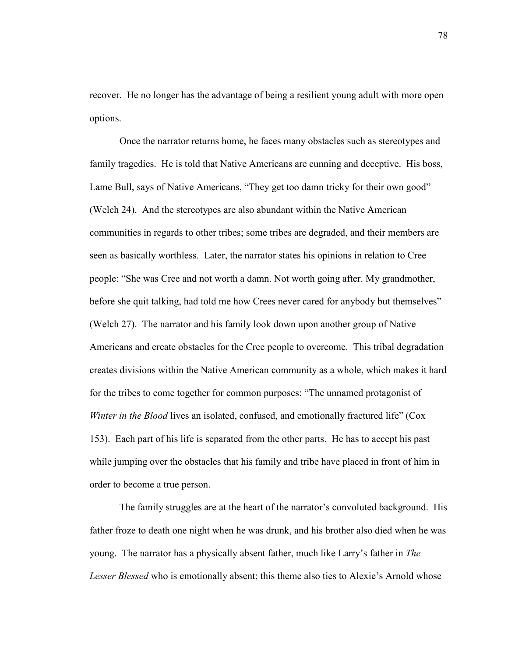recover. He no longer has the advantage of being a resilient young adult with more open options.

Once the narrator returns home, he faces many obstacles such as stereotypes and family tragedies. He is told that Native Americans are cunning and deceptive. His boss, Lame Bull, says of Native Americans, "They get too damn tricky for their own good" (Welch 24). And the stereotypes are also abundant within the Native American communities in regards to other tribes; some tribes are degraded, and their members are seen as basically worthless. Later, the narrator states his opinions in relation to Cree people: "She was Cree and not worth a damn. Not worth going after. My grandmother, before she quit talking, had told me how Crees never cared for anybody but themselves" (Welch 27). The narrator and his family look down upon another group of Native Americans and create obstacles for the Cree people to overcome. This tribal degradation creates divisions within the Native American community as a whole, which makes it hard for the tribes to come together for common purposes: "The unnamed protagonist of *Winter in the Blood* lives an isolated, confused, and emotionally fractured life" (Cox 153). Each part of his life is separated from the other parts. He has to accept his past while jumping over the obstacles that his family and tribe have placed in front of him in order to become a true person.

The family struggles are at the heart of the narrator's convoluted background. His father froze to death one night when he was drunk, and his brother also died when he was young. The narrator has a physically absent father, much like Larry's father in *The Lesser Blessed* who is emotionally absent; this theme also ties to Alexie's Arnold whose

78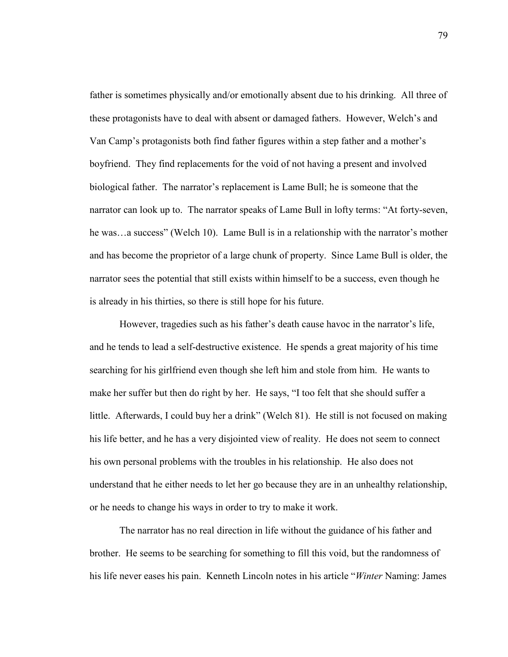father is sometimes physically and/or emotionally absent due to his drinking. All three of these protagonists have to deal with absent or damaged fathers. However, Welch's and Van Camp's protagonists both find father figures within a step father and a mother's boyfriend. They find replacements for the void of not having a present and involved biological father. The narrator's replacement is Lame Bull; he is someone that the narrator can look up to. The narrator speaks of Lame Bull in lofty terms: "At forty-seven, he was…a success" (Welch 10). Lame Bull is in a relationship with the narrator's mother and has become the proprietor of a large chunk of property. Since Lame Bull is older, the narrator sees the potential that still exists within himself to be a success, even though he is already in his thirties, so there is still hope for his future.

However, tragedies such as his father's death cause havoc in the narrator's life, and he tends to lead a self-destructive existence. He spends a great majority of his time searching for his girlfriend even though she left him and stole from him. He wants to make her suffer but then do right by her. He says, "I too felt that she should suffer a little. Afterwards, I could buy her a drink" (Welch 81). He still is not focused on making his life better, and he has a very disjointed view of reality. He does not seem to connect his own personal problems with the troubles in his relationship. He also does not understand that he either needs to let her go because they are in an unhealthy relationship, or he needs to change his ways in order to try to make it work.

The narrator has no real direction in life without the guidance of his father and brother. He seems to be searching for something to fill this void, but the randomness of his life never eases his pain. Kenneth Lincoln notes in his article "*Winter* Naming: James

79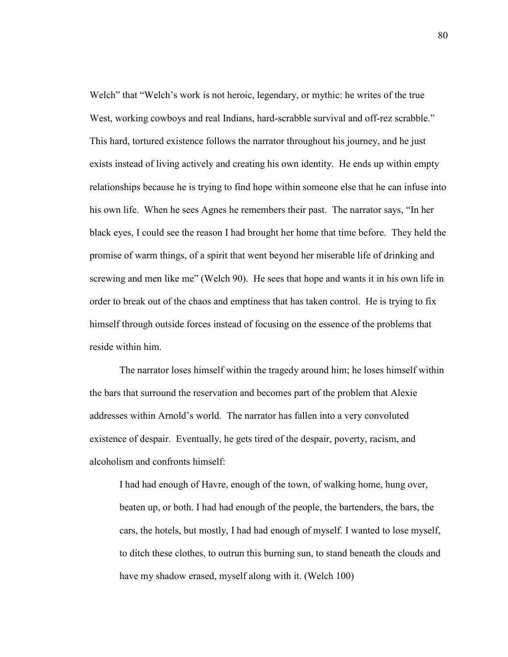Welch" that "Welch's work is not heroic, legendary, or mythic: he writes of the true West, working cowboys and real Indians, hard-scrabble survival and off-rez scrabble." This hard, tortured existence follows the narrator throughout his journey, and he just exists instead of living actively and creating his own identity. He ends up within empty relationships because he is trying to find hope within someone else that he can infuse into his own life. When he sees Agnes he remembers their past. The narrator says, "In her black eyes, I could see the reason I had brought her home that time before. They held the promise of warm things, of a spirit that went beyond her miserable life of drinking and screwing and men like me" (Welch 90). He sees that hope and wants it in his own life in order to break out of the chaos and emptiness that has taken control. He is trying to fix himself through outside forces instead of focusing on the essence of the problems that reside within him.

The narrator loses himself within the tragedy around him; he loses himself within the bars that surround the reservation and becomes part of the problem that Alexie addresses within Arnold's world. The narrator has fallen into a very convoluted existence of despair. Eventually, he gets tired of the despair, poverty, racism, and alcoholism and confronts himself:

I had had enough of Havre, enough of the town, of walking home, hung over, beaten up, or both. I had had enough of the people, the bartenders, the bars, the cars, the hotels, but mostly, I had had enough of myself. I wanted to lose myself, to ditch these clothes, to outrun this burning sun, to stand beneath the clouds and have my shadow erased, myself along with it. (Welch 100)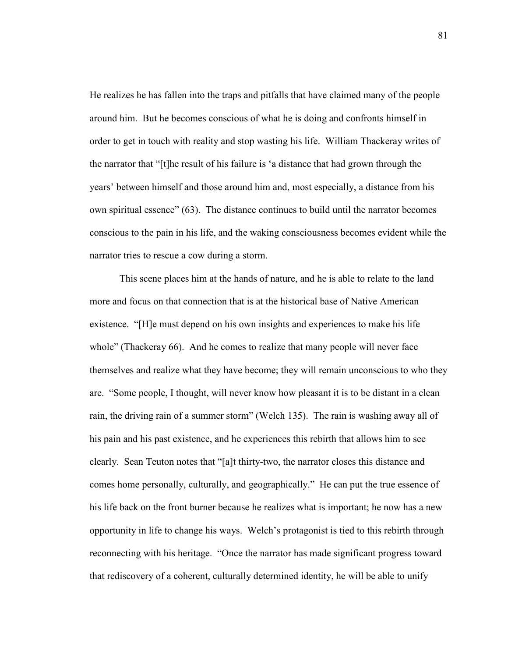He realizes he has fallen into the traps and pitfalls that have claimed many of the people around him. But he becomes conscious of what he is doing and confronts himself in order to get in touch with reality and stop wasting his life. William Thackeray writes of the narrator that "[t]he result of his failure is 'a distance that had grown through the years' between himself and those around him and, most especially, a distance from his own spiritual essence" (63). The distance continues to build until the narrator becomes conscious to the pain in his life, and the waking consciousness becomes evident while the narrator tries to rescue a cow during a storm.

This scene places him at the hands of nature, and he is able to relate to the land more and focus on that connection that is at the historical base of Native American existence. "[H]e must depend on his own insights and experiences to make his life whole" (Thackeray 66). And he comes to realize that many people will never face themselves and realize what they have become; they will remain unconscious to who they are. "Some people, I thought, will never know how pleasant it is to be distant in a clean rain, the driving rain of a summer storm" (Welch 135). The rain is washing away all of his pain and his past existence, and he experiences this rebirth that allows him to see clearly. Sean Teuton notes that "[a]t thirty-two, the narrator closes this distance and comes home personally, culturally, and geographically." He can put the true essence of his life back on the front burner because he realizes what is important; he now has a new opportunity in life to change his ways. Welch's protagonist is tied to this rebirth through reconnecting with his heritage. "Once the narrator has made significant progress toward that rediscovery of a coherent, culturally determined identity, he will be able to unify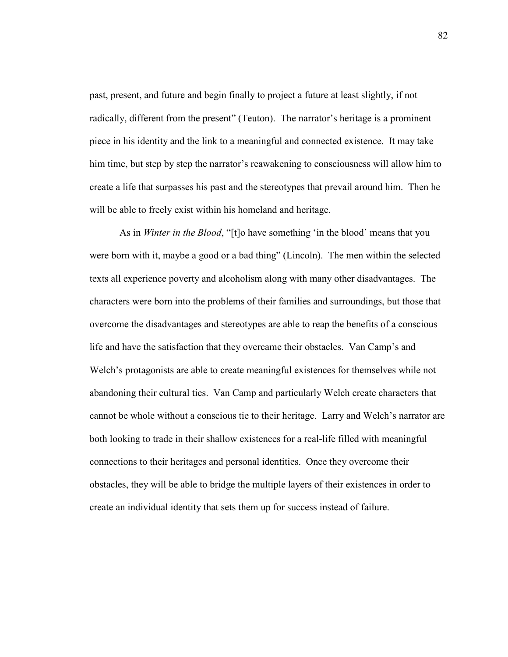past, present, and future and begin finally to project a future at least slightly, if not radically, different from the present" (Teuton). The narrator's heritage is a prominent piece in his identity and the link to a meaningful and connected existence. It may take him time, but step by step the narrator's reawakening to consciousness will allow him to create a life that surpasses his past and the stereotypes that prevail around him. Then he will be able to freely exist within his homeland and heritage.

As in *Winter in the Blood*, "[t]o have something 'in the blood' means that you were born with it, maybe a good or a bad thing" (Lincoln). The men within the selected texts all experience poverty and alcoholism along with many other disadvantages. The characters were born into the problems of their families and surroundings, but those that overcome the disadvantages and stereotypes are able to reap the benefits of a conscious life and have the satisfaction that they overcame their obstacles. Van Camp's and Welch's protagonists are able to create meaningful existences for themselves while not abandoning their cultural ties. Van Camp and particularly Welch create characters that cannot be whole without a conscious tie to their heritage. Larry and Welch's narrator are both looking to trade in their shallow existences for a real-life filled with meaningful connections to their heritages and personal identities. Once they overcome their obstacles, they will be able to bridge the multiple layers of their existences in order to create an individual identity that sets them up for success instead of failure.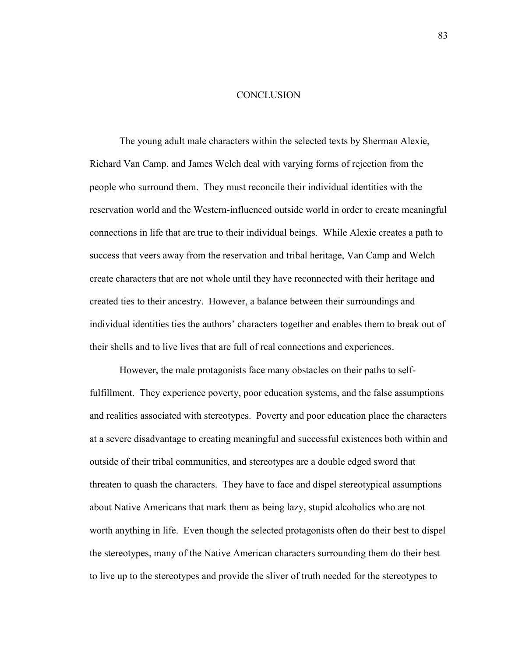## **CONCLUSION**

The young adult male characters within the selected texts by Sherman Alexie, Richard Van Camp, and James Welch deal with varying forms of rejection from the people who surround them. They must reconcile their individual identities with the reservation world and the Western-influenced outside world in order to create meaningful connections in life that are true to their individual beings. While Alexie creates a path to success that veers away from the reservation and tribal heritage, Van Camp and Welch create characters that are not whole until they have reconnected with their heritage and created ties to their ancestry. However, a balance between their surroundings and individual identities ties the authors' characters together and enables them to break out of their shells and to live lives that are full of real connections and experiences.

 However, the male protagonists face many obstacles on their paths to selffulfillment. They experience poverty, poor education systems, and the false assumptions and realities associated with stereotypes. Poverty and poor education place the characters at a severe disadvantage to creating meaningful and successful existences both within and outside of their tribal communities, and stereotypes are a double edged sword that threaten to quash the characters. They have to face and dispel stereotypical assumptions about Native Americans that mark them as being lazy, stupid alcoholics who are not worth anything in life. Even though the selected protagonists often do their best to dispel the stereotypes, many of the Native American characters surrounding them do their best to live up to the stereotypes and provide the sliver of truth needed for the stereotypes to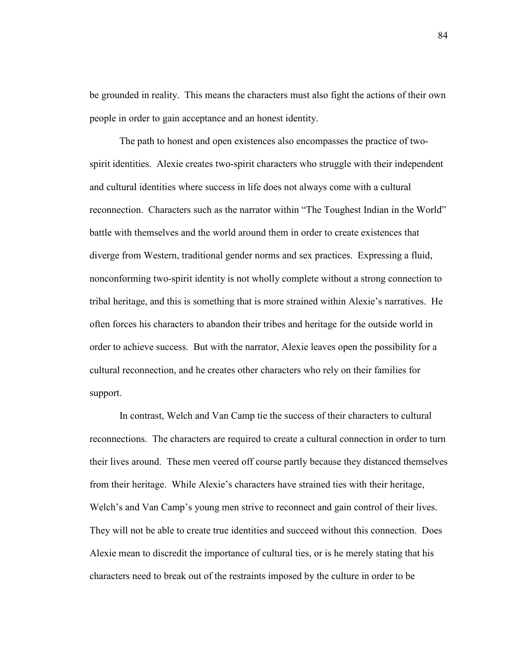be grounded in reality. This means the characters must also fight the actions of their own people in order to gain acceptance and an honest identity.

 The path to honest and open existences also encompasses the practice of twospirit identities. Alexie creates two-spirit characters who struggle with their independent and cultural identities where success in life does not always come with a cultural reconnection. Characters such as the narrator within "The Toughest Indian in the World" battle with themselves and the world around them in order to create existences that diverge from Western, traditional gender norms and sex practices. Expressing a fluid, nonconforming two-spirit identity is not wholly complete without a strong connection to tribal heritage, and this is something that is more strained within Alexie's narratives. He often forces his characters to abandon their tribes and heritage for the outside world in order to achieve success. But with the narrator, Alexie leaves open the possibility for a cultural reconnection, and he creates other characters who rely on their families for support.

 In contrast, Welch and Van Camp tie the success of their characters to cultural reconnections. The characters are required to create a cultural connection in order to turn their lives around. These men veered off course partly because they distanced themselves from their heritage. While Alexie's characters have strained ties with their heritage, Welch's and Van Camp's young men strive to reconnect and gain control of their lives. They will not be able to create true identities and succeed without this connection. Does Alexie mean to discredit the importance of cultural ties, or is he merely stating that his characters need to break out of the restraints imposed by the culture in order to be

84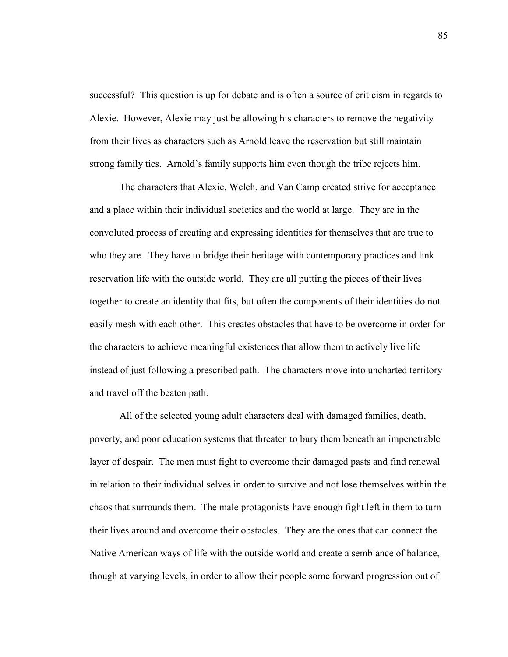successful? This question is up for debate and is often a source of criticism in regards to Alexie. However, Alexie may just be allowing his characters to remove the negativity from their lives as characters such as Arnold leave the reservation but still maintain strong family ties. Arnold's family supports him even though the tribe rejects him.

 The characters that Alexie, Welch, and Van Camp created strive for acceptance and a place within their individual societies and the world at large. They are in the convoluted process of creating and expressing identities for themselves that are true to who they are. They have to bridge their heritage with contemporary practices and link reservation life with the outside world. They are all putting the pieces of their lives together to create an identity that fits, but often the components of their identities do not easily mesh with each other. This creates obstacles that have to be overcome in order for the characters to achieve meaningful existences that allow them to actively live life instead of just following a prescribed path. The characters move into uncharted territory and travel off the beaten path.

 All of the selected young adult characters deal with damaged families, death, poverty, and poor education systems that threaten to bury them beneath an impenetrable layer of despair. The men must fight to overcome their damaged pasts and find renewal in relation to their individual selves in order to survive and not lose themselves within the chaos that surrounds them. The male protagonists have enough fight left in them to turn their lives around and overcome their obstacles. They are the ones that can connect the Native American ways of life with the outside world and create a semblance of balance, though at varying levels, in order to allow their people some forward progression out of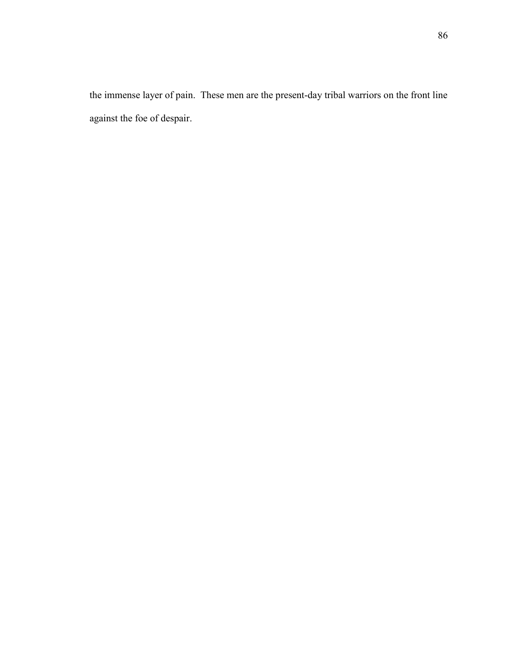the immense layer of pain. These men are the present-day tribal warriors on the front line against the foe of despair.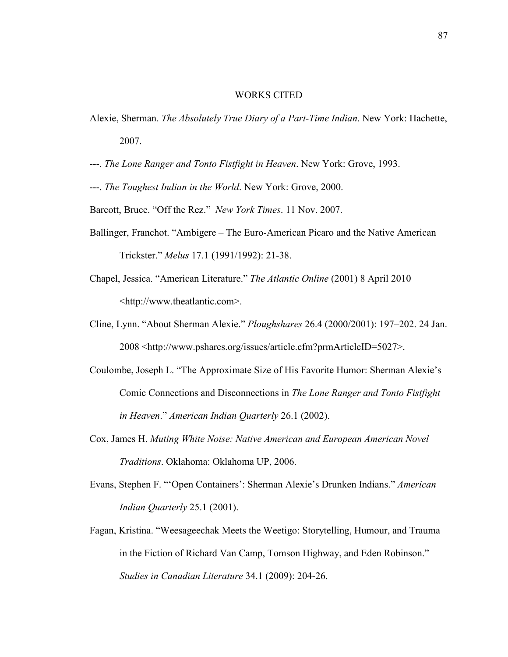## WORKS CITED

- Alexie, Sherman. *The Absolutely True Diary of a Part-Time Indian*. New York: Hachette, 2007.
- ---. *The Lone Ranger and Tonto Fistfight in Heaven*. New York: Grove, 1993.
- ---. *The Toughest Indian in the World*. New York: Grove, 2000.
- Barcott, Bruce. "Off the Rez." *New York Times*. 11 Nov. 2007.
- Ballinger, Franchot. "Ambigere The Euro-American Picaro and the Native American Trickster." *Melus* 17.1 (1991/1992): 21-38.
- Chapel, Jessica. "American Literature." *The Atlantic Online* (2001) 8 April 2010 <[http://www.theatlantic.com>](http://www.pshares.org/issues/article.cfm?prmArticleID=5027).
- Cline, Lynn. "About Sherman Alexie." *Ploughshares* 26.4 (2000/2001): 197–202. 24 Jan. 2008 <[http://www.pshares.org/issues/article.cfm?prmArticleID=5027>](http://www.pshares.org/issues/article.cfm?prmArticleID=5027).
- Coulombe, Joseph L. "The Approximate Size of His Favorite Humor: Sherman Alexie's Comic Connections and Disconnections in *The Lone Ranger and Tonto Fistfight in Heaven*." *American Indian Quarterly* 26.1 (2002).
- Cox, James H. *Muting White Noise: Native American and European American Novel Traditions*. Oklahoma: Oklahoma UP, 2006.
- Evans, Stephen F. "'Open Containers': Sherman Alexie's Drunken Indians." *American Indian Quarterly* 25.1 (2001).
- Fagan, Kristina. "Weesageechak Meets the Weetigo: Storytelling, Humour, and Trauma in the Fiction of Richard Van Camp, Tomson Highway, and Eden Robinson." *Studies in Canadian Literature* 34.1 (2009): 204-26.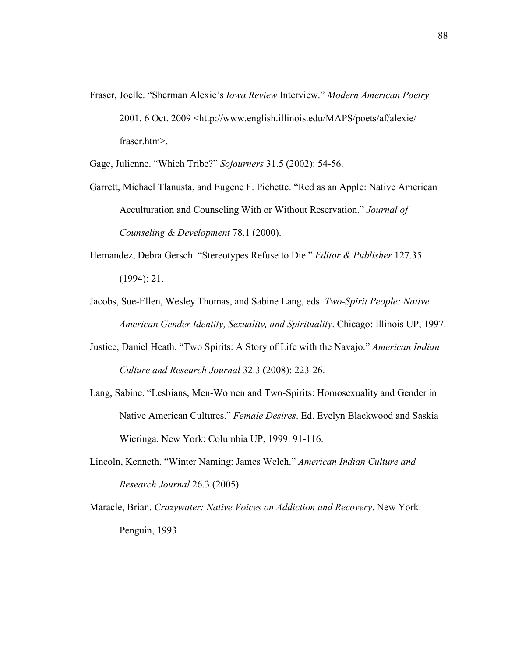Fraser, Joelle. "Sherman Alexie's *Iowa Review* Interview." *Modern American Poetry* 2001. 6 Oct. 2009 [<http://www.english.illinois.edu/MAPS/poets/af/alexie/](http://www.english.illinois.edu/MAPS/poets/af/alexie/%20fraser.htm) [fraser.htm>](http://www.english.illinois.edu/MAPS/poets/af/alexie/%20fraser.htm).

Gage, Julienne. "Which Tribe?" *Sojourners* 31.5 (2002): 54-56.

- Garrett, Michael Tlanusta, and Eugene F. Pichette. "Red as an Apple: Native American Acculturation and Counseling With or Without Reservation." *Journal of Counseling & Development* 78.1 (2000).
- Hernandez, Debra Gersch. "Stereotypes Refuse to Die." *Editor & Publisher* 127.35 (1994): 21.
- Jacobs, Sue-Ellen, Wesley Thomas, and Sabine Lang, eds. *Two-Spirit People: Native American Gender Identity, Sexuality, and Spirituality*. Chicago: Illinois UP, 1997.
- Justice, Daniel Heath. "Two Spirits: A Story of Life with the Navajo." *American Indian Culture and Research Journal* 32.3 (2008): 223-26.
- Lang, Sabine. "Lesbians, Men-Women and Two-Spirits: Homosexuality and Gender in Native American Cultures." *Female Desires*. Ed. Evelyn Blackwood and Saskia Wieringa. New York: Columbia UP, 1999. 91-116.
- Lincoln, Kenneth. "Winter Naming: James Welch." *American Indian Culture and Research Journal* 26.3 (2005).
- Maracle, Brian. *Crazywater: Native Voices on Addiction and Recovery*. New York: Penguin, 1993.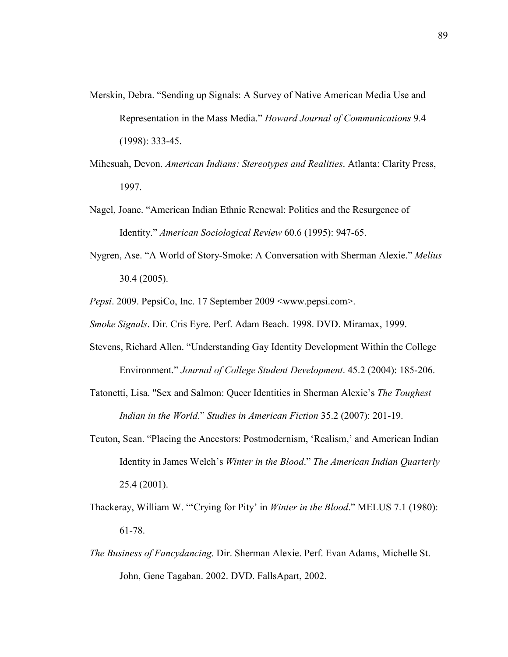- Merskin, Debra. "Sending up Signals: A Survey of Native American Media Use and Representation in the Mass Media." *Howard Journal of Communications* 9.4 (1998): 333-45.
- Mihesuah, Devon. *American Indians: Stereotypes and Realities*. Atlanta: Clarity Press, 1997.
- Nagel, Joane. "American Indian Ethnic Renewal: Politics and the Resurgence of Identity." *American Sociological Review* 60.6 (1995): 947-65.
- Nygren, Ase. "A World of Story-Smoke: A Conversation with Sherman Alexie." *Melius* 30.4 (2005).

*Pepsi*. 2009. PepsiCo, Inc. 17 September 2009 <www.pepsi.com>.

*Smoke Signals*. Dir. Cris Eyre. Perf. Adam Beach. 1998. DVD. Miramax, 1999.

- Stevens, Richard Allen. "Understanding Gay Identity Development Within the College Environment." *Journal of College Student Development*. 45.2 (2004): 185-206.
- Tatonetti, Lisa. "Sex and Salmon: Queer Identities in Sherman Alexie's *The Toughest Indian in the World*." *Studies in American Fiction* 35.2 (2007): 201-19.
- Teuton, Sean. "Placing the Ancestors: Postmodernism, 'Realism,' and American Indian Identity in James Welch's *Winter in the Blood*." *The American Indian Quarterly*  25.4 (2001).
- Thackeray, William W. "'Crying for Pity' in *Winter in the Blood*." MELUS 7.1 (1980): 61-78.
- *The Business of Fancydancing*. Dir. Sherman Alexie. Perf. Evan Adams, Michelle St. John, Gene Tagaban. 2002. DVD. FallsApart, 2002.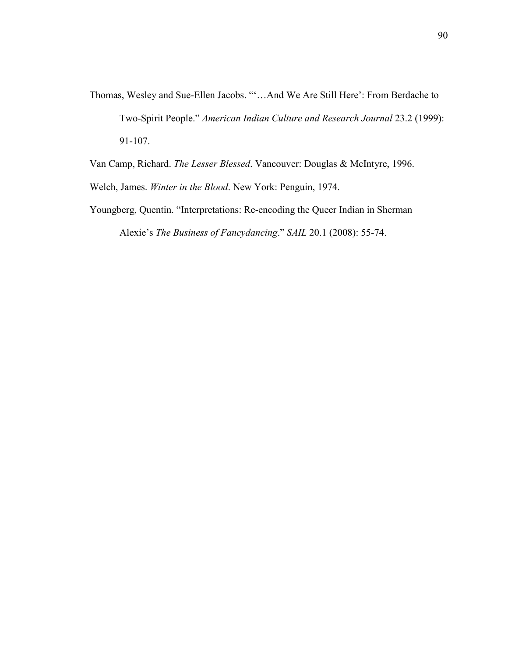Thomas, Wesley and Sue-Ellen Jacobs. "'…And We Are Still Here': From Berdache to Two-Spirit People." *American Indian Culture and Research Journal* 23.2 (1999): 91-107.

Van Camp, Richard. *The Lesser Blessed*. Vancouver: Douglas & McIntyre, 1996.

Welch, James. *Winter in the Blood*. New York: Penguin, 1974.

Youngberg, Quentin. "Interpretations: Re-encoding the Queer Indian in Sherman Alexie's *The Business of Fancydancing*." *SAIL* 20.1 (2008): 55-74.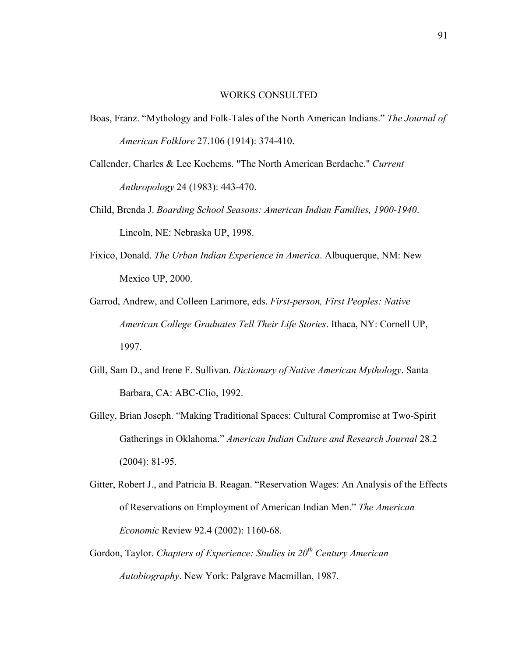## WORKS CONSULTED

- Boas, Franz. "Mythology and Folk-Tales of the North American Indians." *The Journal of American Folklore* 27.106 (1914): 374-410.
- Callender, Charles & Lee Kochems. "The North American Berdache." *Current Anthropology* 24 (1983): 443-470.
- Child, Brenda J. *Boarding School Seasons: American Indian Families, 1900-1940*. Lincoln, NE: Nebraska UP, 1998.
- Fixico, Donald. *The Urban Indian Experience in America*. Albuquerque, NM: New Mexico UP, 2000.
- Garrod, Andrew, and Colleen Larimore, eds. *First-person, First Peoples: Native American College Graduates Tell Their Life Stories*. Ithaca, NY: Cornell UP, 1997.
- Gill, Sam D., and Irene F. Sullivan. *Dictionary of Native American Mythology*. Santa Barbara, CA: ABC-Clio, 1992.
- Gilley, Brian Joseph. "Making Traditional Spaces: Cultural Compromise at Two-Spirit Gatherings in Oklahoma." *American Indian Culture and Research Journal* 28.2 (2004): 81-95.
- Gitter, Robert J., and Patricia B. Reagan. "Reservation Wages: An Analysis of the Effects of Reservations on Employment of American Indian Men." *The American Economic* Review 92.4 (2002): 1160-68.
- Gordon, Taylor. *Chapters of Experience: Studies in 20th Century American Autobiography*. New York: Palgrave Macmillan, 1987.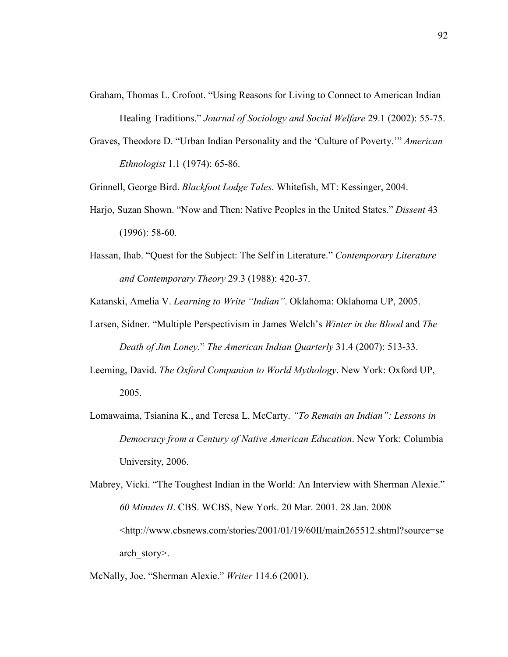- Graham, Thomas L. Crofoot. "Using Reasons for Living to Connect to American Indian Healing Traditions." *Journal of Sociology and Social Welfare* 29.1 (2002): 55-75.
- Graves, Theodore D. "Urban Indian Personality and the 'Culture of Poverty.'" *American Ethnologist* 1.1 (1974): 65-86.

Grinnell, George Bird. *Blackfoot Lodge Tales*. Whitefish, MT: Kessinger, 2004.

- Harjo, Suzan Shown. "Now and Then: Native Peoples in the United States." *Dissent* 43 (1996): 58-60.
- Hassan, Ihab. "Quest for the Subject: The Self in Literature." *Contemporary Literature and Contemporary Theory* 29.3 (1988): 420-37.

Katanski, Amelia V. *Learning to Write "Indian"*. Oklahoma: Oklahoma UP, 2005.

- Larsen, Sidner. "Multiple Perspectivism in James Welch's *Winter in the Blood* and *The Death of Jim Loney*." *The American Indian Quarterly* 31.4 (2007): 513-33.
- Leeming, David. *The Oxford Companion to World Mythology*. New York: Oxford UP, 2005.
- Lomawaima, Tsianina K., and Teresa L. McCarty. *"To Remain an Indian": Lessons in Democracy from a Century of Native American Education*. New York: Columbia University, 2006.

Mabrey, Vicki. "The Toughest Indian in the World: An Interview with Sherman Alexie." *60 Minutes II*. CBS. WCBS, New York. 20 Mar. 2001. 28 Jan. 2008 <[http://www.cbsnews.com/stories/2001/01/19/60II/main265512.shtml?source=se](http://www.cbsnews.com/stories/2001/01/19/60II/main265512.shtml?source=search_story) [arch\\_story>](http://www.cbsnews.com/stories/2001/01/19/60II/main265512.shtml?source=search_story).

McNally, Joe. "Sherman Alexie." *Writer* 114.6 (2001).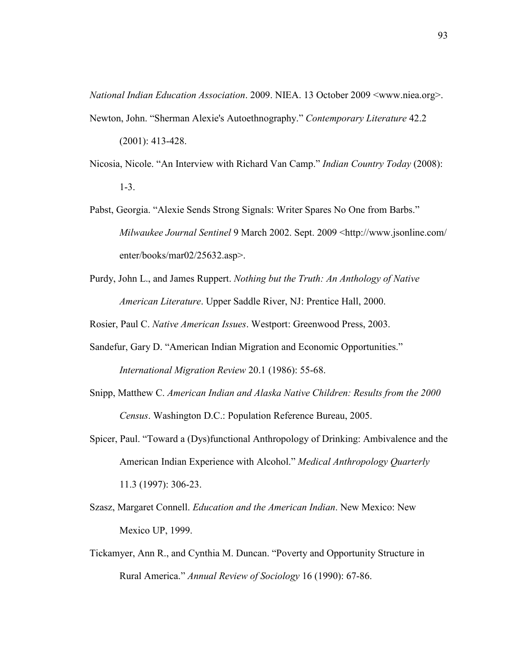*National Indian Education Association*. 2009. NIEA. 13 October 2009 <www.niea.org>.

Newton, John. "Sherman Alexie's Autoethnography." *Contemporary Literature* 42.2

(2001): 413-428.

- Nicosia, Nicole. "An Interview with Richard Van Camp." *Indian Country Today* (2008): 1-3.
- Pabst, Georgia. "Alexie Sends Strong Signals: Writer Spares No One from Barbs." *Milwaukee Journal Sentinel* 9 March 2002. Sept. 2009 [<http://www.jsonline.com/](http://www.jsonline.com/%20enter/books/mar02/25632.asp) [enter/books/mar02/25632.asp>](http://www.jsonline.com/%20enter/books/mar02/25632.asp).
- Purdy, John L., and James Ruppert. *Nothing but the Truth: An Anthology of Native American Literature*. Upper Saddle River, NJ: Prentice Hall, 2000.

Rosier, Paul C. *Native American Issues*. Westport: Greenwood Press, 2003.

- Sandefur, Gary D. "American Indian Migration and Economic Opportunities." *International Migration Review* 20.1 (1986): 55-68.
- Snipp, Matthew C. *American Indian and Alaska Native Children: Results from the 2000 Census*. Washington D.C.: Population Reference Bureau, 2005.
- Spicer, Paul. "Toward a (Dys)functional Anthropology of Drinking: Ambivalence and the American Indian Experience with Alcohol." *Medical Anthropology Quarterly* 11.3 (1997): 306-23.
- Szasz, Margaret Connell. *Education and the American Indian*. New Mexico: New Mexico UP, 1999.
- Tickamyer, Ann R., and Cynthia M. Duncan. "Poverty and Opportunity Structure in Rural America." *Annual Review of Sociology* 16 (1990): 67-86.